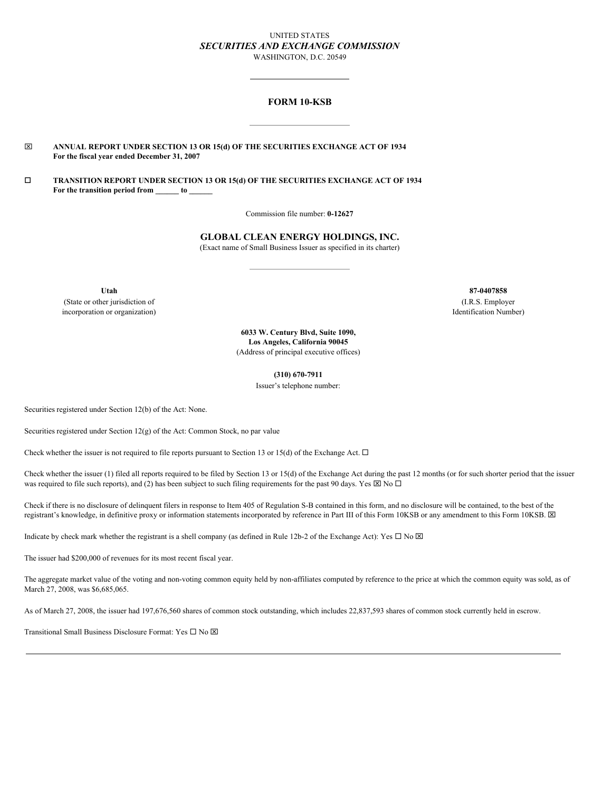# UNITED STATES *SECURITIES AND EXCHANGE COMMISSION* WASHINGTON, D.C. 20549

# **FORM 10-KSB**

x **ANNUAL REPORT UNDER SECTION 13 OR 15(d) OF THE SECURITIES EXCHANGE ACT OF 1934 For the fiscal year ended December 31, 2007**

o **TRANSITION REPORT UNDER SECTION 13 OR 15(d) OF THE SECURITIES EXCHANGE ACT OF 1934 For the transition period from \_\_\_\_\_\_ to \_\_\_\_\_\_**

Commission file number: **0-12627**

**GLOBAL CLEAN ENERGY HOLDINGS, INC.**

(Exact name of Small Business Issuer as specified in its charter)

(State or other jurisdiction of incorporation or organization)

**Utah 87-0407858** (I.R.S. Employer Identification Number)

> **6033 W. Century Blvd, Suite 1090, Los Angeles, California 90045** (Address of principal executive offices)

> > **(310) 670-7911**

Issuer's telephone number:

Securities registered under Section 12(b) of the Act: None.

Securities registered under Section 12(g) of the Act: Common Stock, no par value

Check whether the issuer is not required to file reports pursuant to Section 13 or 15(d) of the Exchange Act.  $\Box$ 

Check whether the issuer (1) filed all reports required to be filed by Section 13 or 15(d) of the Exchange Act during the past 12 months (or for such shorter period that the issuer was required to file such reports), and (2) has been subject to such filing requirements for the past 90 days. Yes  $\boxtimes$  No  $\Box$ 

Check if there is no disclosure of delinquent filers in response to Item 405 of Regulation S-B contained in this form, and no disclosure will be contained, to the best of the registrant's knowledge, in definitive proxy or information statements incorporated by reference in Part III of this Form 10KSB or any amendment to this Form 10KSB.  $\boxtimes$ 

Indicate by check mark whether the registrant is a shell company (as defined in Rule 12b-2 of the Exchange Act): Yes  $\Box$  No  $\boxtimes$ 

The issuer had \$200,000 of revenues for its most recent fiscal year.

The aggregate market value of the voting and non-voting common equity held by non-affiliates computed by reference to the price at which the common equity was sold, as of March 27, 2008, was \$6,685,065.

As of March 27, 2008, the issuer had 197,676,560 shares of common stock outstanding, which includes 22,837,593 shares of common stock currently held in escrow.

Transitional Small Business Disclosure Format: Yes  $\square$  No  $\square$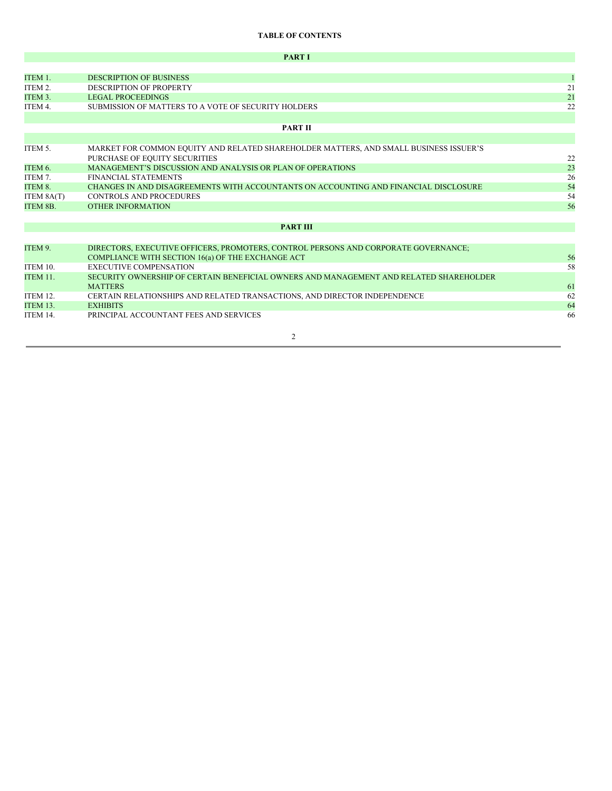# **TABLE OF CONTENTS**

# **PART I**

| ITEM 1.         | <b>DESCRIPTION OF BUSINESS</b>                                                         | $\mathbf{1}$ |
|-----------------|----------------------------------------------------------------------------------------|--------------|
| ITEM 2.         | DESCRIPTION OF PROPERTY                                                                | 21           |
| ITEM 3.         | <b>LEGAL PROCEEDINGS</b>                                                               | 21           |
| ITEM 4.         | SUBMISSION OF MATTERS TO A VOTE OF SECURITY HOLDERS                                    | 22           |
|                 |                                                                                        |              |
|                 | <b>PART II</b>                                                                         |              |
|                 |                                                                                        |              |
| ITEM 5.         | MARKET FOR COMMON EQUITY AND RELATED SHAREHOLDER MATTERS, AND SMALL BUSINESS ISSUER'S  |              |
|                 | PURCHASE OF EQUITY SECURITIES                                                          | 22           |
| ITEM 6.         | <b>MANAGEMENT'S DISCUSSION AND ANALYSIS OR PLAN OF OPERATIONS</b>                      | 23           |
| ITEM 7.         | FINANCIAL STATEMENTS                                                                   | 26           |
| ITEM 8.         | CHANGES IN AND DISAGREEMENTS WITH ACCOUNTANTS ON ACCOUNTING AND FINANCIAL DISCLOSURE   | 54           |
| ITEM $8A(T)$    | <b>CONTROLS AND PROCEDURES</b>                                                         | 54           |
| <b>ITEM 8B.</b> | <b>OTHER INFORMATION</b>                                                               | 56           |
|                 |                                                                                        |              |
|                 | <b>PART III</b>                                                                        |              |
|                 |                                                                                        |              |
| ITEM 9.         | DIRECTORS, EXECUTIVE OFFICERS, PROMOTERS, CONTROL PERSONS AND CORPORATE GOVERNANCE;    |              |
|                 | COMPLIANCE WITH SECTION 16(a) OF THE EXCHANGE ACT                                      | 56           |
| <b>ITEM 10.</b> | <b>EXECUTIVE COMPENSATION</b>                                                          | 58           |
| ITEM 11.        | SECURITY OWNERSHIP OF CERTAIN BENEFICIAL OWNERS AND MANAGEMENT AND RELATED SHAREHOLDER |              |
|                 | <b>MATTERS</b>                                                                         | 61           |
| <b>ITEM 12.</b> | CERTAIN RELATIONSHIPS AND RELATED TRANSACTIONS, AND DIRECTOR INDEPENDENCE              | 62           |
| <b>ITEM 13.</b> | <b>EXHIBITS</b>                                                                        | 64           |
| ITEM 14.        | PRINCIPAL ACCOUNTANT FEES AND SERVICES                                                 | 66           |

2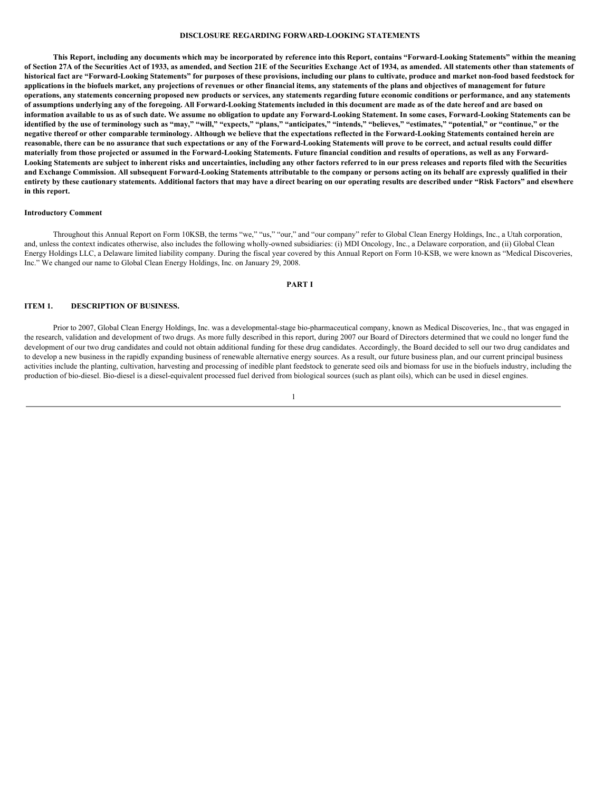#### **DISCLOSURE REGARDING FORWARD-LOOKING STATEMENTS**

This Report, including any documents which may be incorporated by reference into this Report, contains "Forward-Looking Statements" within the meaning of Section 27A of the Securities Act of 1933, as amended, and Section 21E of the Securities Exchange Act of 1934, as amended. All statements other than statements of historical fact are "Forward-Looking Statements" for purposes of these provisions, including our plans to cultivate, produce and market non-food based feedstock for applications in the biofuels market, any projections of revenues or other financial items, any statements of the plans and objectives of management for future operations, any statements concerning proposed new products or services, any statements regarding future economic conditions or performance, and any statements of assumptions underlying any of the foregoing. All Forward-Looking Statements included in this document are made as of the date hereof and are based on information available to us as of such date. We assume no obligation to update any Forward-Looking Statement. In some cases, Forward-Looking Statements can be identified by the use of terminology such as "may," "will," "expects," "plans," "anticipates," "intends," "believes," "estimates," "potential," or "continue," or the negative thereof or other comparable terminology. Although we believe that the expectations reflected in the Forward-Looking Statements contained herein are reasonable, there can be no assurance that such expectations or any of the Forward-Looking Statements will prove to be correct, and actual results could differ materially from those projected or assumed in the Forward-Looking Statements. Future financial condition and results of operations, as well as any Forward-Looking Statements are subject to inherent risks and uncertainties, including any other factors referred to in our press releases and reports filed with the Securities and Exchange Commission. All subsequent Forward-Looking Statements attributable to the company or persons acting on its behalf are expressly qualified in their entirety by these cautionary statements. Additional factors that may have a direct bearing on our operating results are described under "Risk Factors" and elsewhere **in this report.**

## **Introductory Comment**

Throughout this Annual Report on Form 10KSB, the terms "we," "us," "our," and "our company" refer to Global Clean Energy Holdings, Inc., a Utah corporation, and, unless the context indicates otherwise, also includes the following wholly-owned subsidiaries: (i) MDI Oncology, Inc., a Delaware corporation, and (ii) Global Clean Energy Holdings LLC, a Delaware limited liability company. During the fiscal year covered by this Annual Report on Form 10-KSB, we were known as "Medical Discoveries, Inc." We changed our name to Global Clean Energy Holdings, Inc. on January 29, 2008.

## **PART I**

#### **ITEM 1. DESCRIPTION OF BUSINESS.**

Prior to 2007, Global Clean Energy Holdings, Inc. was a developmental-stage bio-pharmaceutical company, known as Medical Discoveries, Inc., that was engaged in the research, validation and development of two drugs. As more fully described in this report, during 2007 our Board of Directors determined that we could no longer fund the development of our two drug candidates and could not obtain additional funding for these drug candidates. Accordingly, the Board decided to sell our two drug candidates and to develop a new business in the rapidly expanding business of renewable alternative energy sources. As a result, our future business plan, and our current principal business activities include the planting, cultivation, harvesting and processing of inedible plant feedstock to generate seed oils and biomass for use in the biofuels industry, including the production of bio-diesel. Bio-diesel is a diesel-equivalent processed fuel derived from biological sources (such as plant oils), which can be used in diesel engines.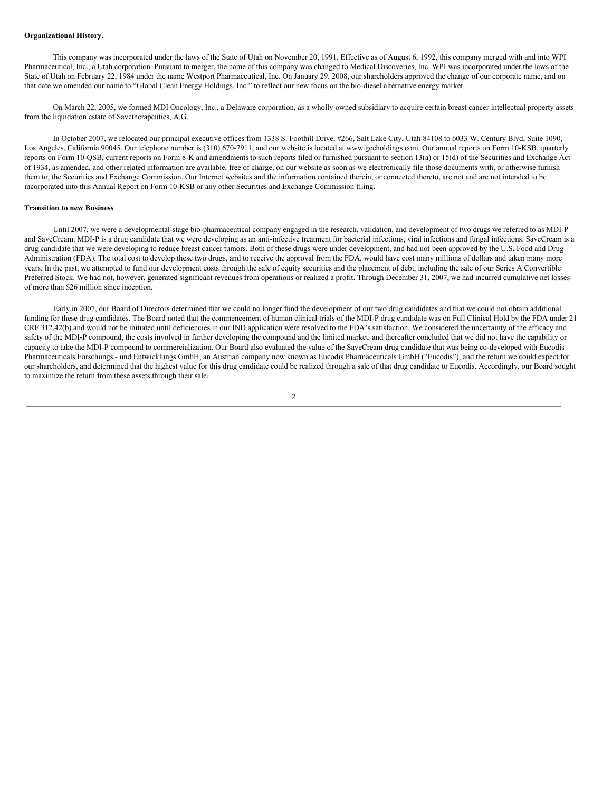#### **Organizational History.**

This company was incorporated under the laws of the State of Utah on November 20, 1991. Effective as of August 6, 1992, this company merged with and into WPI Pharmaceutical, Inc., a Utah corporation. Pursuant to merger, the name of this company was changed to Medical Discoveries, Inc. WPI was incorporated under the laws of the State of Utah on February 22, 1984 under the name Westport Pharmaceutical, Inc. On January 29, 2008, our shareholders approved the change of our corporate name, and on that date we amended our name to "Global Clean Energy Holdings, Inc." to reflect our new focus on the bio-diesel alternative energy market.

On March 22, 2005, we formed MDI Oncology, Inc., a Delaware corporation, as a wholly owned subsidiary to acquire certain breast cancer intellectual property assets from the liquidation estate of Savetherapeutics, A.G.

In October 2007, we relocated our principal executive offices from 1338 S. Foothill Drive, #266, Salt Lake City, Utah 84108 to 6033 W. Century Blvd, Suite 1090, Los Angeles, California 90045. Our telephone number is (310) 670-7911, and our website is located at www.gceholdings.com. Our annual reports on Form 10-KSB, quarterly reports on Form 10-QSB, current reports on Form 8-K and amendments to such reports filed or furnished pursuant to section 13(a) or 15(d) of the Securities and Exchange Act of 1934, as amended, and other related information are available, free of charge, on our website as soon as we electronically file those documents with, or otherwise furnish them to, the Securities and Exchange Commission. Our Internet websites and the information contained therein, or connected thereto, are not and are not intended to be incorporated into this Annual Report on Form 10-KSB or any other Securities and Exchange Commission filing.

#### **Transition to new Business**

Until 2007, we were a developmental-stage bio-pharmaceutical company engaged in the research, validation, and development of two drugs we referred to as MDI-P and SaveCream. MDI-P is a drug candidate that we were developing as an anti-infective treatment for bacterial infections, viral infections and fungal infections. SaveCream is a drug candidate that we were developing to reduce breast cancer tumors. Both of these drugs were under development, and had not been approved by the U.S. Food and Drug Administration (FDA). The total cost to develop these two drugs, and to receive the approval from the FDA, would have cost many millions of dollars and taken many more years. In the past, we attempted to fund our development costs through the sale of equity securities and the placement of debt, including the sale of our Series A Convertible Preferred Stock. We had not, however, generated significant revenues from operations or realized a profit. Through December 31, 2007, we had incurred cumulative net losses of more than \$26 million since inception.

Early in 2007, our Board of Directors determined that we could no longer fund the development of our two drug candidates and that we could not obtain additional funding for these drug candidates. The Board noted that the commencement of human clinical trials of the MDI-P drug candidate was on Full Clinical Hold by the FDA under 21 CRF 312.42(b) and would not be initiated until deficiencies in our IND application were resolved to the FDA's satisfaction. We considered the uncertainty of the efficacy and safety of the MDI-P compound, the costs involved in further developing the compound and the limited market, and thereafter concluded that we did not have the capability or capacity to take the MDI-P compound to commercialization. Our Board also evaluated the value of the SaveCream drug candidate that was being co-developed with Eucodis Pharmaceuticals Forschungs - und Entwicklungs GmbH, an Austrian company now known as Eucodis Pharmaceuticals GmbH ("Eucodis"), and the return we could expect for our shareholders, and determined that the highest value for this drug candidate could be realized through a sale of that drug candidate to Eucodis. Accordingly, our Board sought to maximize the return from these assets through their sale.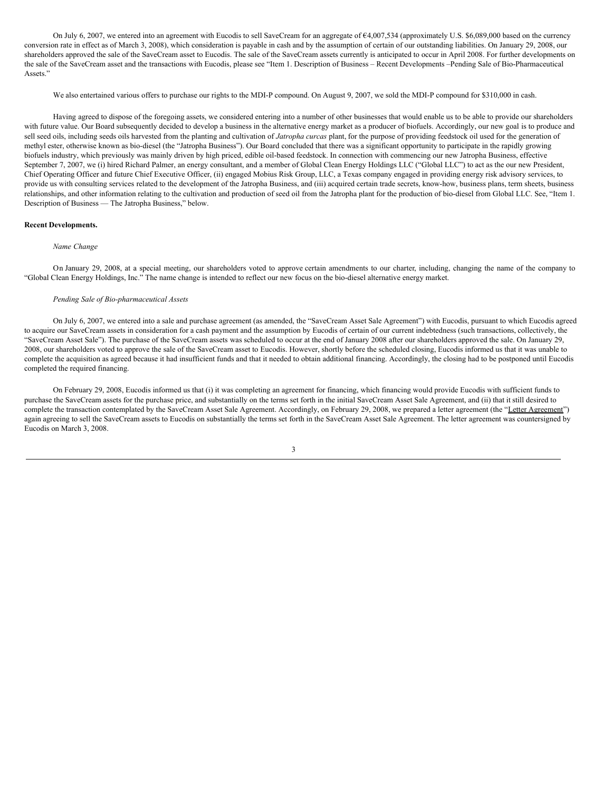On July 6, 2007, we entered into an agreement with Eucodis to sell SaveCream for an aggregate of €4,007,534 (approximately U.S. \$6,089,000 based on the currency conversion rate in effect as of March 3, 2008), which consideration is payable in cash and by the assumption of certain of our outstanding liabilities. On January 29, 2008, our shareholders approved the sale of the SaveCream asset to Eucodis. The sale of the SaveCream assets currently is anticipated to occur in April 2008. For further developments on the sale of the SaveCream asset and the transactions with Eucodis, please see "Item 1. Description of Business – Recent Developments –Pending Sale of Bio-Pharmaceutical Assets."

We also entertained various offers to purchase our rights to the MDI-P compound. On August 9, 2007, we sold the MDI-P compound for \$310,000 in cash.

Having agreed to dispose of the foregoing assets, we considered entering into a number of other businesses that would enable us to be able to provide our shareholders with future value. Our Board subsequently decided to develop a business in the alternative energy market as a producer of biofuels. Accordingly, our new goal is to produce and sell seed oils, including seeds oils harvested from the planting and cultivation of *Jatropha curcas* plant, for the purpose of providing feedstock oil used for the generation of methyl ester, otherwise known as bio-diesel (the "Jatropha Business"). Our Board concluded that there was a significant opportunity to participate in the rapidly growing biofuels industry, which previously was mainly driven by high priced, edible oil-based feedstock. In connection with commencing our new Jatropha Business, effective September 7, 2007, we (i) hired Richard Palmer, an energy consultant, and a member of Global Clean Energy Holdings LLC ("Global LLC") to act as the our new President, Chief Operating Officer and future Chief Executive Officer, (ii) engaged Mobius Risk Group, LLC, a Texas company engaged in providing energy risk advisory services, to provide us with consulting services related to the development of the Jatropha Business, and (iii) acquired certain trade secrets, know-how, business plans, term sheets, business relationships, and other information relating to the cultivation and production of seed oil from the Jatropha plant for the production of bio-diesel from Global LLC. See, "Item 1. Description of Business — The Jatropha Business," below.

## **Recent Developments.**

#### *Name Change*

On January 29, 2008, at a special meeting, our shareholders voted to approve certain amendments to our charter, including, changing the name of the company to "Global Clean Energy Holdings, Inc." The name change is intended to reflect our new focus on the bio-diesel alternative energy market.

#### *Pending Sale of Bio-pharmaceutical Assets*

On July 6, 2007, we entered into a sale and purchase agreement (as amended, the "SaveCream Asset Sale Agreement") with Eucodis, pursuant to which Eucodis agreed to acquire our SaveCream assets in consideration for a cash payment and the assumption by Eucodis of certain of our current indebtedness (such transactions, collectively, the "SaveCream Asset Sale"). The purchase of the SaveCream assets was scheduled to occur at the end of January 2008 after our shareholders approved the sale. On January 29, 2008, our shareholders voted to approve the sale of the SaveCream asset to Eucodis. However, shortly before the scheduled closing, Eucodis informed us that it was unable to complete the acquisition as agreed because it had insufficient funds and that it needed to obtain additional financing. Accordingly, the closing had to be postponed until Eucodis completed the required financing.

On February 29, 2008, Eucodis informed us that (i) it was completing an agreement for financing, which financing would provide Eucodis with sufficient funds to purchase the SaveCream assets for the purchase price, and substantially on the terms set forth in the initial SaveCream Asset Sale Agreement, and (ii) that it still desired to complete the transaction contemplated by the SaveCream Asset Sale Agreement. Accordingly, on February 29, 2008, we prepared a letter agreement (the "Letter Agreement") again agreeing to sell the SaveCream assets to Eucodis on substantially the terms set forth in the SaveCream Asset Sale Agreement. The letter agreement was countersigned by Eucodis on March 3, 2008.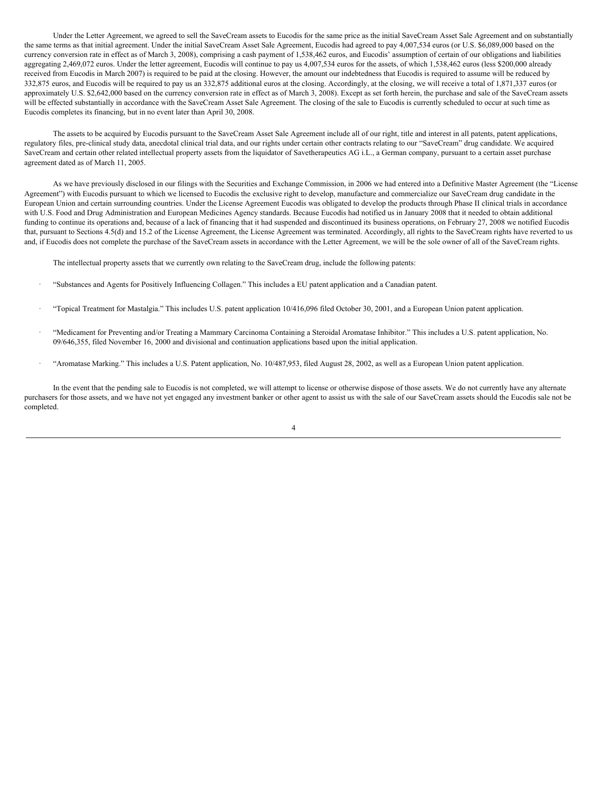Under the Letter Agreement, we agreed to sell the SaveCream assets to Eucodis for the same price as the initial SaveCream Asset Sale Agreement and on substantially the same terms as that initial agreement. Under the initial SaveCream Asset Sale Agreement, Eucodis had agreed to pay 4,007,534 euros (or U.S. \$6,089,000 based on the currency conversion rate in effect as of March 3, 2008), comprising a cash payment of 1,538,462 euros, and Eucodis' assumption of certain of our obligations and liabilities aggregating 2,469,072 euros. Under the letter agreement, Eucodis will continue to pay us 4,007,534 euros for the assets, of which 1,538,462 euros (less \$200,000 already received from Eucodis in March 2007) is required to be paid at the closing. However, the amount our indebtedness that Eucodis is required to assume will be reduced by 332,875 euros, and Eucodis will be required to pay us an 332,875 additional euros at the closing. Accordingly, at the closing, we will receive a total of 1,871,337 euros (or approximately U.S. \$2,642,000 based on the currency conversion rate in effect as of March 3, 2008). Except as set forth herein, the purchase and sale of the SaveCream assets will be effected substantially in accordance with the SaveCream Asset Sale Agreement. The closing of the sale to Eucodis is currently scheduled to occur at such time as Eucodis completes its financing, but in no event later than April 30, 2008.

The assets to be acquired by Eucodis pursuant to the SaveCream Asset Sale Agreement include all of our right, title and interest in all patents, patent applications, regulatory files, pre-clinical study data, anecdotal clinical trial data, and our rights under certain other contracts relating to our "SaveCream" drug candidate. We acquired SaveCream and certain other related intellectual property assets from the liquidator of Savetherapeutics AG i.L., a German company, pursuant to a certain asset purchase agreement dated as of March 11, 2005.

As we have previously disclosed in our filings with the Securities and Exchange Commission, in 2006 we had entered into a Definitive Master Agreement (the "License Agreement") with Eucodis pursuant to which we licensed to Eucodis the exclusive right to develop, manufacture and commercialize our SaveCream drug candidate in the European Union and certain surrounding countries. Under the License Agreement Eucodis was obligated to develop the products through Phase II clinical trials in accordance with U.S. Food and Drug Administration and European Medicines Agency standards. Because Eucodis had notified us in January 2008 that it needed to obtain additional funding to continue its operations and, because of a lack of financing that it had suspended and discontinued its business operations, on February 27, 2008 we notified Eucodis that, pursuant to Sections 4.5(d) and 15.2 of the License Agreement, the License Agreement was terminated. Accordingly, all rights to the SaveCream rights have reverted to us and, if Eucodis does not complete the purchase of the SaveCream assets in accordance with the Letter Agreement, we will be the sole owner of all of the SaveCream rights.

The intellectual property assets that we currently own relating to the SaveCream drug, include the following patents:

- · "Substances and Agents for Positively Influencing Collagen." This includes a EU patent application and a Canadian patent.
- · "Topical Treatment for Mastalgia." This includes U.S. patent application 10/416,096 filed October 30, 2001, and a European Union patent application.
- · "Medicament for Preventing and/or Treating a Mammary Carcinoma Containing a Steroidal Aromatase Inhibitor." This includes a U.S. patent application, No. 09/646,355, filed November 16, 2000 and divisional and continuation applications based upon the initial application.
- · "Aromatase Marking." This includes a U.S. Patent application, No. 10/487,953, filed August 28, 2002, as well as a European Union patent application.

In the event that the pending sale to Eucodis is not completed, we will attempt to license or otherwise dispose of those assets. We do not currently have any alternate purchasers for those assets, and we have not yet engaged any investment banker or other agent to assist us with the sale of our SaveCream assets should the Eucodis sale not be completed.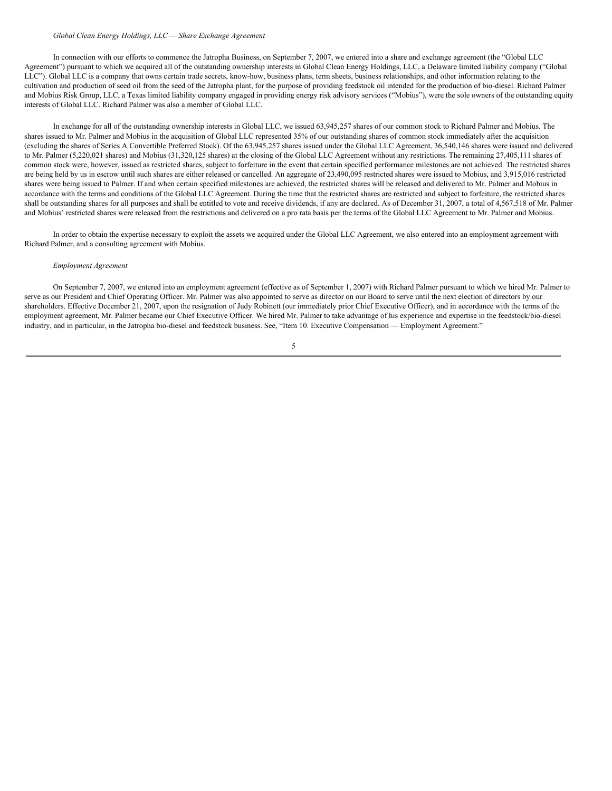#### *Global Clean Energy Holdings, LLC — Share Exchange Agreement*

In connection with our efforts to commence the Jatropha Business, on September 7, 2007, we entered into a share and exchange agreement (the "Global LLC Agreement") pursuant to which we acquired all of the outstanding ownership interests in Global Clean Energy Holdings, LLC, a Delaware limited liability company ("Global LLC"). Global LLC is a company that owns certain trade secrets, know-how, business plans, term sheets, business relationships, and other information relating to the cultivation and production of seed oil from the seed of the Jatropha plant, for the purpose of providing feedstock oil intended for the production of bio-diesel. Richard Palmer and Mobius Risk Group, LLC, a Texas limited liability company engaged in providing energy risk advisory services ("Mobius"), were the sole owners of the outstanding equity interests of Global LLC. Richard Palmer was also a member of Global LLC.

In exchange for all of the outstanding ownership interests in Global LLC, we issued 63,945,257 shares of our common stock to Richard Palmer and Mobius. The shares issued to Mr. Palmer and Mobius in the acquisition of Global LLC represented 35% of our outstanding shares of common stock immediately after the acquisition (excluding the shares of Series A Convertible Preferred Stock). Of the 63,945,257 shares issued under the Global LLC Agreement, 36,540,146 shares were issued and delivered to Mr. Palmer (5,220,021 shares) and Mobius (31,320,125 shares) at the closing of the Global LLC Agreement without any restrictions. The remaining 27,405,111 shares of common stock were, however, issued as restricted shares, subject to forfeiture in the event that certain specified performance milestones are not achieved. The restricted shares are being held by us in escrow until such shares are either released or cancelled. An aggregate of 23,490,095 restricted shares were issued to Mobius, and 3,915,016 restricted shares were being issued to Palmer. If and when certain specified milestones are achieved, the restricted shares will be released and delivered to Mr. Palmer and Mobius in accordance with the terms and conditions of the Global LLC Agreement. During the time that the restricted shares are restricted and subject to forfeiture, the restricted shares shall be outstanding shares for all purposes and shall be entitled to vote and receive dividends, if any are declared. As of December 31, 2007, a total of 4,567,518 of Mr. Palmer and Mobius' restricted shares were released from the restrictions and delivered on a pro rata basis per the terms of the Global LLC Agreement to Mr. Palmer and Mobius.

In order to obtain the expertise necessary to exploit the assets we acquired under the Global LLC Agreement, we also entered into an employment agreement with Richard Palmer, and a consulting agreement with Mobius.

#### *Employment Agreement*

On September 7, 2007, we entered into an employment agreement (effective as of September 1, 2007) with Richard Palmer pursuant to which we hired Mr. Palmer to serve as our President and Chief Operating Officer. Mr. Palmer was also appointed to serve as director on our Board to serve until the next election of directors by our shareholders. Effective December 21, 2007, upon the resignation of Judy Robinett (our immediately prior Chief Executive Officer), and in accordance with the terms of the employment agreement, Mr. Palmer became our Chief Executive Officer. We hired Mr. Palmer to take advantage of his experience and expertise in the feedstock/bio-diesel industry, and in particular, in the Jatropha bio-diesel and feedstock business. See, "Item 10. Executive Compensation — Employment Agreement."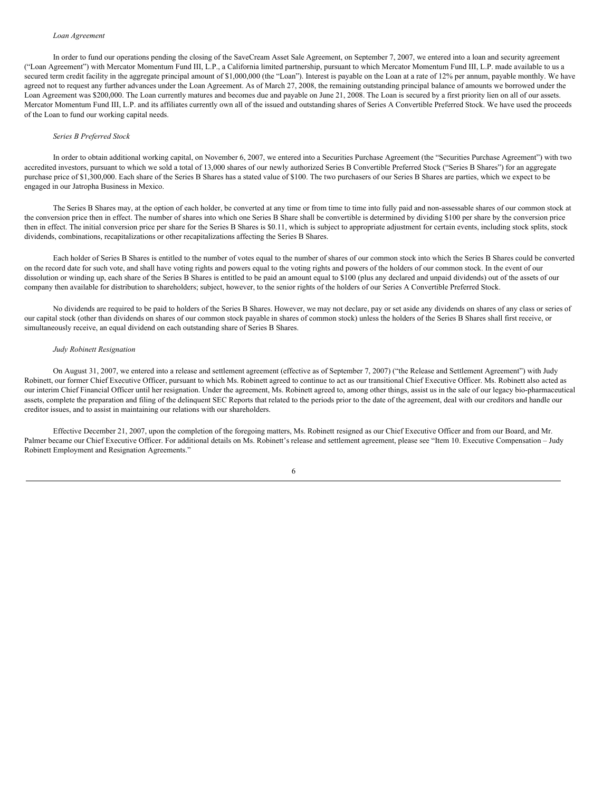#### *Loan Agreement*

In order to fund our operations pending the closing of the SaveCream Asset Sale Agreement, on September 7, 2007, we entered into a loan and security agreement ("Loan Agreement") with Mercator Momentum Fund III, L.P., a California limited partnership, pursuant to which Mercator Momentum Fund III, L.P. made available to us a secured term credit facility in the aggregate principal amount of \$1,000,000 (the "Loan"). Interest is payable on the Loan at a rate of 12% per annum, payable monthly. We have agreed not to request any further advances under the Loan Agreement. As of March 27, 2008, the remaining outstanding principal balance of amounts we borrowed under the Loan Agreement was \$200,000. The Loan currently matures and becomes due and payable on June 21, 2008. The Loan is secured by a first priority lien on all of our assets. Mercator Momentum Fund III, L.P. and its affiliates currently own all of the issued and outstanding shares of Series A Convertible Preferred Stock. We have used the proceeds of the Loan to fund our working capital needs.

#### *Series B Preferred Stock*

In order to obtain additional working capital, on November 6, 2007, we entered into a Securities Purchase Agreement (the "Securities Purchase Agreement") with two accredited investors, pursuant to which we sold a total of 13,000 shares of our newly authorized Series B Convertible Preferred Stock ("Series B Shares") for an aggregate purchase price of \$1,300,000. Each share of the Series B Shares has a stated value of \$100. The two purchasers of our Series B Shares are parties, which we expect to be engaged in our Jatropha Business in Mexico.

The Series B Shares may, at the option of each holder, be converted at any time or from time to time into fully paid and non-assessable shares of our common stock at the conversion price then in effect. The number of shares into which one Series B Share shall be convertible is determined by dividing \$100 per share by the conversion price then in effect. The initial conversion price per share for the Series B Shares is \$0.11, which is subject to appropriate adjustment for certain events, including stock splits, stock dividends, combinations, recapitalizations or other recapitalizations affecting the Series B Shares.

Each holder of Series B Shares is entitled to the number of votes equal to the number of shares of our common stock into which the Series B Shares could be converted on the record date for such vote, and shall have voting rights and powers equal to the voting rights and powers of the holders of our common stock. In the event of our dissolution or winding up, each share of the Series B Shares is entitled to be paid an amount equal to \$100 (plus any declared and unpaid dividends) out of the assets of our company then available for distribution to shareholders; subject, however, to the senior rights of the holders of our Series A Convertible Preferred Stock.

No dividends are required to be paid to holders of the Series B Shares. However, we may not declare, pay or set aside any dividends on shares of any class or series of our capital stock (other than dividends on shares of our common stock payable in shares of common stock) unless the holders of the Series B Shares shall first receive, or simultaneously receive, an equal dividend on each outstanding share of Series B Shares.

#### *Judy Robinett Resignation*

On August 31, 2007, we entered into a release and settlement agreement (effective as of September 7, 2007) ("the Release and Settlement Agreement") with Judy Robinett, our former Chief Executive Officer, pursuant to which Ms. Robinett agreed to continue to act as our transitional Chief Executive Officer. Ms. Robinett also acted as our interim Chief Financial Officer until her resignation. Under the agreement, Ms. Robinett agreed to, among other things, assist us in the sale of our legacy bio-pharmaceutical assets, complete the preparation and filing of the delinquent SEC Reports that related to the periods prior to the date of the agreement, deal with our creditors and handle our creditor issues, and to assist in maintaining our relations with our shareholders.

Effective December 21, 2007, upon the completion of the foregoing matters, Ms. Robinett resigned as our Chief Executive Officer and from our Board, and Mr. Palmer became our Chief Executive Officer. For additional details on Ms. Robinett's release and settlement agreement, please see "Item 10. Executive Compensation – Judy Robinett Employment and Resignation Agreements."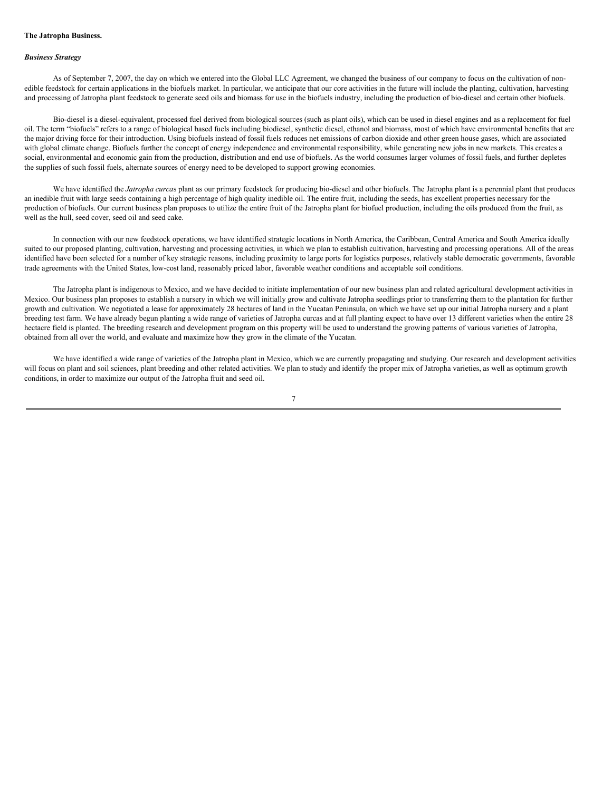#### **The Jatropha Business.**

#### *Business Strategy*

As of September 7, 2007, the day on which we entered into the Global LLC Agreement, we changed the business of our company to focus on the cultivation of nonedible feedstock for certain applications in the biofuels market. In particular, we anticipate that our core activities in the future will include the planting, cultivation, harvesting and processing of Jatropha plant feedstock to generate seed oils and biomass for use in the biofuels industry, including the production of bio-diesel and certain other biofuels.

Bio-diesel is a diesel-equivalent, processed fuel derived from biological sources (such as plant oils), which can be used in diesel engines and as a replacement for fuel oil. The term "biofuels" refers to a range of biological based fuels including biodiesel, synthetic diesel, ethanol and biomass, most of which have environmental benefits that are the major driving force for their introduction. Using biofuels instead of fossil fuels reduces net emissions of carbon dioxide and other green house gases, which are associated with global climate change. Biofuels further the concept of energy independence and environmental responsibility, while generating new jobs in new markets. This creates a social, environmental and economic gain from the production, distribution and end use of biofuels. As the world consumes larger volumes of fossil fuels, and further depletes the supplies of such fossil fuels, alternate sources of energy need to be developed to support growing economies.

We have identified the *Jatropha curcas* plant as our primary feedstock for producing bio-diesel and other biofuels. The Jatropha plant is a perennial plant that produces an inedible fruit with large seeds containing a high percentage of high quality inedible oil. The entire fruit, including the seeds, has excellent properties necessary for the production of biofuels. Our current business plan proposes to utilize the entire fruit of the Jatropha plant for biofuel production, including the oils produced from the fruit, as well as the hull, seed cover, seed oil and seed cake.

In connection with our new feedstock operations, we have identified strategic locations in North America, the Caribbean, Central America and South America ideally suited to our proposed planting, cultivation, harvesting and processing activities, in which we plan to establish cultivation, harvesting and processing operations. All of the areas identified have been selected for a number of key strategic reasons, including proximity to large ports for logistics purposes, relatively stable democratic governments, favorable trade agreements with the United States, low-cost land, reasonably priced labor, favorable weather conditions and acceptable soil conditions.

The Jatropha plant is indigenous to Mexico, and we have decided to initiate implementation of our new business plan and related agricultural development activities in Mexico. Our business plan proposes to establish a nursery in which we will initially grow and cultivate Jatropha seedlings prior to transferring them to the plantation for further growth and cultivation. We negotiated a lease for approximately 28 hectares of land in the Yucatan Peninsula, on which we have set up our initial Jatropha nursery and a plant breeding test farm. We have already begun planting a wide range of varieties of Jatropha curcas and at full planting expect to have over 13 different varieties when the entire 28 hectacre field is planted. The breeding research and development program on this property will be used to understand the growing patterns of various varieties of Jatropha, obtained from all over the world, and evaluate and maximize how they grow in the climate of the Yucatan.

We have identified a wide range of varieties of the Jatropha plant in Mexico, which we are currently propagating and studying. Our research and development activities will focus on plant and soil sciences, plant breeding and other related activities. We plan to study and identify the proper mix of Jatropha varieties, as well as optimum growth conditions, in order to maximize our output of the Jatropha fruit and seed oil.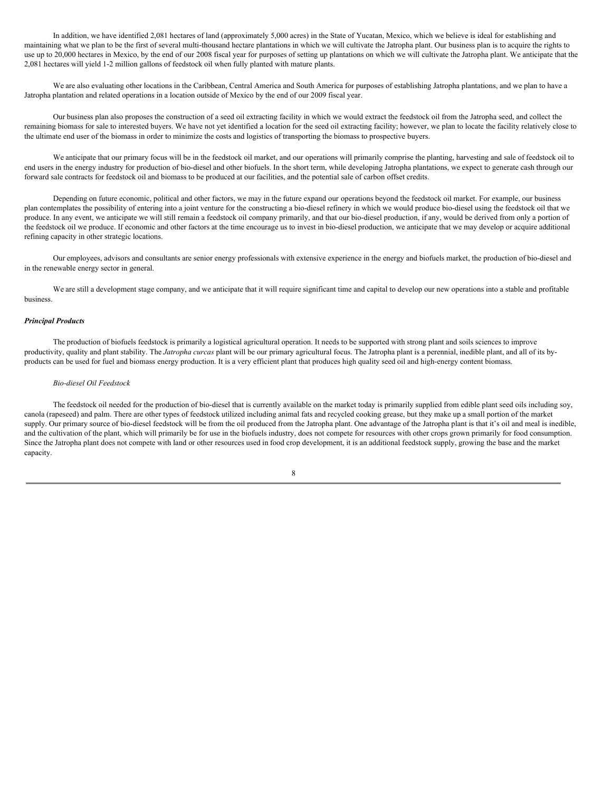In addition, we have identified 2,081 hectares of land (approximately 5,000 acres) in the State of Yucatan, Mexico, which we believe is ideal for establishing and maintaining what we plan to be the first of several multi-thousand hectare plantations in which we will cultivate the Jatropha plant. Our business plan is to acquire the rights to use up to 20,000 hectares in Mexico, by the end of our 2008 fiscal year for purposes of setting up plantations on which we will cultivate the Jatropha plant. We anticipate that the 2,081 hectares will yield 1-2 million gallons of feedstock oil when fully planted with mature plants.

We are also evaluating other locations in the Caribbean, Central America and South America for purposes of establishing Jatropha plantations, and we plan to have a Jatropha plantation and related operations in a location outside of Mexico by the end of our 2009 fiscal year.

Our business plan also proposes the construction of a seed oil extracting facility in which we would extract the feedstock oil from the Jatropha seed, and collect the remaining biomass for sale to interested buyers. We have not yet identified a location for the seed oil extracting facility; however, we plan to locate the facility relatively close to the ultimate end user of the biomass in order to minimize the costs and logistics of transporting the biomass to prospective buyers.

We anticipate that our primary focus will be in the feedstock oil market, and our operations will primarily comprise the planting, harvesting and sale of feedstock oil to end users in the energy industry for production of bio-diesel and other biofuels. In the short term, while developing Jatropha plantations, we expect to generate cash through our forward sale contracts for feedstock oil and biomass to be produced at our facilities, and the potential sale of carbon offset credits.

Depending on future economic, political and other factors, we may in the future expand our operations beyond the feedstock oil market. For example, our business plan contemplates the possibility of entering into a joint venture for the constructing a bio-diesel refinery in which we would produce bio-diesel using the feedstock oil that we produce. In any event, we anticipate we will still remain a feedstock oil company primarily, and that our bio-diesel production, if any, would be derived from only a portion of the feedstock oil we produce. If economic and other factors at the time encourage us to invest in bio-diesel production, we anticipate that we may develop or acquire additional refining capacity in other strategic locations.

Our employees, advisors and consultants are senior energy professionals with extensive experience in the energy and biofuels market, the production of bio-diesel and in the renewable energy sector in general.

We are still a development stage company, and we anticipate that it will require significant time and capital to develop our new operations into a stable and profitable business.

#### *Principal Products*

The production of biofuels feedstock is primarily a logistical agricultural operation. It needs to be supported with strong plant and soils sciences to improve productivity, quality and plant stability. The *Jatropha curcas* plant will be our primary agricultural focus. The Jatropha plant is a perennial, inedible plant, and all of its byproducts can be used for fuel and biomass energy production. It is a very efficient plant that produces high quality seed oil and high-energy content biomass.

#### *Bio-diesel Oil Feedstock*

The feedstock oil needed for the production of bio-diesel that is currently available on the market today is primarily supplied from edible plant seed oils including soy, canola (rapeseed) and palm. There are other types of feedstock utilized including animal fats and recycled cooking grease, but they make up a small portion of the market supply. Our primary source of bio-diesel feedstock will be from the oil produced from the Jatropha plant. One advantage of the Jatropha plant is that it's oil and meal is inedible, and the cultivation of the plant, which will primarily be for use in the biofuels industry, does not compete for resources with other crops grown primarily for food consumption. Since the Jatropha plant does not compete with land or other resources used in food crop development, it is an additional feedstock supply, growing the base and the market capacity.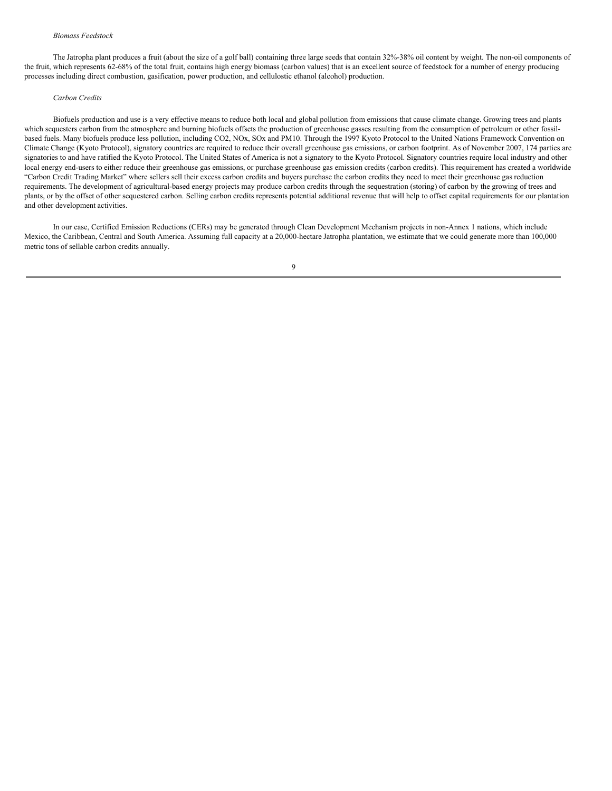#### *Biomass Feedstock*

The Jatropha plant produces a fruit (about the size of a golf ball) containing three large seeds that contain 32%-38% oil content by weight. The non-oil components of the fruit, which represents 62-68% of the total fruit, contains high energy biomass (carbon values) that is an excellent source of feedstock for a number of energy producing processes including direct combustion, gasification, power production, and cellulostic ethanol (alcohol) production.

#### *Carbon Credits*

Biofuels production and use is a very effective means to reduce both local and global pollution from emissions that cause climate change. Growing trees and plants which sequesters carbon from the atmosphere and burning biofuels offsets the production of greenhouse gasses resulting from the consumption of petroleum or other fossilbased fuels. Many biofuels produce less pollution, including CO2, NOx, SOx and PM10. Through the 1997 Kyoto Protocol to the United Nations Framework Convention on Climate Change (Kyoto Protocol), signatory countries are required to reduce their overall greenhouse gas emissions, or carbon footprint. As of November 2007, 174 parties are signatories to and have ratified the Kyoto Protocol. The United States of America is not a signatory to the Kyoto Protocol. Signatory countries require local industry and other local energy end-users to either reduce their greenhouse gas emissions, or purchase greenhouse gas emission credits (carbon credits). This requirement has created a worldwide "Carbon Credit Trading Market" where sellers sell their excess carbon credits and buyers purchase the carbon credits they need to meet their greenhouse gas reduction requirements. The development of agricultural-based energy projects may produce carbon credits through the sequestration (storing) of carbon by the growing of trees and plants, or by the offset of other sequestered carbon. Selling carbon credits represents potential additional revenue that will help to offset capital requirements for our plantation and other development activities.

In our case, Certified Emission Reductions (CERs) may be generated through Clean Development Mechanism projects in non-Annex 1 nations, which include Mexico, the Caribbean, Central and South America. Assuming full capacity at a 20,000-hectare Jatropha plantation, we estimate that we could generate more than 100,000 metric tons of sellable carbon credits annually.

 $\overline{Q}$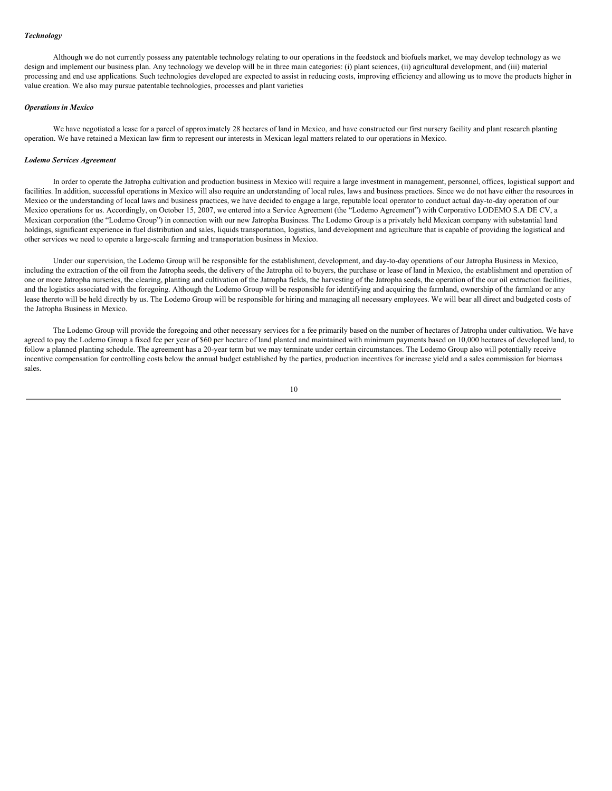#### *Technology*

Although we do not currently possess any patentable technology relating to our operations in the feedstock and biofuels market, we may develop technology as we design and implement our business plan. Any technology we develop will be in three main categories: (i) plant sciences, (ii) agricultural development, and (iii) material processing and end use applications. Such technologies developed are expected to assist in reducing costs, improving efficiency and allowing us to move the products higher in value creation. We also may pursue patentable technologies, processes and plant varieties

#### *Operations in Mexico*

We have negotiated a lease for a parcel of approximately 28 hectares of land in Mexico, and have constructed our first nursery facility and plant research planting operation. We have retained a Mexican law firm to represent our interests in Mexican legal matters related to our operations in Mexico.

#### *Lodemo Services Agreement*

In order to operate the Jatropha cultivation and production business in Mexico will require a large investment in management, personnel, offices, logistical support and facilities. In addition, successful operations in Mexico will also require an understanding of local rules, laws and business practices. Since we do not have either the resources in Mexico or the understanding of local laws and business practices, we have decided to engage a large, reputable local operator to conduct actual day-to-day operation of our Mexico operations for us. Accordingly, on October 15, 2007, we entered into a Service Agreement (the "Lodemo Agreement") with Corporativo LODEMO S.A DE CV, a Mexican corporation (the "Lodemo Group") in connection with our new Jatropha Business. The Lodemo Group is a privately held Mexican company with substantial land holdings, significant experience in fuel distribution and sales, liquids transportation, logistics, land development and agriculture that is capable of providing the logistical and other services we need to operate a large-scale farming and transportation business in Mexico.

Under our supervision, the Lodemo Group will be responsible for the establishment, development, and day-to-day operations of our Jatropha Business in Mexico, including the extraction of the oil from the Jatropha seeds, the delivery of the Jatropha oil to buyers, the purchase or lease of land in Mexico, the establishment and operation of one or more Jatropha nurseries, the clearing, planting and cultivation of the Jatropha fields, the harvesting of the Jatropha seeds, the operation of the our oil extraction facilities, and the logistics associated with the foregoing. Although the Lodemo Group will be responsible for identifying and acquiring the farmland, ownership of the farmland or any lease thereto will be held directly by us. The Lodemo Group will be responsible for hiring and managing all necessary employees. We will bear all direct and budgeted costs of the Jatropha Business in Mexico.

The Lodemo Group will provide the foregoing and other necessary services for a fee primarily based on the number of hectares of Jatropha under cultivation. We have agreed to pay the Lodemo Group a fixed fee per year of \$60 per hectare of land planted and maintained with minimum payments based on 10,000 hectares of developed land, to follow a planned planting schedule. The agreement has a 20-year term but we may terminate under certain circumstances. The Lodemo Group also will potentially receive incentive compensation for controlling costs below the annual budget established by the parties, production incentives for increase yield and a sales commission for biomass sales.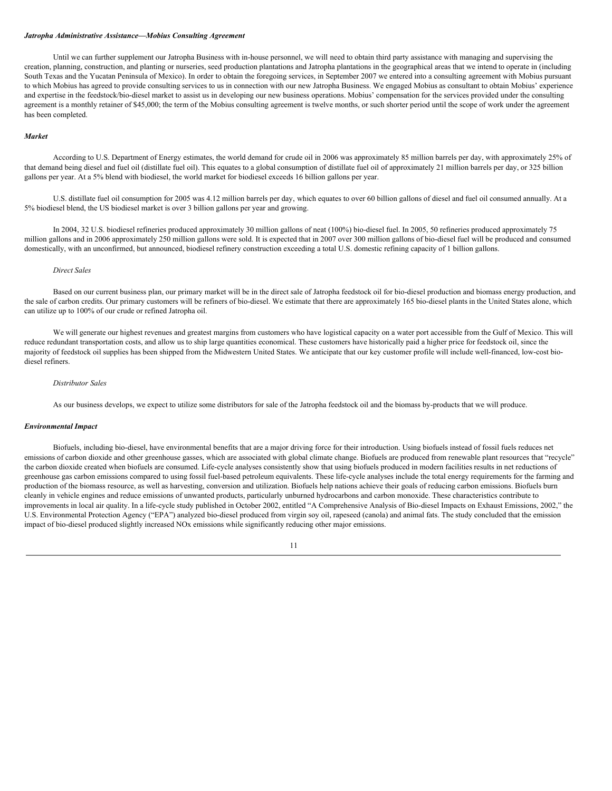#### *Jatropha Administrative Assistance—Mobius Consulting Agreement*

Until we can further supplement our Jatropha Business with in-house personnel, we will need to obtain third party assistance with managing and supervising the creation, planning, construction, and planting or nurseries, seed production plantations and Jatropha plantations in the geographical areas that we intend to operate in (including South Texas and the Yucatan Peninsula of Mexico). In order to obtain the foregoing services, in September 2007 we entered into a consulting agreement with Mobius pursuant to which Mobius has agreed to provide consulting services to us in connection with our new Jatropha Business. We engaged Mobius as consultant to obtain Mobius' experience and expertise in the feedstock/bio-diesel market to assist us in developing our new business operations. Mobius' compensation for the services provided under the consulting agreement is a monthly retainer of \$45,000; the term of the Mobius consulting agreement is twelve months, or such shorter period until the scope of work under the agreement has been completed.

#### *Market*

According to U.S. Department of Energy estimates, the world demand for crude oil in 2006 was approximately 85 million barrels per day, with approximately 25% of that demand being diesel and fuel oil (distillate fuel oil). This equates to a global consumption of distillate fuel oil of approximately 21 million barrels per day, or 325 billion gallons per year. At a 5% blend with biodiesel, the world market for biodiesel exceeds 16 billion gallons per year.

U.S. distillate fuel oil consumption for 2005 was 4.12 million barrels per day, which equates to over 60 billion gallons of diesel and fuel oil consumed annually. At a 5% biodiesel blend, the US biodiesel market is over 3 billion gallons per year and growing.

In 2004, 32 U.S. biodiesel refineries produced approximately 30 million gallons of neat (100%) bio-diesel fuel. In 2005, 50 refineries produced approximately 75 million gallons and in 2006 approximately 250 million gallons were sold. It is expected that in 2007 over 300 million gallons of bio-diesel fuel will be produced and consumed domestically, with an unconfirmed, but announced, biodiesel refinery construction exceeding a total U.S. domestic refining capacity of 1 billion gallons.

#### *Direct Sales*

Based on our current business plan, our primary market will be in the direct sale of Jatropha feedstock oil for bio-diesel production and biomass energy production, and the sale of carbon credits. Our primary customers will be refiners of bio-diesel. We estimate that there are approximately 165 bio-diesel plants in the United States alone, which can utilize up to 100% of our crude or refined Jatropha oil.

We will generate our highest revenues and greatest margins from customers who have logistical capacity on a water port accessible from the Gulf of Mexico. This will reduce redundant transportation costs, and allow us to ship large quantities economical. These customers have historically paid a higher price for feedstock oil, since the majority of feedstock oil supplies has been shipped from the Midwestern United States. We anticipate that our key customer profile will include well-financed, low-cost biodiesel refiners.

#### *Distributor Sales*

As our business develops, we expect to utilize some distributors for sale of the Jatropha feedstock oil and the biomass by-products that we will produce.

#### *Environmental Impact*

Biofuels, including bio-diesel, have environmental benefits that are a major driving force for their introduction. Using biofuels instead of fossil fuels reduces net emissions of carbon dioxide and other greenhouse gasses, which are associated with global climate change. Biofuels are produced from renewable plant resources that "recycle" the carbon dioxide created when biofuels are consumed. Life-cycle analyses consistently show that using biofuels produced in modern facilities results in net reductions of greenhouse gas carbon emissions compared to using fossil fuel-based petroleum equivalents. These life-cycle analyses include the total energy requirements for the farming and production of the biomass resource, as well as harvesting, conversion and utilization. Biofuels help nations achieve their goals of reducing carbon emissions. Biofuels burn cleanly in vehicle engines and reduce emissions of unwanted products, particularly unburned hydrocarbons and carbon monoxide. These characteristics contribute to improvements in local air quality. In a life-cycle study published in October 2002, entitled "A Comprehensive Analysis of Bio-diesel Impacts on Exhaust Emissions, 2002," the U.S. Environmental Protection Agency ("EPA") analyzed bio-diesel produced from virgin soy oil, rapeseed (canola) and animal fats. The study concluded that the emission impact of bio-diesel produced slightly increased NOx emissions while significantly reducing other major emissions.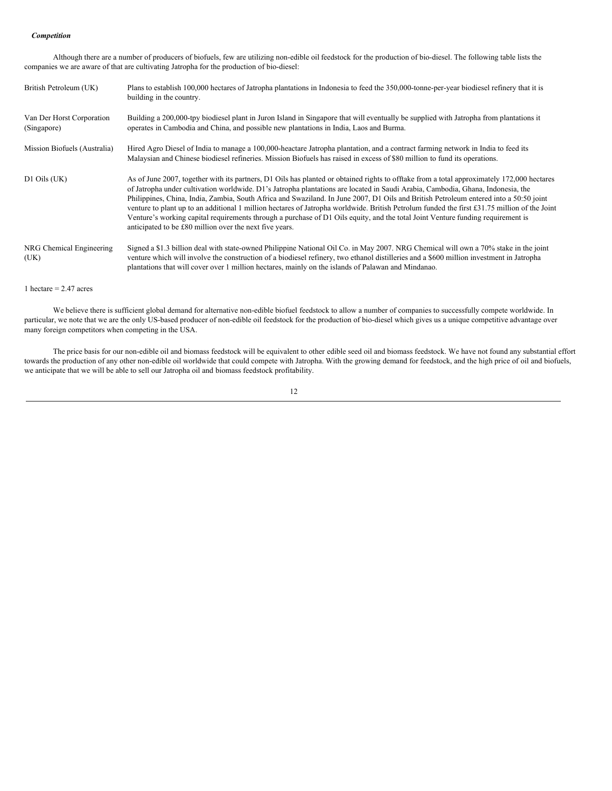## *Competition*

Although there are a number of producers of biofuels, few are utilizing non-edible oil feedstock for the production of bio-diesel. The following table lists the companies we are aware of that are cultivating Jatropha for the production of bio-diesel:

| British Petroleum (UK)                   | Plans to establish 100,000 hectares of Jatropha plantations in Indonesia to feed the 350,000-tonne-per-year biodiesel refinery that it is<br>building in the country.                                                                                                                                                                                                                                                                                                                                                                                                                                                                                                                                                                                                |
|------------------------------------------|----------------------------------------------------------------------------------------------------------------------------------------------------------------------------------------------------------------------------------------------------------------------------------------------------------------------------------------------------------------------------------------------------------------------------------------------------------------------------------------------------------------------------------------------------------------------------------------------------------------------------------------------------------------------------------------------------------------------------------------------------------------------|
| Van Der Horst Corporation<br>(Singapore) | Building a 200,000-tpy biodiesel plant in Juron Island in Singapore that will eventually be supplied with Jatropha from plantations it<br>operates in Cambodia and China, and possible new plantations in India, Laos and Burma.                                                                                                                                                                                                                                                                                                                                                                                                                                                                                                                                     |
| Mission Biofuels (Australia)             | Hired Agro Diesel of India to manage a 100,000-heactare Jatropha plantation, and a contract farming network in India to feed its<br>Malaysian and Chinese biodiesel refineries. Mission Biofuels has raised in excess of \$80 million to fund its operations.                                                                                                                                                                                                                                                                                                                                                                                                                                                                                                        |
| D1 Oils (UK)                             | As of June 2007, together with its partners, D1 Oils has planted or obtained rights to offtake from a total approximately 172,000 hectares<br>of Jatropha under cultivation worldwide. D1's Jatropha plantations are located in Saudi Arabia, Cambodia, Ghana, Indonesia, the<br>Philippines, China, India, Zambia, South Africa and Swaziland. In June 2007, D1 Oils and British Petroleum entered into a 50:50 joint<br>venture to plant up to an additional 1 million hectares of Jatropha worldwide. British Petrolum funded the first £31.75 million of the Joint<br>Venture's working capital requirements through a purchase of D1 Oils equity, and the total Joint Venture funding requirement is<br>anticipated to be £80 million over the next five years. |
| NRG Chemical Engineering<br>(UK)         | Signed a \$1.3 billion deal with state-owned Philippine National Oil Co. in May 2007. NRG Chemical will own a 70% stake in the joint<br>venture which will involve the construction of a biodiesel refinery, two ethanol distilleries and a \$600 million investment in Jatropha<br>plantations that will cover over 1 million hectares, mainly on the islands of Palawan and Mindanao.                                                                                                                                                                                                                                                                                                                                                                              |
| 1 hectare $= 2.47$ acres                 |                                                                                                                                                                                                                                                                                                                                                                                                                                                                                                                                                                                                                                                                                                                                                                      |

We believe there is sufficient global demand for alternative non-edible biofuel feedstock to allow a number of companies to successfully compete worldwide. In particular, we note that we are the only US-based producer of non-edible oil feedstock for the production of bio-diesel which gives us a unique competitive advantage over many foreign competitors when competing in the USA.

The price basis for our non-edible oil and biomass feedstock will be equivalent to other edible seed oil and biomass feedstock. We have not found any substantial effort towards the production of any other non-edible oil worldwide that could compete with Jatropha. With the growing demand for feedstock, and the high price of oil and biofuels, we anticipate that we will be able to sell our Jatropha oil and biomass feedstock profitability.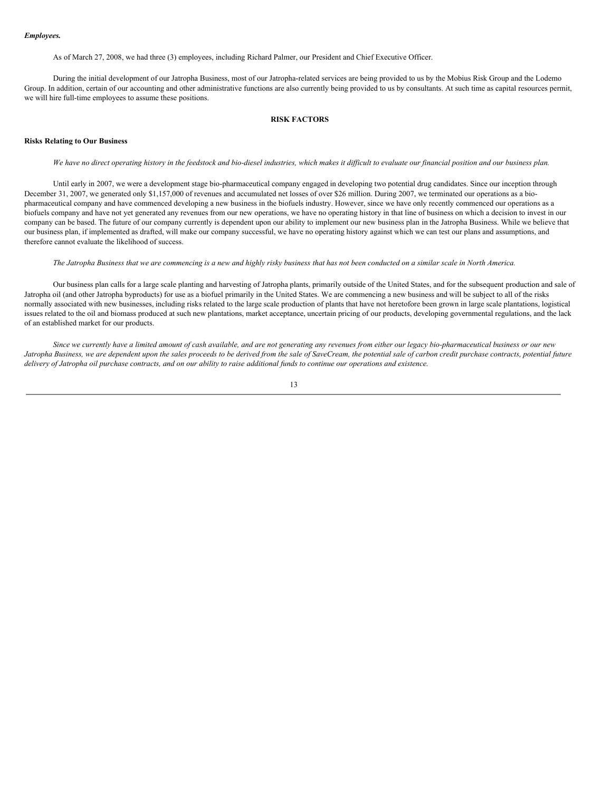As of March 27, 2008, we had three (3) employees, including Richard Palmer, our President and Chief Executive Officer.

During the initial development of our Jatropha Business, most of our Jatropha-related services are being provided to us by the Mobius Risk Group and the Lodemo Group. In addition, certain of our accounting and other administrative functions are also currently being provided to us by consultants. At such time as capital resources permit, we will hire full-time employees to assume these positions.

# **RISK FACTORS**

#### **Risks Relating to Our Business**

We have no direct operating history in the feedstock and bio-diesel industries, which makes it difficult to evaluate our financial position and our business plan.

Until early in 2007, we were a development stage bio-pharmaceutical company engaged in developing two potential drug candidates. Since our inception through December 31, 2007, we generated only \$1,157,000 of revenues and accumulated net losses of over \$26 million. During 2007, we terminated our operations as a biopharmaceutical company and have commenced developing a new business in the biofuels industry. However, since we have only recently commenced our operations as a biofuels company and have not yet generated any revenues from our new operations, we have no operating history in that line of business on which a decision to invest in our company can be based. The future of our company currently is dependent upon our ability to implement our new business plan in the Jatropha Business. While we believe that our business plan, if implemented as drafted, will make our company successful, we have no operating history against which we can test our plans and assumptions, and therefore cannot evaluate the likelihood of success.

The Jatropha Business that we are commencing is a new and highly risky business that has not been conducted on a similar scale in North America.

Our business plan calls for a large scale planting and harvesting of Jatropha plants, primarily outside of the United States, and for the subsequent production and sale of Jatropha oil (and other Jatropha byproducts) for use as a biofuel primarily in the United States. We are commencing a new business and will be subject to all of the risks normally associated with new businesses, including risks related to the large scale production of plants that have not heretofore been grown in large scale plantations, logistical issues related to the oil and biomass produced at such new plantations, market acceptance, uncertain pricing of our products, developing governmental regulations, and the lack of an established market for our products.

Since we currently have a limited amount of cash available, and are not generating any revenues from either our legacy bio-pharmaceutical business or our new Jatropha Business, we are dependent upon the sales proceeds to be derived from the sale of SaveCream, the potential sale of carbon credit purchase contracts, potential future delivery of Jatropha oil purchase contracts, and on our ability to raise additional funds to continue our operations and existence.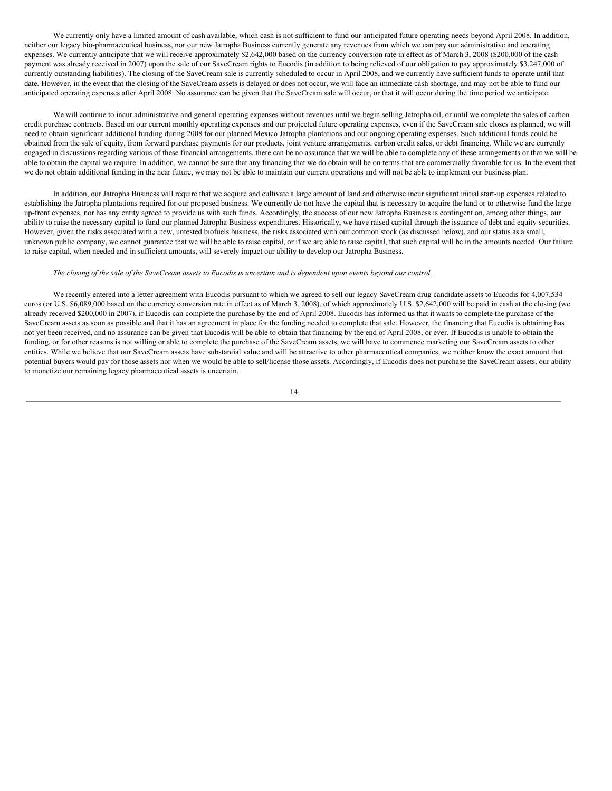We currently only have a limited amount of cash available, which cash is not sufficient to fund our anticipated future operating needs beyond April 2008. In addition, neither our legacy bio-pharmaceutical business, nor our new Jatropha Business currently generate any revenues from which we can pay our administrative and operating expenses. We currently anticipate that we will receive approximately \$2,642,000 based on the currency conversion rate in effect as of March 3, 2008 (\$200,000 of the cash payment was already received in 2007) upon the sale of our SaveCream rights to Eucodis (in addition to being relieved of our obligation to pay approximately \$3,247,000 of currently outstanding liabilities). The closing of the SaveCream sale is currently scheduled to occur in April 2008, and we currently have sufficient funds to operate until that date. However, in the event that the closing of the SaveCream assets is delayed or does not occur, we will face an immediate cash shortage, and may not be able to fund our anticipated operating expenses after April 2008. No assurance can be given that the SaveCream sale will occur, or that it will occur during the time period we anticipate.

We will continue to incur administrative and general operating expenses without revenues until we begin selling Jatropha oil, or until we complete the sales of carbon credit purchase contracts. Based on our current monthly operating expenses and our projected future operating expenses, even if the SaveCream sale closes as planned, we will need to obtain significant additional funding during 2008 for our planned Mexico Jatropha plantations and our ongoing operating expenses. Such additional funds could be obtained from the sale of equity, from forward purchase payments for our products, joint venture arrangements, carbon credit sales, or debt financing. While we are currently engaged in discussions regarding various of these financial arrangements, there can be no assurance that we will be able to complete any of these arrangements or that we will be able to obtain the capital we require. In addition, we cannot be sure that any financing that we do obtain will be on terms that are commercially favorable for us. In the event that we do not obtain additional funding in the near future, we may not be able to maintain our current operations and will not be able to implement our business plan.

In addition, our Jatropha Business will require that we acquire and cultivate a large amount of land and otherwise incur significant initial start-up expenses related to establishing the Jatropha plantations required for our proposed business. We currently do not have the capital that is necessary to acquire the land or to otherwise fund the large up-front expenses, nor has any entity agreed to provide us with such funds. Accordingly, the success of our new Jatropha Business is contingent on, among other things, our ability to raise the necessary capital to fund our planned Jatropha Business expenditures. Historically, we have raised capital through the issuance of debt and equity securities. However, given the risks associated with a new, untested biofuels business, the risks associated with our common stock (as discussed below), and our status as a small, unknown public company, we cannot guarantee that we will be able to raise capital, or if we are able to raise capital, that such capital will be in the amounts needed. Our failure to raise capital, when needed and in sufficient amounts, will severely impact our ability to develop our Jatropha Business.

## The closing of the sale of the SaveCream assets to Eucodis is uncertain and is dependent upon events beyond our control.

We recently entered into a letter agreement with Eucodis pursuant to which we agreed to sell our legacy SaveCream drug candidate assets to Eucodis for 4,007,534 euros (or U.S. \$6,089,000 based on the currency conversion rate in effect as of March 3, 2008), of which approximately U.S. \$2,642,000 will be paid in cash at the closing (we already received \$200,000 in 2007), if Eucodis can complete the purchase by the end of April 2008. Eucodis has informed us that it wants to complete the purchase of the SaveCream assets as soon as possible and that it has an agreement in place for the funding needed to complete that sale. However, the financing that Eucodis is obtaining has not yet been received, and no assurance can be given that Eucodis will be able to obtain that financing by the end of April 2008, or ever. If Eucodis is unable to obtain the funding, or for other reasons is not willing or able to complete the purchase of the SaveCream assets, we will have to commence marketing our SaveCream assets to other entities. While we believe that our SaveCream assets have substantial value and will be attractive to other pharmaceutical companies, we neither know the exact amount that potential buyers would pay for those assets nor when we would be able to sell/license those assets. Accordingly, if Eucodis does not purchase the SaveCream assets, our ability to monetize our remaining legacy pharmaceutical assets is uncertain.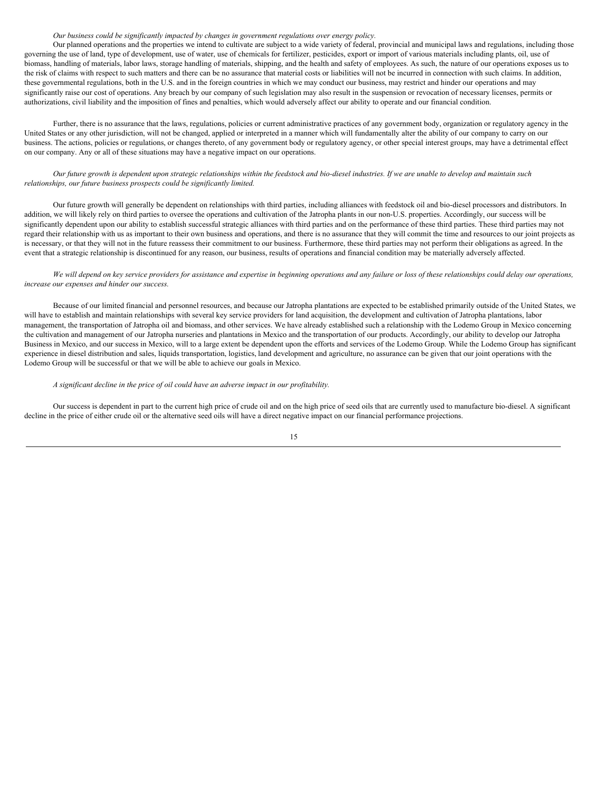## *Our business could be significantly impacted by changes in government regulations over energy policy.*

Our planned operations and the properties we intend to cultivate are subject to a wide variety of federal, provincial and municipal laws and regulations, including those governing the use of land, type of development, use of water, use of chemicals for fertilizer, pesticides, export or import of various materials including plants, oil, use of biomass, handling of materials, labor laws, storage handling of materials, shipping, and the health and safety of employees. As such, the nature of our operations exposes us to the risk of claims with respect to such matters and there can be no assurance that material costs or liabilities will not be incurred in connection with such claims. In addition, these governmental regulations, both in the U.S. and in the foreign countries in which we may conduct our business, may restrict and hinder our operations and may significantly raise our cost of operations. Any breach by our company of such legislation may also result in the suspension or revocation of necessary licenses, permits or authorizations, civil liability and the imposition of fines and penalties, which would adversely affect our ability to operate and our financial condition.

Further, there is no assurance that the laws, regulations, policies or current administrative practices of any government body, organization or regulatory agency in the United States or any other jurisdiction, will not be changed, applied or interpreted in a manner which will fundamentally alter the ability of our company to carry on our business. The actions, policies or regulations, or changes thereto, of any government body or regulatory agency, or other special interest groups, may have a detrimental effect on our company. Any or all of these situations may have a negative impact on our operations.

Our future growth is dependent upon strategic relationships within the feedstock and bio-diesel industries. If we are unable to develop and maintain such *relationships, our future business prospects could be significantly limited.*

Our future growth will generally be dependent on relationships with third parties, including alliances with feedstock oil and bio-diesel processors and distributors. In addition, we will likely rely on third parties to oversee the operations and cultivation of the Jatropha plants in our non-U.S. properties. Accordingly, our success will be significantly dependent upon our ability to establish successful strategic alliances with third parties and on the performance of these third parties. These third parties may not regard their relationship with us as important to their own business and operations, and there is no assurance that they will commit the time and resources to our joint projects as is necessary, or that they will not in the future reassess their commitment to our business. Furthermore, these third parties may not perform their obligations as agreed. In the event that a strategic relationship is discontinued for any reason, our business, results of operations and financial condition may be materially adversely affected.

We will depend on key service providers for assistance and expertise in beginning operations and any failure or loss of these relationships could delay our operations, *increase our expenses and hinder our success.*

Because of our limited financial and personnel resources, and because our Jatropha plantations are expected to be established primarily outside of the United States, we will have to establish and maintain relationships with several key service providers for land acquisition, the development and cultivation of Jatropha plantations, labor management, the transportation of Jatropha oil and biomass, and other services. We have already established such a relationship with the Lodemo Group in Mexico concerning the cultivation and management of our Jatropha nurseries and plantations in Mexico and the transportation of our products. Accordingly, our ability to develop our Jatropha Business in Mexico, and our success in Mexico, will to a large extent be dependent upon the efforts and services of the Lodemo Group. While the Lodemo Group has significant experience in diesel distribution and sales, liquids transportation, logistics, land development and agriculture, no assurance can be given that our joint operations with the Lodemo Group will be successful or that we will be able to achieve our goals in Mexico.

#### *A significant decline in the price of oil could have an adverse impact in our profitability.*

Our success is dependent in part to the current high price of crude oil and on the high price of seed oils that are currently used to manufacture bio-diesel. A significant decline in the price of either crude oil or the alternative seed oils will have a direct negative impact on our financial performance projections.

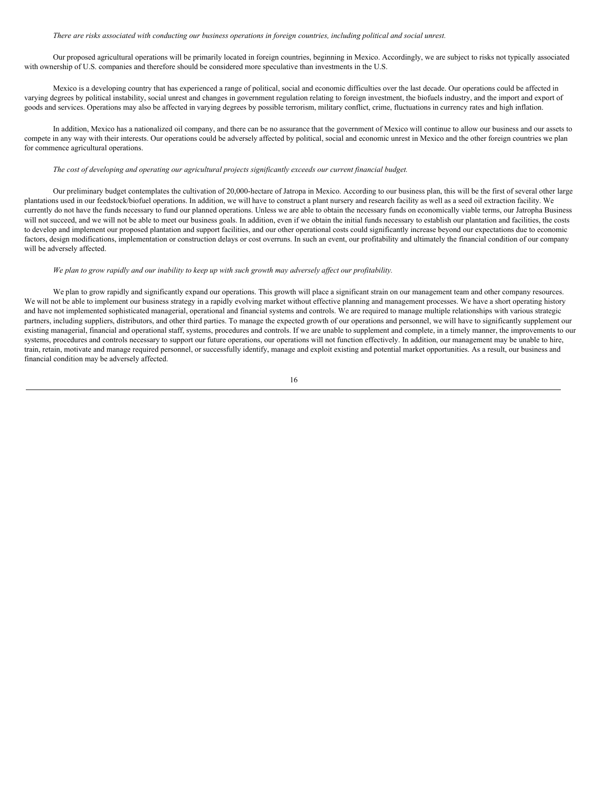Our proposed agricultural operations will be primarily located in foreign countries, beginning in Mexico. Accordingly, we are subject to risks not typically associated with ownership of U.S. companies and therefore should be considered more speculative than investments in the U.S.

Mexico is a developing country that has experienced a range of political, social and economic difficulties over the last decade. Our operations could be affected in varying degrees by political instability, social unrest and changes in government regulation relating to foreign investment, the biofuels industry, and the import and export of goods and services. Operations may also be affected in varying degrees by possible terrorism, military conflict, crime, fluctuations in currency rates and high inflation.

In addition, Mexico has a nationalized oil company, and there can be no assurance that the government of Mexico will continue to allow our business and our assets to compete in any way with their interests. Our operations could be adversely affected by political, social and economic unrest in Mexico and the other foreign countries we plan for commence agricultural operations.

## *The cost of developing and operating our agricultural projects significantly exceeds our current financial budget.*

Our preliminary budget contemplates the cultivation of 20,000-hectare of Jatropa in Mexico. According to our business plan, this will be the first of several other large plantations used in our feedstock/biofuel operations. In addition, we will have to construct a plant nursery and research facility as well as a seed oil extraction facility. We currently do not have the funds necessary to fund our planned operations. Unless we are able to obtain the necessary funds on economically viable terms, our Jatropha Business will not succeed, and we will not be able to meet our business goals. In addition, even if we obtain the initial funds necessary to establish our plantation and facilities, the costs to develop and implement our proposed plantation and support facilities, and our other operational costs could significantly increase beyond our expectations due to economic factors, design modifications, implementation or construction delays or cost overruns. In such an event, our profitability and ultimately the financial condition of our company will be adversely affected.

# We plan to grow rapidly and our inability to keep up with such growth may adversely affect our profitability.

We plan to grow rapidly and significantly expand our operations. This growth will place a significant strain on our management team and other company resources. We will not be able to implement our business strategy in a rapidly evolving market without effective planning and management processes. We have a short operating history and have not implemented sophisticated managerial, operational and financial systems and controls. We are required to manage multiple relationships with various strategic partners, including suppliers, distributors, and other third parties. To manage the expected growth of our operations and personnel, we will have to significantly supplement our existing managerial, financial and operational staff, systems, procedures and controls. If we are unable to supplement and complete, in a timely manner, the improvements to our systems, procedures and controls necessary to support our future operations, our operations will not function effectively. In addition, our management may be unable to hire, train, retain, motivate and manage required personnel, or successfully identify, manage and exploit existing and potential market opportunities. As a result, our business and financial condition may be adversely affected.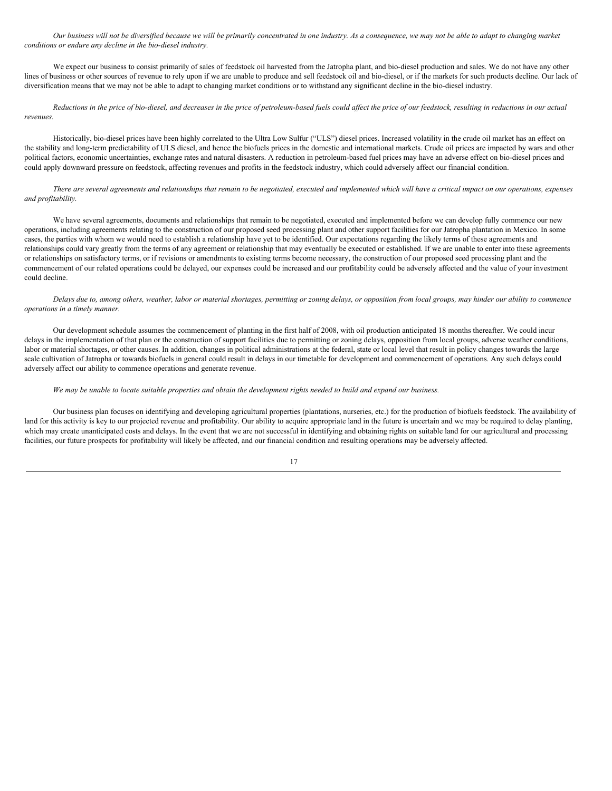Our business will not be diversified because we will be primarily concentrated in one industry. As a consequence, we may not be able to adapt to changing market *conditions or endure any decline in the bio-diesel industry.*

We expect our business to consist primarily of sales of feedstock oil harvested from the Jatropha plant, and bio-diesel production and sales. We do not have any other lines of business or other sources of revenue to rely upon if we are unable to produce and sell feedstock oil and bio-diesel, or if the markets for such products decline. Our lack of diversification means that we may not be able to adapt to changing market conditions or to withstand any significant decline in the bio-diesel industry.

Reductions in the price of bio-diesel, and decreases in the price of petroleum-based fuels could affect the price of our feedstock, resulting in reductions in our actual *revenues.*

Historically, bio-diesel prices have been highly correlated to the Ultra Low Sulfur ("ULS") diesel prices. Increased volatility in the crude oil market has an effect on the stability and long-term predictability of ULS diesel, and hence the biofuels prices in the domestic and international markets. Crude oil prices are impacted by wars and other political factors, economic uncertainties, exchange rates and natural disasters. A reduction in petroleum-based fuel prices may have an adverse effect on bio-diesel prices and could apply downward pressure on feedstock, affecting revenues and profits in the feedstock industry, which could adversely affect our financial condition.

There are several agreements and relationships that remain to be negotiated, executed and implemented which will have a critical impact on our operations, expenses *and profitability.*

We have several agreements, documents and relationships that remain to be negotiated, executed and implemented before we can develop fully commence our new operations, including agreements relating to the construction of our proposed seed processing plant and other support facilities for our Jatropha plantation in Mexico. In some cases, the parties with whom we would need to establish a relationship have yet to be identified. Our expectations regarding the likely terms of these agreements and relationships could vary greatly from the terms of any agreement or relationship that may eventually be executed or established. If we are unable to enter into these agreements or relationships on satisfactory terms, or if revisions or amendments to existing terms become necessary, the construction of our proposed seed processing plant and the commencement of our related operations could be delayed, our expenses could be increased and our profitability could be adversely affected and the value of your investment could decline.

Delays due to, among others, weather, labor or material shortages, permitting or zoning delays, or opposition from local groups, may hinder our ability to commence *operations in a timely manner.*

Our development schedule assumes the commencement of planting in the first half of 2008, with oil production anticipated 18 months thereafter. We could incur delays in the implementation of that plan or the construction of support facilities due to permitting or zoning delays, opposition from local groups, adverse weather conditions, labor or material shortages, or other causes. In addition, changes in political administrations at the federal, state or local level that result in policy changes towards the large scale cultivation of Jatropha or towards biofuels in general could result in delays in our timetable for development and commencement of operations. Any such delays could adversely affect our ability to commence operations and generate revenue.

### We may be unable to locate suitable properties and obtain the development rights needed to build and expand our business.

Our business plan focuses on identifying and developing agricultural properties (plantations, nurseries, etc.) for the production of biofuels feedstock. The availability of land for this activity is key to our projected revenue and profitability. Our ability to acquire appropriate land in the future is uncertain and we may be required to delay planting, which may create unanticipated costs and delays. In the event that we are not successful in identifying and obtaining rights on suitable land for our agricultural and processing facilities, our future prospects for profitability will likely be affected, and our financial condition and resulting operations may be adversely affected.

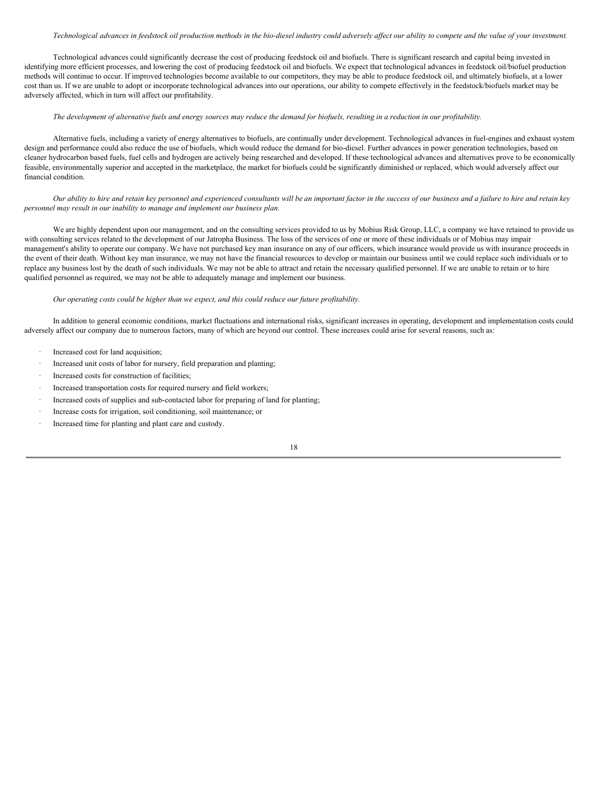#### Technological advances in feedstock oil production methods in the bio-diesel industry could adversely affect our ability to compete and the value of your investment.

Technological advances could significantly decrease the cost of producing feedstock oil and biofuels. There is significant research and capital being invested in identifying more efficient processes, and lowering the cost of producing feedstock oil and biofuels. We expect that technological advances in feedstock oil/biofuel production methods will continue to occur. If improved technologies become available to our competitors, they may be able to produce feedstock oil, and ultimately biofuels, at a lower cost than us. If we are unable to adopt or incorporate technological advances into our operations, our ability to compete effectively in the feedstock/biofuels market may be adversely affected, which in turn will affect our profitability.

#### The development of alternative fuels and energy sources may reduce the demand for biofuels, resulting in a reduction in our profitability.

Alternative fuels, including a variety of energy alternatives to biofuels, are continually under development. Technological advances in fuel-engines and exhaust system design and performance could also reduce the use of biofuels, which would reduce the demand for bio-diesel. Further advances in power generation technologies, based on cleaner hydrocarbon based fuels, fuel cells and hydrogen are actively being researched and developed. If these technological advances and alternatives prove to be economically feasible, environmentally superior and accepted in the marketplace, the market for biofuels could be significantly diminished or replaced, which would adversely affect our financial condition.

# Our ability to hire and retain key personnel and experienced consultants will be an important factor in the success of our business and a failure to hire and retain key *personnel may result in our inability to manage and implement our business plan.*

We are highly dependent upon our management, and on the consulting services provided to us by Mobius Risk Group, LLC, a company we have retained to provide us with consulting services related to the development of our Jatropha Business. The loss of the services of one or more of these individuals or of Mobius may impair management's ability to operate our company. We have not purchased key man insurance on any of our officers, which insurance would provide us with insurance proceeds in the event of their death. Without key man insurance, we may not have the financial resources to develop or maintain our business until we could replace such individuals or to replace any business lost by the death of such individuals. We may not be able to attract and retain the necessary qualified personnel. If we are unable to retain or to hire qualified personnel as required, we may not be able to adequately manage and implement our business.

#### *Our operating costs could be higher than we expect, and this could reduce our future profitability.*

In addition to general economic conditions, market fluctuations and international risks, significant increases in operating, development and implementation costs could adversely affect our company due to numerous factors, many of which are beyond our control. These increases could arise for several reasons, such as:

- Increased cost for land acquisition;
- Increased unit costs of labor for nursery, field preparation and planting;
- Increased costs for construction of facilities;
- Increased transportation costs for required nursery and field workers;
- Increased costs of supplies and sub-contacted labor for preparing of land for planting;
- · Increase costs for irrigation, soil conditioning, soil maintenance; or
- Increased time for planting and plant care and custody.

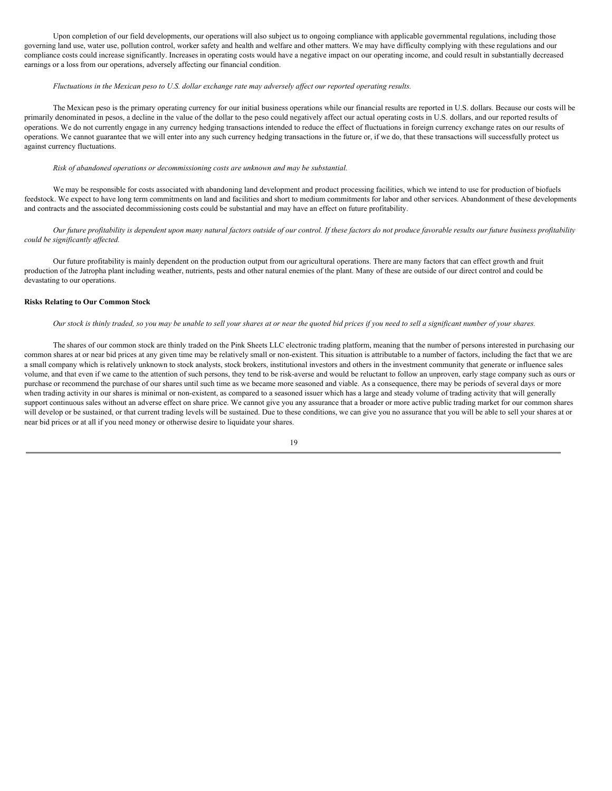Upon completion of our field developments, our operations will also subject us to ongoing compliance with applicable governmental regulations, including those governing land use, water use, pollution control, worker safety and health and welfare and other matters. We may have difficulty complying with these regulations and our compliance costs could increase significantly. Increases in operating costs would have a negative impact on our operating income, and could result in substantially decreased earnings or a loss from our operations, adversely affecting our financial condition.

## Fluctuations in the Mexican peso to U.S. dollar exchange rate may adversely affect our reported operating results.

The Mexican peso is the primary operating currency for our initial business operations while our financial results are reported in U.S. dollars. Because our costs will be primarily denominated in pesos, a decline in the value of the dollar to the peso could negatively affect our actual operating costs in U.S. dollars, and our reported results of operations. We do not currently engage in any currency hedging transactions intended to reduce the effect of fluctuations in foreign currency exchange rates on our results of operations. We cannot guarantee that we will enter into any such currency hedging transactions in the future or, if we do, that these transactions will successfully protect us against currency fluctuations.

#### *Risk of abandoned operations or decommissioning costs are unknown and may be substantial.*

We may be responsible for costs associated with abandoning land development and product processing facilities, which we intend to use for production of biofuels feedstock. We expect to have long term commitments on land and facilities and short to medium commitments for labor and other services. Abandonment of these developments and contracts and the associated decommissioning costs could be substantial and may have an effect on future profitability.

Our future profitability is dependent upon many natural factors outside of our control. If these factors do not produce favorable results our future business profitability *could be significantly af ected.*

Our future profitability is mainly dependent on the production output from our agricultural operations. There are many factors that can effect growth and fruit production of the Jatropha plant including weather, nutrients, pests and other natural enemies of the plant. Many of these are outside of our direct control and could be devastating to our operations.

#### **Risks Relating to Our Common Stock**

#### Our stock is thinly traded, so you may be unable to sell your shares at or near the quoted bid prices if you need to sell a significant number of your shares.

The shares of our common stock are thinly traded on the Pink Sheets LLC electronic trading platform, meaning that the number of persons interested in purchasing our common shares at or near bid prices at any given time may be relatively small or non-existent. This situation is attributable to a number of factors, including the fact that we are a small company which is relatively unknown to stock analysts, stock brokers, institutional investors and others in the investment community that generate or influence sales volume, and that even if we came to the attention of such persons, they tend to be risk-averse and would be reluctant to follow an unproven, early stage company such as ours or purchase or recommend the purchase of our shares until such time as we became more seasoned and viable. As a consequence, there may be periods of several days or more when trading activity in our shares is minimal or non-existent, as compared to a seasoned issuer which has a large and steady volume of trading activity that will generally support continuous sales without an adverse effect on share price. We cannot give you any assurance that a broader or more active public trading market for our common shares will develop or be sustained, or that current trading levels will be sustained. Due to these conditions, we can give you no assurance that you will be able to sell your shares at or near bid prices or at all if you need money or otherwise desire to liquidate your shares.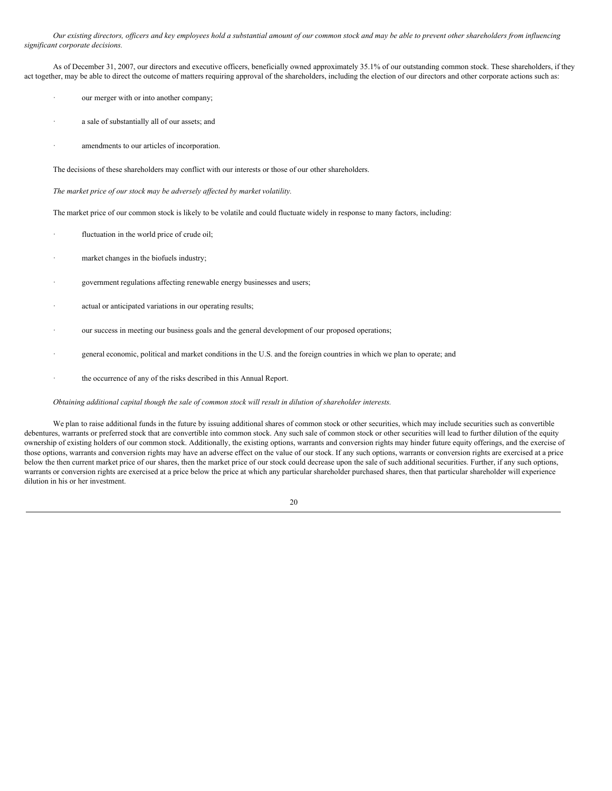Our existing directors, officers and key employees hold a substantial amount of our common stock and may be able to prevent other shareholders from influencing *significant corporate decisions.*

As of December 31, 2007, our directors and executive officers, beneficially owned approximately 35.1% of our outstanding common stock. These shareholders, if they act together, may be able to direct the outcome of matters requiring approval of the shareholders, including the election of our directors and other corporate actions such as:

- our merger with or into another company;
- a sale of substantially all of our assets; and
- amendments to our articles of incorporation.

The decisions of these shareholders may conflict with our interests or those of our other shareholders.

*The market price of our stock may be adversely af ected by market volatility.*

The market price of our common stock is likely to be volatile and could fluctuate widely in response to many factors, including:

- fluctuation in the world price of crude oil;
- market changes in the biofuels industry;
- government regulations affecting renewable energy businesses and users;
- actual or anticipated variations in our operating results;
- our success in meeting our business goals and the general development of our proposed operations;
- general economic, political and market conditions in the U.S. and the foreign countries in which we plan to operate; and
- the occurrence of any of the risks described in this Annual Report.

## *Obtaining additional capital though the sale of common stock will result in dilution of shareholder interests.*

We plan to raise additional funds in the future by issuing additional shares of common stock or other securities, which may include securities such as convertible debentures, warrants or preferred stock that are convertible into common stock. Any such sale of common stock or other securities will lead to further dilution of the equity ownership of existing holders of our common stock. Additionally, the existing options, warrants and conversion rights may hinder future equity offerings, and the exercise of those options, warrants and conversion rights may have an adverse effect on the value of our stock. If any such options, warrants or conversion rights are exercised at a price below the then current market price of our shares, then the market price of our stock could decrease upon the sale of such additional securities. Further, if any such options, warrants or conversion rights are exercised at a price below the price at which any particular shareholder purchased shares, then that particular shareholder will experience dilution in his or her investment.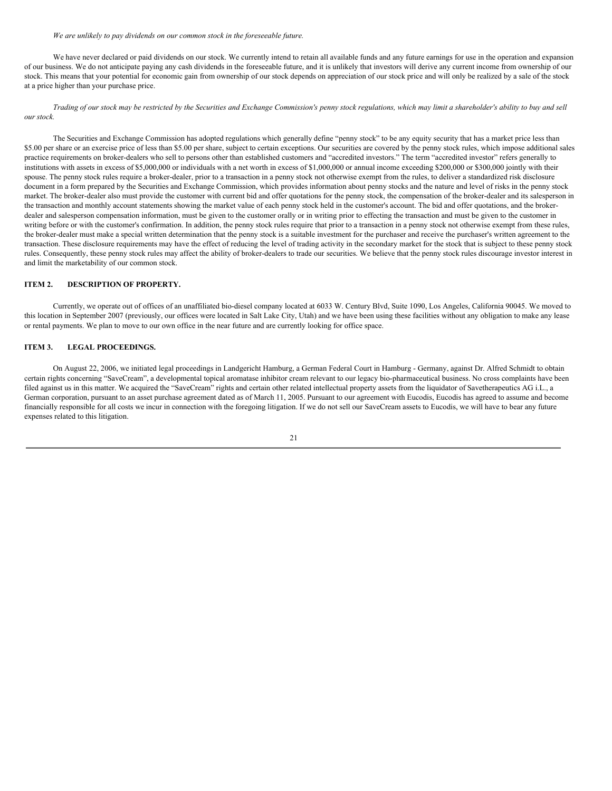#### *We are unlikely to pay dividends on our common stock in the foreseeable future.*

We have never declared or paid dividends on our stock. We currently intend to retain all available funds and any future earnings for use in the operation and expansion of our business. We do not anticipate paying any cash dividends in the foreseeable future, and it is unlikely that investors will derive any current income from ownership of our stock. This means that your potential for economic gain from ownership of our stock depends on appreciation of our stock price and will only be realized by a sale of the stock at a price higher than your purchase price.

Trading of our stock may be restricted by the Securities and Exchange Commission's penny stock regulations, which may limit a shareholder's ability to buy and sell *our stock.*

The Securities and Exchange Commission has adopted regulations which generally define "penny stock" to be any equity security that has a market price less than \$5.00 per share or an exercise price of less than \$5.00 per share, subject to certain exceptions. Our securities are covered by the penny stock rules, which impose additional sales practice requirements on broker-dealers who sell to persons other than established customers and "accredited investors." The term "accredited investor" refers generally to institutions with assets in excess of \$5,000,000 or individuals with a net worth in excess of \$1,000,000 or annual income exceeding \$200,000 or \$300,000 jointly with their spouse. The penny stock rules require a broker-dealer, prior to a transaction in a penny stock not otherwise exempt from the rules, to deliver a standardized risk disclosure document in a form prepared by the Securities and Exchange Commission, which provides information about penny stocks and the nature and level of risks in the penny stock market. The broker-dealer also must provide the customer with current bid and offer quotations for the penny stock, the compensation of the broker-dealer and its salesperson in the transaction and monthly account statements showing the market value of each penny stock held in the customer's account. The bid and offer quotations, and the brokerdealer and salesperson compensation information, must be given to the customer orally or in writing prior to effecting the transaction and must be given to the customer in writing before or with the customer's confirmation. In addition, the penny stock rules require that prior to a transaction in a penny stock not otherwise exempt from these rules, the broker-dealer must make a special written determination that the penny stock is a suitable investment for the purchaser and receive the purchaser's written agreement to the transaction. These disclosure requirements may have the effect of reducing the level of trading activity in the secondary market for the stock that is subject to these penny stock rules. Consequently, these penny stock rules may affect the ability of broker-dealers to trade our securities. We believe that the penny stock rules discourage investor interest in and limit the marketability of our common stock.

# **ITEM 2. DESCRIPTION OF PROPERTY.**

Currently, we operate out of offices of an unaffiliated bio-diesel company located at 6033 W. Century Blvd, Suite 1090, Los Angeles, California 90045. We moved to this location in September 2007 (previously, our offices were located in Salt Lake City, Utah) and we have been using these facilities without any obligation to make any lease or rental payments. We plan to move to our own office in the near future and are currently looking for office space.

# **ITEM 3. LEGAL PROCEEDINGS.**

On August 22, 2006, we initiated legal proceedings in Landgericht Hamburg, a German Federal Court in Hamburg - Germany, against Dr. Alfred Schmidt to obtain certain rights concerning "SaveCream", a developmental topical aromatase inhibitor cream relevant to our legacy bio-pharmaceutical business. No cross complaints have been filed against us in this matter. We acquired the "SaveCream" rights and certain other related intellectual property assets from the liquidator of Savetherapeutics AG i.L., a German corporation, pursuant to an asset purchase agreement dated as of March 11, 2005. Pursuant to our agreement with Eucodis, Eucodis has agreed to assume and become financially responsible for all costs we incur in connection with the foregoing litigation. If we do not sell our SaveCream assets to Eucodis, we will have to bear any future expenses related to this litigation.

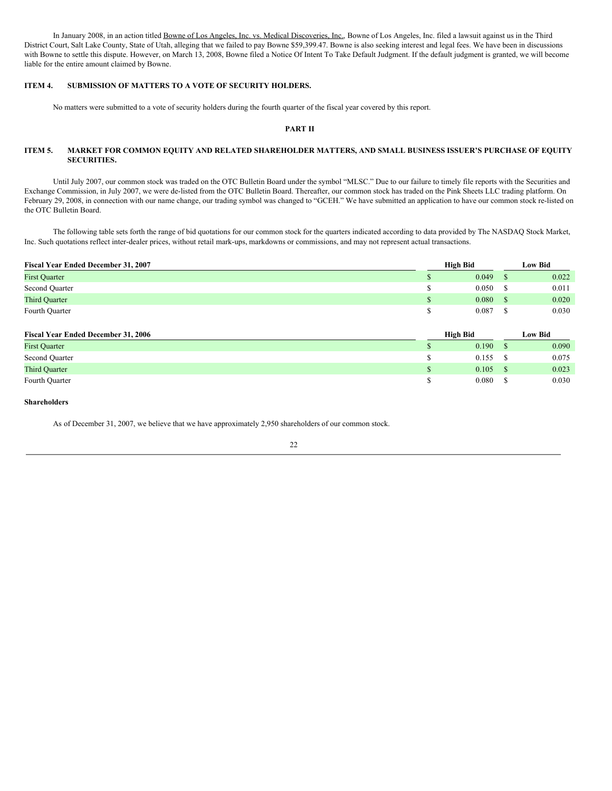In January 2008, in an action titled Bowne of Los Angeles, Inc. vs. Medical Discoveries, Inc., Bowne of Los Angeles, Inc. filed a lawsuit against us in the Third District Court, Salt Lake County, State of Utah, alleging that we failed to pay Bowne \$59,399.47. Bowne is also seeking interest and legal fees. We have been in discussions with Bowne to settle this dispute. However, on March 13, 2008, Bowne filed a Notice Of Intent To Take Default Judgment. If the default judgment is granted, we will become liable for the entire amount claimed by Bowne.

# **ITEM 4. SUBMISSION OF MATTERS TO A VOTE OF SECURITY HOLDERS.**

No matters were submitted to a vote of security holders during the fourth quarter of the fiscal year covered by this report.

## **PART II**

## ITEM 5. MARKET FOR COMMON EQUITY AND RELATED SHAREHOLDER MATTERS, AND SMALL BUSINESS ISSUER'S PURCHASE OF EQUITY **SECURITIES.**

Until July 2007, our common stock was traded on the OTC Bulletin Board under the symbol "MLSC." Due to our failure to timely file reports with the Securities and Exchange Commission, in July 2007, we were de-listed from the OTC Bulletin Board. Thereafter, our common stock has traded on the Pink Sheets LLC trading platform. On February 29, 2008, in connection with our name change, our trading symbol was changed to "GCEH." We have submitted an application to have our common stock re-listed on the OTC Bulletin Board.

The following table sets forth the range of bid quotations for our common stock for the quarters indicated according to data provided by The NASDAQ Stock Market, Inc. Such quotations reflect inter-dealer prices, without retail mark-ups, markdowns or commissions, and may not represent actual transactions.

| <b>Fiscal Year Ended December 31, 2007</b> | <b>High Bid</b> |       | Low Bid |       |
|--------------------------------------------|-----------------|-------|---------|-------|
| <b>First Quarter</b>                       |                 | 0.049 |         | 0.022 |
| Second Quarter                             |                 | 0.050 |         | 0.011 |
| Third Ouarter                              |                 | 0.080 |         | 0.020 |
| Fourth Quarter                             |                 | 0.087 |         | 0.030 |

| <b>Fiscal Year Ended December 31, 2006</b> | High Bid |       | Low Bid |  |
|--------------------------------------------|----------|-------|---------|--|
| <b>First Quarter</b>                       |          | 0.190 | 0.090   |  |
| Second Quarter                             |          | 0.155 | 0.075   |  |
| Third Ouarter                              |          | 0.105 | 0.023   |  |
| Fourth Quarter                             |          | 0.080 | 0.030   |  |

#### **Shareholders**

As of December 31, 2007, we believe that we have approximately 2,950 shareholders of our common stock.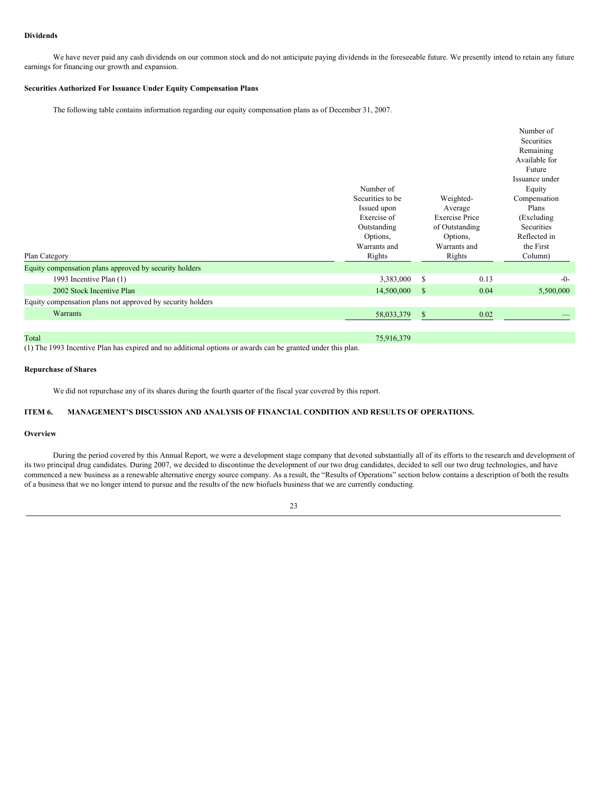# **Dividends**

We have never paid any cash dividends on our common stock and do not anticipate paying dividends in the foreseeable future. We presently intend to retain any future earnings for financing our growth and expansion.

# **Securities Authorized For Issuance Under Equity Compensation Plans**

The following table contains information regarding our equity compensation plans as of December 31, 2007.

| Plan Category                                              | Number of<br>Securities to be<br>Issued upon<br>Exercise of<br>Outstanding<br>Options,<br>Warrants and<br>Rights |               | Weighted-<br>Average<br><b>Exercise Price</b><br>of Outstanding<br>Options,<br>Warrants and<br>Rights | Number of<br>Securities<br>Remaining<br>Available for<br>Future<br>Issuance under<br>Equity<br>Compensation<br>Plans<br>(Excluding)<br>Securities<br>Reflected in<br>the First<br>Column) |
|------------------------------------------------------------|------------------------------------------------------------------------------------------------------------------|---------------|-------------------------------------------------------------------------------------------------------|-------------------------------------------------------------------------------------------------------------------------------------------------------------------------------------------|
| Equity compensation plans approved by security holders     |                                                                                                                  |               |                                                                                                       |                                                                                                                                                                                           |
| 1993 Incentive Plan (1)                                    | 3,383,000                                                                                                        | <sup>\$</sup> | 0.13                                                                                                  | $-()$ -                                                                                                                                                                                   |
| 2002 Stock Incentive Plan                                  | 14,500,000                                                                                                       | $\mathbb{S}$  | 0.04                                                                                                  | 5,500,000                                                                                                                                                                                 |
| Equity compensation plans not approved by security holders |                                                                                                                  |               |                                                                                                       |                                                                                                                                                                                           |
| Warrants                                                   | 58,033,379                                                                                                       | \$            | 0.02                                                                                                  |                                                                                                                                                                                           |
| Total                                                      | 75,916,379                                                                                                       |               |                                                                                                       |                                                                                                                                                                                           |

(1) The 1993 Incentive Plan has expired and no additional options or awards can be granted under this plan.

## **Repurchase of Shares**

We did not repurchase any of its shares during the fourth quarter of the fiscal year covered by this report.

# **ITEM 6. MANAGEMENT'S DISCUSSION AND ANALYSIS OF FINANCIAL CONDITION AND RESULTS OF OPERATIONS.**

### **Overview**

During the period covered by this Annual Report, we were a development stage company that devoted substantially all of its efforts to the research and development of its two principal drug candidates. During 2007, we decided to discontinue the development of our two drug candidates, decided to sell our two drug technologies, and have commenced a new business as a renewable alternative energy source company. As a result, the "Results of Operations" section below contains a description of both the results of a business that we no longer intend to pursue and the results of the new biofuels business that we are currently conducting.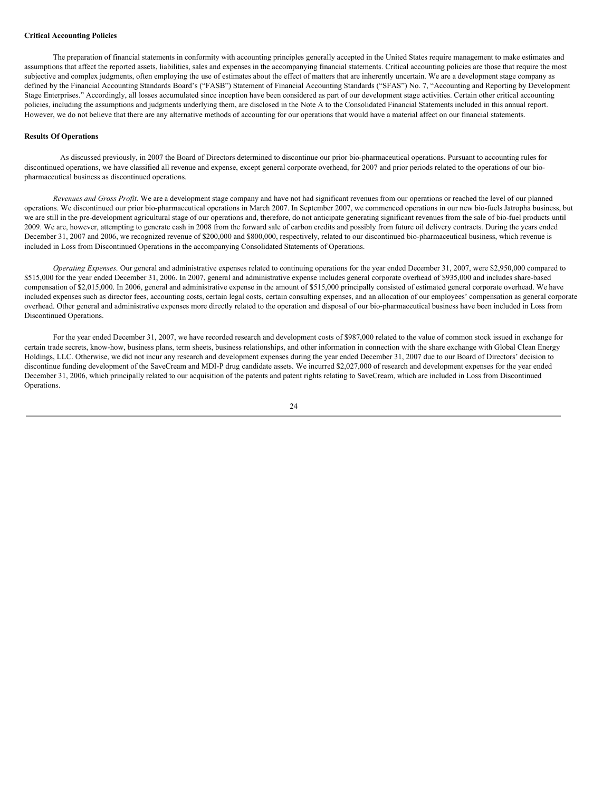#### **Critical Accounting Policies**

The preparation of financial statements in conformity with accounting principles generally accepted in the United States require management to make estimates and assumptions that affect the reported assets, liabilities, sales and expenses in the accompanying financial statements. Critical accounting policies are those that require the most subjective and complex judgments, often employing the use of estimates about the effect of matters that are inherently uncertain. We are a development stage company as defined by the Financial Accounting Standards Board's ("FASB") Statement of Financial Accounting Standards ("SFAS") No. 7, "Accounting and Reporting by Development Stage Enterprises." Accordingly, all losses accumulated since inception have been considered as part of our development stage activities. Certain other critical accounting policies, including the assumptions and judgments underlying them, are disclosed in the Note A to the Consolidated Financial Statements included in this annual report. However, we do not believe that there are any alternative methods of accounting for our operations that would have a material affect on our financial statements.

#### **Results Of Operations**

As discussed previously, in 2007 the Board of Directors determined to discontinue our prior bio-pharmaceutical operations. Pursuant to accounting rules for discontinued operations, we have classified all revenue and expense, except general corporate overhead, for 2007 and prior periods related to the operations of our biopharmaceutical business as discontinued operations.

*Revenues and Gross Profit*. We are a development stage company and have not had significant revenues from our operations or reached the level of our planned operations. We discontinued our prior bio-pharmaceutical operations in March 2007. In September 2007, we commenced operations in our new bio-fuels Jatropha business, but we are still in the pre-development agricultural stage of our operations and, therefore, do not anticipate generating significant revenues from the sale of bio-fuel products until 2009. We are, however, attempting to generate cash in 2008 from the forward sale of carbon credits and possibly from future oil delivery contracts. During the years ended December 31, 2007 and 2006, we recognized revenue of \$200,000 and \$800,000, respectively, related to our discontinued bio-pharmaceutical business, which revenue is included in Loss from Discontinued Operations in the accompanying Consolidated Statements of Operations.

*Operating Expenses*. Our general and administrative expenses related to continuing operations for the year ended December 31, 2007, were \$2,950,000 compared to \$515,000 for the year ended December 31, 2006. In 2007, general and administrative expense includes general corporate overhead of \$935,000 and includes share-based compensation of \$2,015,000. In 2006, general and administrative expense in the amount of \$515,000 principally consisted of estimated general corporate overhead. We have included expenses such as director fees, accounting costs, certain legal costs, certain consulting expenses, and an allocation of our employees' compensation as general corporate overhead. Other general and administrative expenses more directly related to the operation and disposal of our bio-pharmaceutical business have been included in Loss from Discontinued Operations.

For the year ended December 31, 2007, we have recorded research and development costs of \$987,000 related to the value of common stock issued in exchange for certain trade secrets, know-how, business plans, term sheets, business relationships, and other information in connection with the share exchange with Global Clean Energy Holdings, LLC. Otherwise, we did not incur any research and development expenses during the year ended December 31, 2007 due to our Board of Directors' decision to discontinue funding development of the SaveCream and MDI-P drug candidate assets. We incurred \$2,027,000 of research and development expenses for the year ended December 31, 2006, which principally related to our acquisition of the patents and patent rights relating to SaveCream, which are included in Loss from Discontinued Operations.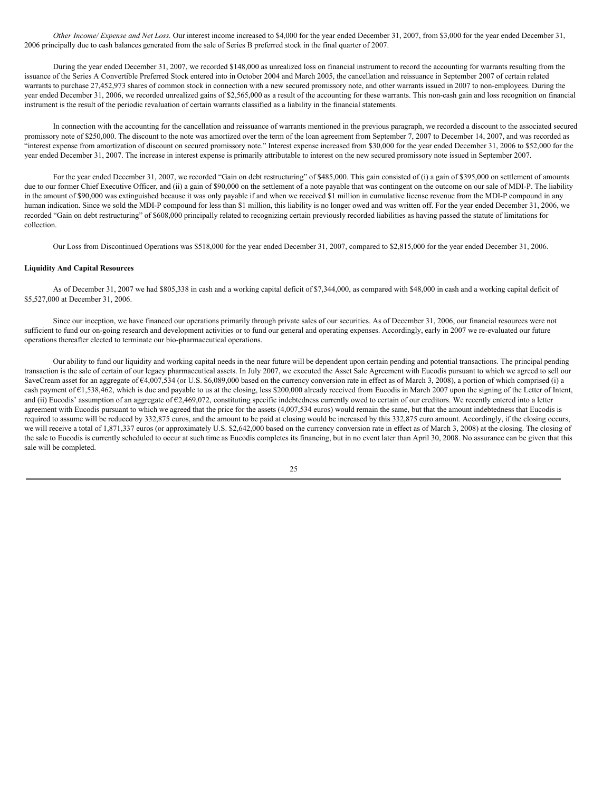*Other Income/ Expense and Net Loss*. Our interest income increased to \$4,000 for the year ended December 31, 2007, from \$3,000 for the year ended December 31, 2006 principally due to cash balances generated from the sale of Series B preferred stock in the final quarter of 2007.

During the year ended December 31, 2007, we recorded \$148,000 as unrealized loss on financial instrument to record the accounting for warrants resulting from the issuance of the Series A Convertible Preferred Stock entered into in October 2004 and March 2005, the cancellation and reissuance in September 2007 of certain related warrants to purchase 27,452,973 shares of common stock in connection with a new secured promissory note, and other warrants issued in 2007 to non-employees. During the year ended December 31, 2006, we recorded unrealized gains of \$2,565,000 as a result of the accounting for these warrants. This non-cash gain and loss recognition on financial instrument is the result of the periodic revaluation of certain warrants classified as a liability in the financial statements.

In connection with the accounting for the cancellation and reissuance of warrants mentioned in the previous paragraph, we recorded a discount to the associated secured promissory note of \$250,000. The discount to the note was amortized over the term of the loan agreement from September 7, 2007 to December 14, 2007, and was recorded as "interest expense from amortization of discount on secured promissory note." Interest expense increased from \$30,000 for the year ended December 31, 2006 to \$52,000 for the year ended December 31, 2007. The increase in interest expense is primarily attributable to interest on the new secured promissory note issued in September 2007.

For the year ended December 31, 2007, we recorded "Gain on debt restructuring" of \$485,000. This gain consisted of (i) a gain of \$395,000 on settlement of amounts due to our former Chief Executive Officer, and (ii) a gain of \$90,000 on the settlement of a note payable that was contingent on the outcome on our sale of MDI-P. The liability in the amount of \$90,000 was extinguished because it was only payable if and when we received \$1 million in cumulative license revenue from the MDI-P compound in any human indication. Since we sold the MDI-P compound for less than \$1 million, this liability is no longer owed and was written off. For the year ended December 31, 2006, we recorded "Gain on debt restructuring" of \$608,000 principally related to recognizing certain previously recorded liabilities as having passed the statute of limitations for collection.

Our Loss from Discontinued Operations was \$518,000 for the year ended December 31, 2007, compared to \$2,815,000 for the year ended December 31, 2006.

#### **Liquidity And Capital Resources**

As of December 31, 2007 we had \$805,338 in cash and a working capital deficit of \$7,344,000, as compared with \$48,000 in cash and a working capital deficit of \$5,527,000 at December 31, 2006.

Since our inception, we have financed our operations primarily through private sales of our securities. As of December 31, 2006, our financial resources were not sufficient to fund our on-going research and development activities or to fund our general and operating expenses. Accordingly, early in 2007 we re-evaluated our future operations thereafter elected to terminate our bio-pharmaceutical operations.

Our ability to fund our liquidity and working capital needs in the near future will be dependent upon certain pending and potential transactions. The principal pending transaction is the sale of certain of our legacy pharmaceutical assets. In July 2007, we executed the Asset Sale Agreement with Eucodis pursuant to which we agreed to sell our SaveCream asset for an aggregate of €4,007,534 (or U.S. \$6,089,000 based on the currency conversion rate in effect as of March 3, 2008), a portion of which comprised (i) a cash payment of €1,538,462, which is due and payable to us at the closing, less \$200,000 already received from Eucodis in March 2007 upon the signing of the Letter of Intent, and (ii) Eucodis' assumption of an aggregate of  $\epsilon$ 2,469,072, constituting specific indebtedness currently owed to certain of our creditors. We recently entered into a letter agreement with Eucodis pursuant to which we agreed that the price for the assets (4,007,534 euros) would remain the same, but that the amount indebtedness that Eucodis is required to assume will be reduced by 332,875 euros, and the amount to be paid at closing would be increased by this 332,875 euro amount. Accordingly, if the closing occurs, we will receive a total of 1,871,337 euros (or approximately U.S. \$2,642,000 based on the currency conversion rate in effect as of March 3, 2008) at the closing. The closing of the sale to Eucodis is currently scheduled to occur at such time as Eucodis completes its financing, but in no event later than April 30, 2008. No assurance can be given that this sale will be completed.

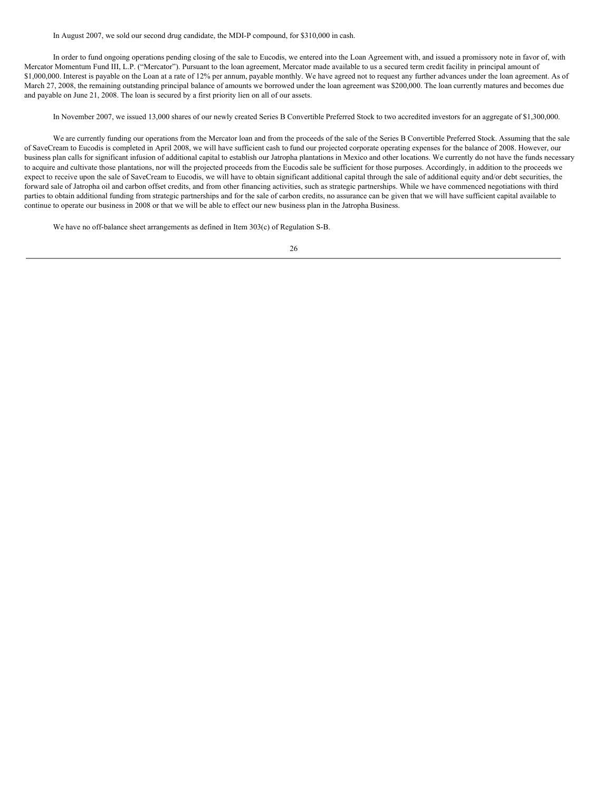In August 2007, we sold our second drug candidate, the MDI-P compound, for \$310,000 in cash.

In order to fund ongoing operations pending closing of the sale to Eucodis, we entered into the Loan Agreement with, and issued a promissory note in favor of, with Mercator Momentum Fund III, L.P. ("Mercator"). Pursuant to the loan agreement, Mercator made available to us a secured term credit facility in principal amount of \$1,000,000. Interest is payable on the Loan at a rate of 12% per annum, payable monthly. We have agreed not to request any further advances under the loan agreement. As of March 27, 2008, the remaining outstanding principal balance of amounts we borrowed under the loan agreement was \$200,000. The loan currently matures and becomes due and payable on June 21, 2008. The loan is secured by a first priority lien on all of our assets.

In November 2007, we issued 13,000 shares of our newly created Series B Convertible Preferred Stock to two accredited investors for an aggregate of \$1,300,000.

We are currently funding our operations from the Mercator loan and from the proceeds of the sale of the Series B Convertible Preferred Stock. Assuming that the sale of SaveCream to Eucodis is completed in April 2008, we will have sufficient cash to fund our projected corporate operating expenses for the balance of 2008. However, our business plan calls for significant infusion of additional capital to establish our Jatropha plantations in Mexico and other locations. We currently do not have the funds necessary to acquire and cultivate those plantations, nor will the projected proceeds from the Eucodis sale be sufficient for those purposes. Accordingly, in addition to the proceeds we expect to receive upon the sale of SaveCream to Eucodis, we will have to obtain significant additional capital through the sale of additional equity and/or debt securities, the forward sale of Jatropha oil and carbon offset credits, and from other financing activities, such as strategic partnerships. While we have commenced negotiations with third parties to obtain additional funding from strategic partnerships and for the sale of carbon credits, no assurance can be given that we will have sufficient capital available to continue to operate our business in 2008 or that we will be able to effect our new business plan in the Jatropha Business.

We have no off-balance sheet arrangements as defined in Item 303(c) of Regulation S-B.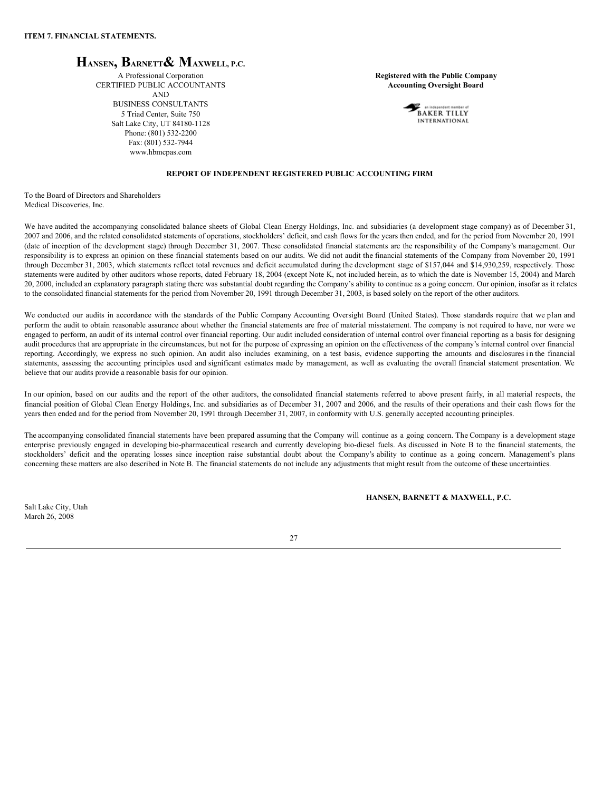# **HANSEN, BARNETT& MAXWELL, P.C.**

CERTIFIED PUBLIC ACCOUNTANTS **Accounting Oversight Board** AND BUSINESS CONSULTANTS 5 Triad Center, Suite 750 Salt Lake City, UT 84180-1128 Phone: (801) 532-2200 Fax: (801) 532-7944 www.hbmcpas.com

A Professional Corporation **Registered with the Public Company**



# **REPORT OF INDEPENDENT REGISTERED PUBLIC ACCOUNTING FIRM**

To the Board of Directors and Shareholders Medical Discoveries, Inc.

We have audited the accompanying consolidated balance sheets of Global Clean Energy Holdings, Inc. and subsidiaries (a development stage company) as of December 31, 2007 and 2006, and the related consolidated statements of operations, stockholders' deficit, and cash flows for the years then ended, and for the period from November 20, 1991 (date of inception of the development stage) through December 31, 2007. These consolidated financial statements are the responsibility of the Company's management. Our responsibility is to express an opinion on these financial statements based on our audits. We did not audit the financial statements of the Company from November 20, 1991 through December 31, 2003, which statements reflect total revenues and deficit accumulated during the development stage of \$157,044 and \$14,930,259, respectively. Those statements were audited by other auditors whose reports, dated February 18, 2004 (except Note K, not included herein, as to which the date is November 15, 2004) and March 20, 2000, included an explanatory paragraph stating there was substantial doubt regarding the Company's ability to continue as a going concern. Our opinion, insofar as it relates to the consolidated financial statements for the period from November 20, 1991 through December 31, 2003, is based solely on the report of the other auditors.

We conducted our audits in accordance with the standards of the Public Company Accounting Oversight Board (United States). Those standards require that we plan and perform the audit to obtain reasonable assurance about whether the financial statements are free of material misstatement. The company is not required to have, nor were we engaged to perform, an audit of its internal control over financial reporting. Our audit included consideration of internal control over financial reporting as a basis for designing audit procedures that are appropriate in the circumstances, but not for the purpose of expressing an opinion on the effectiveness of the company's internal control over financial reporting. Accordingly, we express no such opinion. An audit also includes examining, on a test basis, evidence supporting the amounts and disclosures in the financial statements, assessing the accounting principles used and significant estimates made by management, as well as evaluating the overall financial statement presentation. We believe that our audits provide a reasonable basis for our opinion.

In our opinion, based on our audits and the report of the other auditors, the consolidated financial statements referred to above present fairly, in all material respects, the financial position of Global Clean Energy Holdings, Inc. and subsidiaries as of December 31, 2007 and 2006, and the results of their operations and their cash flows for the years then ended and for the period from November 20, 1991 through December 31, 2007, in conformity with U.S. generally accepted accounting principles.

The accompanying consolidated financial statements have been prepared assuming that the Company will continue as a going concern. The Company is a development stage enterprise previously engaged in developing bio-pharmaceutical research and currently developing bio-diesel fuels. As discussed in Note B to the financial statements, the stockholders' deficit and the operating losses since inception raise substantial doubt about the Company's ability to continue as a going concern. Management's plans concerning these matters are also described in Note B. The financial statements do not include any adjustments that might result from the outcome of these uncertainties.

## **HANSEN, BARNETT & MAXWELL, P.C.**

Salt Lake City, Utah March 26, 2008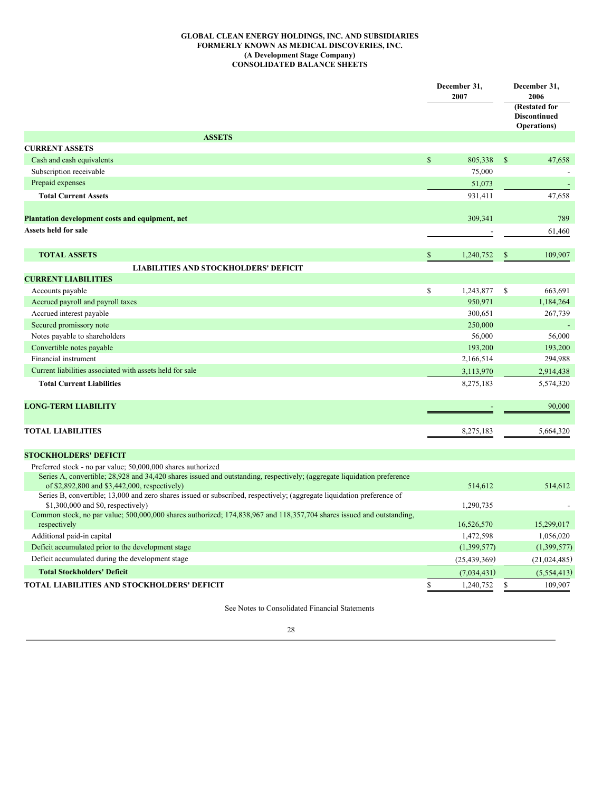# **GLOBAL CLEAN ENERGY HOLDINGS, INC. AND SUBSIDIARIES FORMERLY KNOWN AS MEDICAL DISCOVERIES, INC. (A Development Stage Company) CONSOLIDATED BALANCE SHEETS**

|                                                                                                                                                                          |              | December 31,<br>2007 |             | December 31,<br>2006<br>(Restated for<br><b>Discontinued</b><br><b>Operations</b> ) |
|--------------------------------------------------------------------------------------------------------------------------------------------------------------------------|--------------|----------------------|-------------|-------------------------------------------------------------------------------------|
| <b>ASSETS</b>                                                                                                                                                            |              |                      |             |                                                                                     |
| <b>CURRENT ASSETS</b>                                                                                                                                                    |              |                      |             |                                                                                     |
| Cash and cash equivalents                                                                                                                                                | $\mathbf S$  | 805,338              | $\mathbf S$ | 47,658                                                                              |
| Subscription receivable                                                                                                                                                  |              | 75,000               |             |                                                                                     |
| Prepaid expenses                                                                                                                                                         |              | 51,073               |             |                                                                                     |
| <b>Total Current Assets</b>                                                                                                                                              |              | 931,411              |             | 47,658                                                                              |
| Plantation development costs and equipment, net                                                                                                                          |              | 309,341              |             | 789                                                                                 |
| Assets held for sale                                                                                                                                                     |              |                      |             | 61,460                                                                              |
| <b>TOTAL ASSETS</b>                                                                                                                                                      | $\mathbb{S}$ | 1,240,752            | \$          | 109,907                                                                             |
| <b>LIABILITIES AND STOCKHOLDERS' DEFICIT</b>                                                                                                                             |              |                      |             |                                                                                     |
| <b>CURRENT LIABILITIES</b>                                                                                                                                               |              |                      |             |                                                                                     |
| Accounts payable                                                                                                                                                         | \$           | 1,243,877            | \$          | 663,691                                                                             |
| Accrued payroll and payroll taxes                                                                                                                                        |              | 950,971              |             | 1,184,264                                                                           |
| Accrued interest payable                                                                                                                                                 |              | 300,651              |             | 267,739                                                                             |
| Secured promissory note                                                                                                                                                  |              | 250,000              |             |                                                                                     |
| Notes payable to shareholders                                                                                                                                            |              | 56,000               |             | 56,000                                                                              |
| Convertible notes payable                                                                                                                                                |              | 193,200              |             | 193,200                                                                             |
| Financial instrument                                                                                                                                                     |              | 2,166,514            |             | 294,988                                                                             |
| Current liabilities associated with assets held for sale                                                                                                                 |              | 3,113,970            |             | 2,914,438                                                                           |
| <b>Total Current Liabilities</b>                                                                                                                                         |              | 8,275,183            |             | 5,574,320                                                                           |
| <b>LONG-TERM LIABILITY</b>                                                                                                                                               |              |                      |             | 90,000                                                                              |
| <b>TOTAL LIABILITIES</b>                                                                                                                                                 |              | 8,275,183            |             | 5,664,320                                                                           |
| <b>STOCKHOLDERS' DEFICIT</b>                                                                                                                                             |              |                      |             |                                                                                     |
| Preferred stock - no par value; 50,000,000 shares authorized                                                                                                             |              |                      |             |                                                                                     |
| Series A, convertible; 28,928 and 34,420 shares issued and outstanding, respectively; (aggregate liquidation preference<br>of \$2,892,800 and \$3,442,000, respectively) |              | 514,612              |             | 514,612                                                                             |
| Series B, convertible; 13,000 and zero shares issued or subscribed, respectively; (aggregate liquidation preference of<br>\$1,300,000 and \$0, respectively)             |              | 1,290,735            |             |                                                                                     |
| Common stock, no par value; 500,000,000 shares authorized; 174,838,967 and 118,357,704 shares issued and outstanding,<br>respectively                                    |              | 16,526,570           |             | 15,299,017                                                                          |
| Additional paid-in capital                                                                                                                                               |              | 1,472,598            |             | 1,056,020                                                                           |
| Deficit accumulated prior to the development stage                                                                                                                       |              | (1,399,577)          |             | (1,399,577)                                                                         |
| Deficit accumulated during the development stage                                                                                                                         |              | (25, 439, 369)       |             | (21,024,485)                                                                        |
| <b>Total Stockholders' Deficit</b>                                                                                                                                       |              | (7,034,431)          |             | (5,554,413)                                                                         |
| TOTAL LIABILITIES AND STOCKHOLDERS' DEFICIT                                                                                                                              | \$           | 1,240,752            | \$          | 109,907                                                                             |

See Notes to Consolidated Financial Statements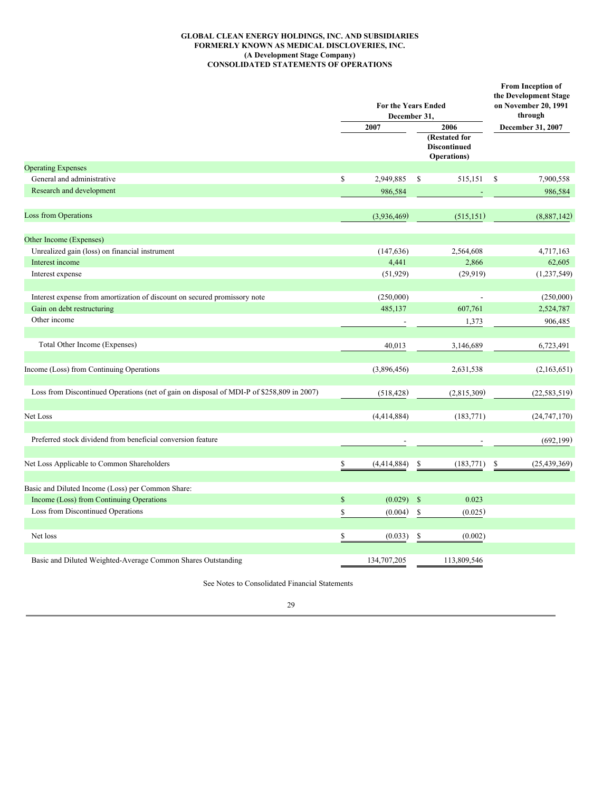# **GLOBAL CLEAN ENERGY HOLDINGS, INC. AND SUBSIDIARIES FORMERLY KNOWN AS MEDICAL DISCLOVERIES, INC. (A Development Stage Company) CONSOLIDATED STATEMENTS OF OPERATIONS**

|                                                                                           | <b>For the Years Ended</b><br>December 31, |               |                           |                                                                     |    | From Inception of<br>the Development Stage<br>on November 20, 1991<br>through |  |  |
|-------------------------------------------------------------------------------------------|--------------------------------------------|---------------|---------------------------|---------------------------------------------------------------------|----|-------------------------------------------------------------------------------|--|--|
|                                                                                           |                                            | 2007          |                           | 2006<br>(Restated for<br><b>Discontinued</b><br><b>Operations</b> ) |    | December 31, 2007                                                             |  |  |
| <b>Operating Expenses</b>                                                                 |                                            |               |                           |                                                                     |    |                                                                               |  |  |
| General and administrative                                                                | \$                                         | 2,949,885     | \$                        | 515,151                                                             | \$ | 7,900,558                                                                     |  |  |
| Research and development                                                                  |                                            | 986,584       |                           |                                                                     |    | 986,584                                                                       |  |  |
| <b>Loss from Operations</b>                                                               |                                            | (3,936,469)   |                           | (515, 151)                                                          |    | (8,887,142)                                                                   |  |  |
| Other Income (Expenses)                                                                   |                                            |               |                           |                                                                     |    |                                                                               |  |  |
| Unrealized gain (loss) on financial instrument                                            |                                            | (147, 636)    |                           | 2,564,608                                                           |    | 4,717,163                                                                     |  |  |
| Interest income                                                                           |                                            | 4,441         |                           | 2,866                                                               |    | 62,605                                                                        |  |  |
| Interest expense                                                                          |                                            | (51, 929)     |                           | (29, 919)                                                           |    | (1,237,549)                                                                   |  |  |
| Interest expense from amortization of discount on secured promissory note                 |                                            | (250,000)     |                           | ÷,                                                                  |    | (250,000)                                                                     |  |  |
| Gain on debt restructuring                                                                |                                            | 485,137       |                           | 607,761                                                             |    | 2,524,787                                                                     |  |  |
| Other income                                                                              |                                            |               |                           | 1,373                                                               |    | 906,485                                                                       |  |  |
| Total Other Income (Expenses)                                                             |                                            | 40,013        |                           | 3,146,689                                                           |    | 6,723,491                                                                     |  |  |
| Income (Loss) from Continuing Operations                                                  |                                            | (3,896,456)   |                           | 2,631,538                                                           |    | (2,163,651)                                                                   |  |  |
| Loss from Discontinued Operations (net of gain on disposal of MDI-P of \$258,809 in 2007) |                                            | (518, 428)    |                           | (2,815,309)                                                         |    | (22, 583, 519)                                                                |  |  |
| Net Loss                                                                                  |                                            | (4,414,884)   |                           | (183, 771)                                                          |    | (24, 747, 170)                                                                |  |  |
| Preferred stock dividend from beneficial conversion feature                               |                                            |               |                           |                                                                     |    | (692, 199)                                                                    |  |  |
| Net Loss Applicable to Common Shareholders                                                | \$                                         | (4, 414, 884) | \$                        | (183, 771)                                                          | \$ | (25, 439, 369)                                                                |  |  |
| Basic and Diluted Income (Loss) per Common Share:                                         |                                            |               |                           |                                                                     |    |                                                                               |  |  |
| Income (Loss) from Continuing Operations                                                  | $\mathbb{S}$                               | (0.029)       | $\mathbf{\hat{s}}$        | 0.023                                                               |    |                                                                               |  |  |
| Loss from Discontinued Operations                                                         | \$                                         | (0.004)       | $\boldsymbol{\mathsf{S}}$ | (0.025)                                                             |    |                                                                               |  |  |
| Net loss                                                                                  | \$                                         | (0.033)       | \$                        | (0.002)                                                             |    |                                                                               |  |  |
| Basic and Diluted Weighted-Average Common Shares Outstanding                              |                                            | 134,707,205   |                           | 113,809,546                                                         |    |                                                                               |  |  |

See Notes to Consolidated Financial Statements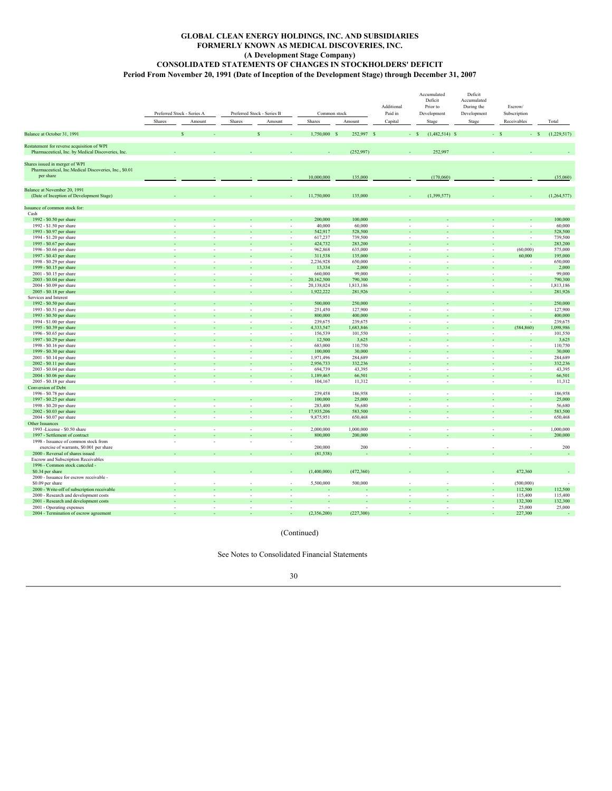# **GLOBAL CLEAN ENERGY HOLDINGS, INC. AND SUBSIDIARIES FORMERLY KNOWN AS MEDICAL DISCOVERIES, INC. (A Development Stage Company) CONSOLIDATED STATEMENTS OF CHANGES IN STOCKHOLDERS' DEFICIT Period From November 20, 1991 (Date of Inception of the Development Stage) through December 31, 2007**

|                                                                                                      |                          |                                      |                          |                                      |                          |                        |                    | Additional               | Accumulated<br>Deficit<br>Prior to        | Deficit<br>Accumulated<br>During the | Escrow/                     |       |                    |
|------------------------------------------------------------------------------------------------------|--------------------------|--------------------------------------|--------------------------|--------------------------------------|--------------------------|------------------------|--------------------|--------------------------|-------------------------------------------|--------------------------------------|-----------------------------|-------|--------------------|
|                                                                                                      | Shares                   | Preferred Stock - Series A<br>Amount |                          | Preferred Stock - Series B<br>Shares | Amount                   | Common stock<br>Shares | Amount             | Paid in<br>Capital       | Development<br>Stage                      | Development<br>Stage                 | Subscription<br>Receivables | Total |                    |
| Balance at October 31, 1991                                                                          |                          |                                      |                          |                                      |                          | 1,750,000              | 252,997            | -8                       | (1,482,514)<br>S<br>- 8                   |                                      |                             | -8    | (1,229,517)        |
| Restatement for reverse acquisition of WPI                                                           |                          |                                      |                          |                                      |                          |                        |                    |                          |                                           |                                      |                             |       |                    |
| Pharmaceutical, Inc. by Medical Discoveries, Inc.                                                    |                          |                                      |                          |                                      |                          |                        | (252,997)          |                          | 252,997                                   |                                      |                             |       |                    |
| Shares issued in merger of WPI<br>Pharmaceutical, Inc.Medical Discoveries, Inc., \$0.01<br>per share |                          |                                      |                          |                                      |                          | 10,000,000             | 135,000            |                          | (170,060)                                 |                                      |                             |       | (35,060)           |
|                                                                                                      |                          |                                      |                          |                                      |                          |                        |                    |                          |                                           |                                      |                             |       |                    |
| Balance at November 20, 1991<br>(Date of Inception of Development Stage)                             |                          |                                      |                          |                                      |                          | 11,750,000             | 135,000            |                          | (1,399,577)                               |                                      |                             |       | (1,264,577)        |
| Issuance of common stock for:                                                                        |                          |                                      |                          |                                      |                          |                        |                    |                          |                                           |                                      |                             |       |                    |
| Cash                                                                                                 |                          |                                      |                          |                                      |                          |                        |                    |                          |                                           |                                      |                             |       |                    |
| 1992 - \$0.50 per share                                                                              |                          |                                      |                          |                                      |                          | 200,000                | 100,000            |                          |                                           |                                      |                             |       | 100,000            |
| 1992 - \$1.50 per share                                                                              | ٠                        |                                      | $\overline{\phantom{a}}$ | ×.                                   | ٠                        | 40,000                 | 60,000             | ٠                        | ÷.                                        | $\overline{\phantom{a}}$             | ×.                          |       | 60,000             |
| 1993 - \$0.97 per share                                                                              |                          |                                      |                          | ÷                                    | ٠                        | 542,917                | 528,500            |                          |                                           |                                      | ×                           |       | 528,500            |
| 1994 - \$1.20 per share                                                                              | ٠                        |                                      | $\overline{\phantom{a}}$ | ×.                                   | $\sim$                   | 617,237                | 739,500            | $\mathbf{r}$             | ÷.                                        | $\overline{\phantom{a}}$             | $\sim$                      |       | 739,500            |
| 1995 - \$0.67 per share                                                                              | ÷,                       |                                      | ×.                       | ÷.<br>÷                              | ÷<br>÷                   | 424,732<br>962,868     | 283,200<br>635,000 | ÷                        | ×,                                        | ×.                                   | ÷                           |       | 283,200<br>575,000 |
| 1996 - \$0.66 per share<br>1997 - \$0.43 per share                                                   | ÷,                       |                                      | $\sim$                   | ÷.                                   | ÷,                       | 311,538                | 135,000            |                          | $\sim$<br>÷                               | $\sim$                               | (60,000)<br>60,000          |       | 195,000            |
| 1998 - \$0.29 per share                                                                              | ×.                       |                                      | $\sim$                   | $\sim$                               | $\sim$                   | 2,236,928              | 650,000            | $\mathbf{r}$             | ÷.                                        | $\overline{\phantom{a}}$             | $\sim$                      |       | 650,000            |
| 1999 - \$0.15 per share                                                                              |                          |                                      |                          | ÷                                    | ä,                       | 13,334                 | 2,000              |                          |                                           |                                      | ÷                           |       | 2,000              |
| 2001 - \$0.15 per share                                                                              | ä,                       |                                      | ×.                       | $\overline{\phantom{a}}$             | $\overline{\phantom{a}}$ | 660,000                | 99,000             |                          | $\overline{\phantom{a}}$<br>ä,            |                                      | ä,                          |       | 99,000             |
| 2003 - \$0.04 per share                                                                              |                          |                                      |                          |                                      | ٠                        | 20,162,500             | 790,300            |                          |                                           |                                      | ÷                           |       | 790,300            |
| 2004 - \$0.09 per share                                                                              | ٠                        |                                      | $\overline{\phantom{a}}$ | ×.                                   | ×.                       | 20,138,024             | 1,813,186          | $\sim$                   | ٠                                         | $\overline{\phantom{a}}$             | ×.                          |       | 1,813,186          |
| 2005 - \$0.18 per share                                                                              | ÷                        |                                      |                          | ÷                                    | ٠                        | 1,922,222              | 281,926            | ×                        |                                           |                                      | ٠                           |       | 281,926            |
| Services and Interest                                                                                |                          |                                      |                          |                                      |                          |                        |                    |                          |                                           |                                      |                             |       |                    |
| 1992 - \$0.50 per share                                                                              |                          |                                      |                          | ÷.                                   | ÷.                       | 500,000                | 250,000            |                          | $\sim$                                    |                                      |                             |       | 250,000            |
| 1993 - \$0.51 per share                                                                              | ÷,                       |                                      | $\overline{\phantom{a}}$ | ×.                                   | ÷.                       | 251,450                | 127,900            |                          | ×.<br>×,                                  | ×.                                   | ÷,                          |       | 127,900            |
| 1993 - \$0.50 per share                                                                              | ÷                        |                                      | $\sim$                   | ÷.                                   | ÷.                       | 800,000                | 400,000            |                          | ÷<br>$\sim$                               | $\sim$                               | ä,                          |       | 400,000            |
| 1994 - \$1.00 per share                                                                              | ÷.                       |                                      | $\overline{\phantom{a}}$ | $\sim$                               | ×.                       | 239,675                | 239,675            |                          | ÷.<br>$\mathbf{r}$                        | $\overline{\phantom{a}}$             | ×.                          |       | 239,675            |
| 1995 - \$0.39 per share                                                                              | ä,<br>i,                 |                                      | $\overline{\phantom{a}}$ | ÷<br>$\overline{\phantom{a}}$        | ÷<br>ä,                  | 4,333,547              | 1,683,846          |                          | ÷<br>ä,<br>$\overline{\phantom{a}}$<br>ä, |                                      | (584, 860)                  |       | 1,098,986          |
| 1996 - \$0.65 per share<br>1997 - \$0.29 per share                                                   |                          |                                      |                          |                                      | ٠                        | 156,539<br>12,500      | 101,550<br>3,625   |                          |                                           |                                      | ÷                           |       | 101,550<br>3,625   |
| 1998 - \$0.16 per share                                                                              | ٠                        |                                      | $\overline{\phantom{a}}$ | $\sim$                               | $\sim$                   | 683,000                | 110,750            | ×.                       | ٠                                         | $\overline{\phantom{a}}$             | $\sim$                      |       | 110,750            |
| 1999 - \$0.30 per share                                                                              | ÷                        |                                      |                          | ÷                                    | ÷                        | 100,000                | 30,000             | ÷                        |                                           |                                      | ÷                           |       | 30,000             |
| 2001 - \$0.14 per share                                                                              | ×.                       |                                      | $\overline{\phantom{a}}$ | $\sim$                               | $\sim$                   | 1,971,496              | 284,689            | $\sim$                   | $\overline{\phantom{a}}$                  | $\overline{\phantom{a}}$             | $\sim$                      |       | 284,689            |
| 2002 - \$0.11 per share                                                                              |                          |                                      |                          | ÷                                    | ÷.                       | 2,956,733              | 332,236            |                          |                                           |                                      | ÷.                          |       | 332,236            |
| 2003 - \$0.04 per share                                                                              | ÷.                       |                                      | ×.                       | ÷                                    | ÷                        | 694,739                | 43,395             | ÷                        | ×,                                        | ×.                                   | ×.                          |       | 43,395             |
| 2004 - \$0.06 per share                                                                              |                          |                                      |                          | ÷                                    |                          | 1,189,465              | 66,501             | ÷                        |                                           |                                      | ÷,                          |       | 66,501             |
| 2005 - \$0.18 per share                                                                              | ä,                       |                                      | $\overline{\phantom{a}}$ | $\sim$                               | ×.                       | 104,167                | 11,312             | $\mathbf{r}$             | ÷.                                        | $\overline{\phantom{a}}$             | ٠                           |       | 11,312             |
| Conversion of Debt                                                                                   |                          |                                      |                          |                                      |                          |                        |                    |                          |                                           |                                      |                             |       |                    |
| 1996 - \$0.78 per share                                                                              |                          |                                      |                          |                                      |                          | 239,458                | 186,958            |                          | $\overline{\phantom{a}}$<br>×,            | $\sim$                               | $\overline{\phantom{a}}$    |       | 186,958            |
| 1997 - \$0.25 per share                                                                              |                          |                                      |                          |                                      | ٠                        | 100,000                | 25,000             |                          |                                           |                                      |                             |       | 25,000             |
| 1998 - \$0.20 per share                                                                              | i.                       |                                      | $\overline{\phantom{a}}$ | ×.                                   | ×.                       | 283,400                | 56,680             | $\sim$                   | ä,                                        | $\overline{\phantom{a}}$             | ٠                           |       | 56,680             |
| 2002 - \$0.03 per share                                                                              |                          |                                      | ÷.                       | ÷<br>×.                              | ٠                        | 17,935,206             | 583,500            | ×<br>×.                  |                                           | $\overline{\phantom{a}}$             | ×<br>$\sim$                 |       | 583,500            |
| 2004 - \$0.07 per share<br>Other Issuances                                                           | $\overline{\phantom{a}}$ |                                      |                          |                                      | $\sim$                   | 9,875,951              | 650,468            |                          | $\overline{\phantom{a}}$                  |                                      |                             |       | 650,468            |
| 1993 -License - \$0.50 share                                                                         | ä,                       |                                      | ×.                       | ÷                                    | ÷                        | 2,000,000              | 1,000,000          |                          | ×.<br>÷.                                  | $\overline{\phantom{a}}$             | ×.                          |       | 1,000,000          |
| 1997 - Settlement of contract                                                                        | ä,                       |                                      | $\sim$                   | ÷                                    | ÷                        | 800,000                | 200,000            |                          | ÷<br>÷                                    |                                      | ÷                           |       | 200,000            |
| 1998 - Issuance of common stock from                                                                 | ÷.                       |                                      | $\overline{\phantom{a}}$ | ÷.                                   | ٠                        |                        |                    |                          |                                           |                                      |                             |       |                    |
| exercise of warrants, \$0.001 per share                                                              |                          |                                      |                          |                                      |                          | 200,000                | 200                |                          |                                           |                                      |                             |       | 200                |
| 2000 - Reversal of shares issued                                                                     |                          |                                      |                          |                                      |                          | (81, 538)              |                    |                          |                                           |                                      |                             |       |                    |
| Escrow and Subscription Receivables                                                                  |                          |                                      |                          |                                      |                          |                        |                    |                          |                                           |                                      |                             |       |                    |
| 1996 - Common stock canceled -                                                                       |                          |                                      |                          |                                      |                          |                        |                    |                          |                                           |                                      |                             |       |                    |
| \$0.34 per share                                                                                     |                          |                                      |                          |                                      |                          | (1,400,000)            | (472, 360)         |                          |                                           |                                      | 472,360                     |       |                    |
| 2000 - Issuance for escrow receivable -                                                              |                          |                                      |                          |                                      |                          |                        |                    |                          |                                           |                                      |                             |       |                    |
| \$0.09 per share                                                                                     |                          |                                      |                          |                                      | i,                       | 5,500,000              | 500,000            |                          |                                           |                                      | (500,000)                   |       |                    |
| 2000 - Write-off of subscription receivable                                                          |                          |                                      |                          |                                      |                          |                        |                    |                          |                                           |                                      | 112,500                     |       | 112,500            |
| 2000 - Research and development costs                                                                | ä,                       |                                      | $\overline{\phantom{a}}$ | ٠<br>÷                               | ÷.<br>×,                 | ÷.                     | ÷.                 | $\overline{\phantom{a}}$ | ÷.                                        |                                      | 115,400<br>132,300          |       | 115,400<br>132,300 |
| 2001 - Research and development costs<br>2001 - Operating expenses                                   | ä,                       |                                      | $\overline{\phantom{a}}$ | ÷.                                   | ٠                        |                        | ÷,                 | i.                       | ÷.                                        |                                      | 25,000                      |       | 25,000             |
| 2004 - Termination of escrow agreement                                                               |                          |                                      |                          |                                      |                          | (2,356,200)            | (227, 300)         |                          |                                           |                                      | 227,300                     |       |                    |
|                                                                                                      |                          |                                      |                          |                                      |                          |                        |                    |                          |                                           |                                      |                             |       |                    |

(Continued)

See Notes to Consolidated Financial Statements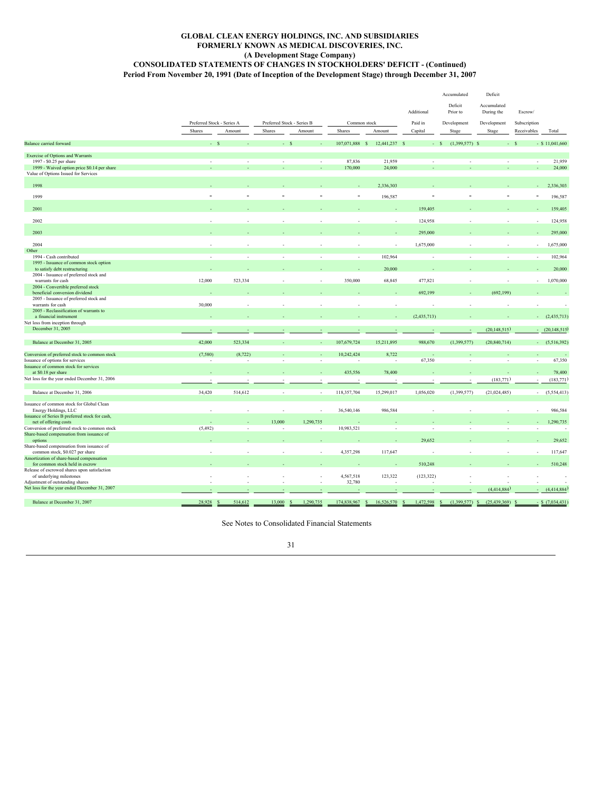# **GLOBAL CLEAN ENERGY HOLDINGS, INC. AND SUBSIDIARIES FORMERLY KNOWN AS MEDICAL DISCOVERIES, INC. (A Development Stage Company) CONSOLIDATED STATEMENTS OF CHANGES IN STOCKHOLDERS' DEFICIT - (Continued) Period From November 20, 1991 (Date of Inception of the Development Stage) through December 31, 2007**

|                                                                                     |                          |                            |                          |                            |                |                          | Additional               | Accumulated<br>Deficit<br>Prior to | Deficit<br>Accumulated<br>During the | Escrow/                  |                      |
|-------------------------------------------------------------------------------------|--------------------------|----------------------------|--------------------------|----------------------------|----------------|--------------------------|--------------------------|------------------------------------|--------------------------------------|--------------------------|----------------------|
|                                                                                     |                          | Preferred Stock - Series A |                          | Preferred Stock - Series B |                | Common stock             |                          | Development                        | Development                          | Subscription             |                      |
|                                                                                     | Shares                   | Amount                     | Shares                   | Amount                     | Shares         | Amount                   | Paid in<br>Capital       | Stage                              | Stage                                | Receivables              | Total                |
| Balance carried forward                                                             | $-$ S                    |                            | $\mathcal{S}$            |                            | 107,071,888 \$ | 12,441,237 \$            |                          | $(1,399,577)$ \$<br>$- S$          | $\sim$                               | -S                       | $-$ \$ 11,041,660    |
| <b>Exercise of Options and Warrants</b>                                             |                          |                            |                          |                            |                |                          |                          |                                    |                                      |                          |                      |
| 1997 - \$0.25 per share                                                             | $\mathbf{r}$             | $\mathbf{r}$               | $\mathbf{r}$             | $\sim$                     | 87,836         | 21,959                   | - 2                      | $\sim$                             | $\sim$                               | $\sim$                   | 21,959               |
| 1999 - Waived option price \$0.14 per share<br>Value of Options Issued for Services |                          |                            |                          |                            | 170,000        | 24,000                   |                          |                                    |                                      |                          | 24,000               |
| 1998                                                                                |                          |                            |                          |                            |                | 2,336,303                |                          |                                    |                                      |                          | 2,336,303            |
| 1999                                                                                |                          |                            |                          |                            |                | 196,587                  |                          |                                    |                                      | $\blacksquare$           | 196,587              |
| 2001                                                                                |                          |                            |                          |                            |                |                          | 159,405                  |                                    |                                      |                          | 159,405              |
| 2002                                                                                | ÷.                       | ÷.                         |                          | ٠                          | ٠              | ×.                       | 124,958                  | ä,                                 | ٠                                    | $\overline{\phantom{a}}$ | 124,958              |
| 2003                                                                                |                          |                            |                          |                            |                |                          | 295,000                  |                                    |                                      |                          | 295,000              |
| 2004                                                                                | ÷.                       | ÷.                         |                          | i,                         | ä,             | i,                       | 1,675,000                |                                    | $\overline{\phantom{a}}$             | ä,                       | 1,675,000            |
| Other                                                                               |                          |                            |                          |                            |                |                          |                          |                                    |                                      |                          |                      |
| 1994 - Cash contributed                                                             | $\overline{\phantom{a}}$ | $\sim$                     | ٠                        | $\overline{\phantom{a}}$   | $\sim$         | 102,964                  | $\overline{\phantom{a}}$ | ٠                                  | $\overline{\phantom{a}}$             | $\overline{\phantom{a}}$ | 102,964              |
| 1995 - Issuance of common stock option<br>to satisfy debt restructuring             |                          |                            |                          |                            |                | 20,000                   |                          |                                    |                                      |                          | 20,000               |
| 2004 - Issuance of preferred stock and<br>warrants for cash                         | 12,000                   | 523,334                    |                          | ä,                         | 350,000        | 68,845                   | 477,821                  |                                    | ä,                                   | ä,                       | 1,070,000            |
| 2004 - Convertible preferred stock                                                  |                          |                            |                          |                            |                |                          |                          |                                    |                                      |                          |                      |
| beneficial conversion dividend<br>2005 - Issuance of preferred stock and            |                          |                            |                          |                            |                |                          | 692,199                  |                                    | (692, 199)                           |                          |                      |
| warrants for cash                                                                   | 30,000                   |                            |                          |                            |                |                          | $\overline{\phantom{a}}$ |                                    | ٠                                    |                          | $\sim$               |
| 2005 - Reclassification of warrants to                                              |                          |                            |                          |                            |                |                          |                          |                                    |                                      |                          |                      |
| a financial instrument<br>let loss from inception through                           |                          |                            |                          |                            |                |                          | (2, 435, 713)            |                                    |                                      |                          | (2,435,713)          |
| December 31, 2005                                                                   |                          |                            |                          |                            |                |                          |                          |                                    | (20, 148, 515)                       | $\sim$                   | (20, 148, 515)       |
|                                                                                     |                          |                            |                          |                            |                |                          |                          |                                    |                                      |                          |                      |
| Balance at December 31, 2005                                                        | 42,000                   | 523,334                    |                          |                            | 107,679,724    | 15,211,895               | 988,670                  | (1,399,577)                        | (20, 840, 714)                       |                          | $-$ (5,516,392)      |
| Conversion of preferred stock to common stock                                       | (7,580)                  | (8, 722)                   |                          | ×,                         | 10,242,424     | 8,722                    |                          |                                    |                                      |                          |                      |
| Issuance of options for services<br>Issuance of common stock for services           | ÷.                       | ×.                         | $\overline{a}$           | $\overline{\phantom{a}}$   | ٠              | $\overline{\phantom{a}}$ | 67,350                   | ä,                                 | $\overline{\phantom{a}}$             | $\overline{\phantom{a}}$ | 67,350               |
| at \$0.18 per share                                                                 |                          |                            |                          |                            | 435,556        | 78,400                   |                          |                                    |                                      |                          | 78,400               |
| Net loss for the year ended December 31, 2006                                       |                          |                            |                          |                            |                |                          |                          |                                    | (183, 771)                           | ×,                       | (183, 771)           |
| Balance at December 31, 2006                                                        | 34,420                   | 514,612                    | ×.                       | $\overline{\phantom{a}}$   | 118,357,704    | 15,299,017               | 1,056,020                | (1,399,577)                        | (21,024,485)                         | $\sim$                   | (5,554,413)          |
| Issuance of common stock for Global Clean                                           |                          |                            |                          |                            |                |                          |                          |                                    |                                      |                          |                      |
| Energy Holdings, LLC                                                                | ÷.                       | ÷.                         | ÷.                       | ÷.                         | 36,540,146     | 986,584                  |                          |                                    | ÷.                                   | ÷.                       | 986,584              |
| Issuance of Series B preferred stock for cash,<br>net of offering costs             |                          |                            | 13,000                   | 1,290,735                  |                |                          |                          |                                    |                                      |                          | 1,290,735            |
| Conversion of preferred stock to common stock                                       | (5, 492)                 | $\overline{\phantom{a}}$   | $\overline{\phantom{a}}$ | ٠.                         | 10,983,521     | $\sim$                   | $\overline{\phantom{a}}$ | ٠                                  | $\overline{\phantom{a}}$             | ×                        |                      |
| Share-based compensation from issuance of                                           |                          |                            |                          |                            |                |                          |                          |                                    |                                      |                          |                      |
| options<br>Share-based compensation from issuance of                                |                          |                            |                          |                            |                |                          | 29,652                   |                                    |                                      |                          | 29,652               |
| common stock, \$0.027 per share                                                     |                          | ٠                          |                          | i,                         | 4,357,298      | 117,647                  |                          |                                    | ä,                                   | ä,                       | 117,647              |
| Amortization of share-based compensation<br>for common stock held in escrow         |                          |                            |                          |                            |                |                          | 510,248                  |                                    |                                      |                          | 510,248              |
| Release of escrowed shares upon satisfaction                                        |                          |                            |                          |                            |                |                          |                          |                                    |                                      |                          |                      |
| of underlying milestones                                                            | $\overline{\phantom{a}}$ | i,                         | i,                       | ÷,                         | 4,567,518      | 123,322                  | (123, 322)               | ٠                                  | ä,                                   | ä,                       |                      |
| Adjustment of outstanding shares<br>Net loss for the year ended December 31, 2007   |                          | ÷                          |                          | i,                         | 32,780         | J.                       |                          | J.                                 | (4,414,884)                          | i.<br>×,                 | (4,414,884)          |
|                                                                                     |                          |                            |                          |                            |                |                          |                          |                                    |                                      |                          |                      |
| Balance at December 31, 2007                                                        | 28,928                   | 514,612<br>S               | 13,000<br>S              | 1,290,735                  | 174,838,967    | s<br>16,526,570          | 1,472,598                | <sub>S</sub><br>(1,399,577)<br>-S  | $(25, 439, 369)$ \$                  |                          | $-$ \$ $(7,034,431)$ |

See Notes to Consolidated Financial Statements

| I<br>I  |  |
|---------|--|
| v<br>۰. |  |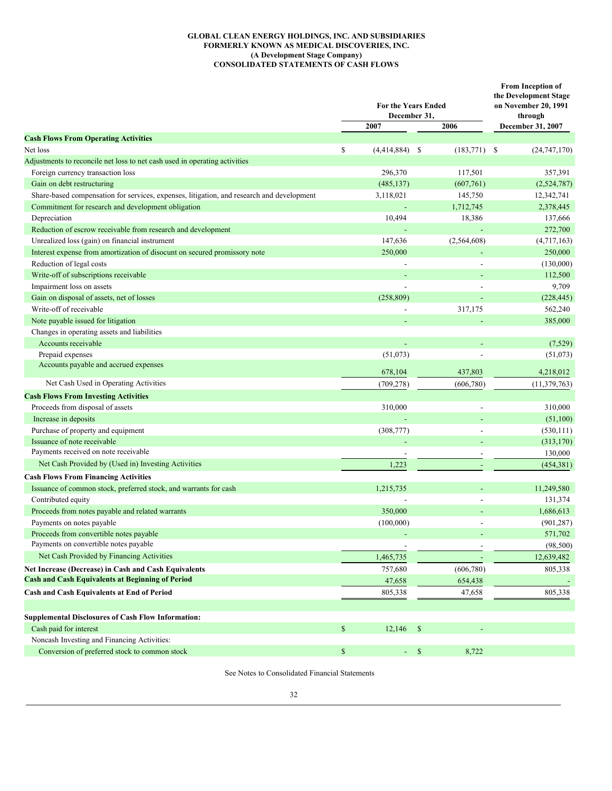# **GLOBAL CLEAN ENERGY HOLDINGS, INC. AND SUBSIDIARIES FORMERLY KNOWN AS MEDICAL DISCOVERIES, INC. (A Development Stage Company) CONSOLIDATED STATEMENTS OF CASH FLOWS**

|                                                                                           |             | For the Years Ended<br>December 31, |          |                | From Inception of<br>the Development Stage<br>on November 20, 1991<br>through |  |
|-------------------------------------------------------------------------------------------|-------------|-------------------------------------|----------|----------------|-------------------------------------------------------------------------------|--|
|                                                                                           |             | 2007                                |          | 2006           | December 31, 2007                                                             |  |
| <b>Cash Flows From Operating Activities</b>                                               |             |                                     |          |                |                                                                               |  |
| Net loss                                                                                  | \$          | $(4,414,884)$ \$                    |          | $(183,771)$ \$ | (24, 747, 170)                                                                |  |
| Adjustments to reconcile net loss to net cash used in operating activities                |             |                                     |          |                |                                                                               |  |
| Foreign currency transaction loss                                                         |             | 296,370                             |          | 117,501        | 357,391                                                                       |  |
| Gain on debt restructuring                                                                |             | (485, 137)                          |          | (607,761)      | (2,524,787)                                                                   |  |
| Share-based compensation for services, expenses, litigation, and research and development |             | 3,118,021                           |          | 145,750        | 12,342,741                                                                    |  |
| Commitment for research and development obligation                                        |             |                                     |          | 1,712,745      | 2,378,445                                                                     |  |
| Depreciation                                                                              |             | 10,494                              |          | 18,386         | 137,666                                                                       |  |
| Reduction of escrow receivable from research and development                              |             |                                     |          |                | 272,700                                                                       |  |
| Unrealized loss (gain) on financial instrument                                            |             | 147,636                             |          | (2,564,608)    | (4,717,163)                                                                   |  |
| Interest expense from amortization of disocunt on secured promissory note                 |             | 250,000                             |          |                | 250,000                                                                       |  |
| Reduction of legal costs                                                                  |             |                                     |          |                | (130,000)                                                                     |  |
| Write-off of subscriptions receivable                                                     |             |                                     |          |                | 112,500                                                                       |  |
| Impairment loss on assets                                                                 |             |                                     |          |                | 9,709                                                                         |  |
| Gain on disposal of assets, net of losses                                                 |             | (258, 809)                          |          |                | (228, 445)                                                                    |  |
| Write-off of receivable                                                                   |             |                                     |          | 317,175        | 562,240                                                                       |  |
| Note payable issued for litigation                                                        |             |                                     |          |                | 385,000                                                                       |  |
| Changes in operating assets and liabilities                                               |             |                                     |          |                |                                                                               |  |
| Accounts receivable                                                                       |             |                                     |          |                | (7,529)                                                                       |  |
| Prepaid expenses                                                                          |             | (51,073)                            |          |                | (51,073)                                                                      |  |
| Accounts payable and accrued expenses                                                     |             |                                     |          |                |                                                                               |  |
| Net Cash Used in Operating Activities                                                     |             | 678,104                             |          | 437,803        | 4,218,012                                                                     |  |
|                                                                                           |             | (709, 278)                          |          | (606,780)      | (11, 379, 763)                                                                |  |
| <b>Cash Flows From Investing Activities</b>                                               |             |                                     |          |                |                                                                               |  |
| Proceeds from disposal of assets                                                          |             | 310,000                             |          |                | 310,000                                                                       |  |
| Increase in deposits                                                                      |             |                                     |          |                | (51,100)                                                                      |  |
| Purchase of property and equipment                                                        |             | (308, 777)                          |          |                | (530, 111)                                                                    |  |
| Issuance of note receivable<br>Payments received on note receivable                       |             |                                     |          |                | (313, 170)                                                                    |  |
| Net Cash Provided by (Used in) Investing Activities                                       |             |                                     |          |                | 130,000                                                                       |  |
|                                                                                           |             | 1,223                               |          |                | (454, 381)                                                                    |  |
| <b>Cash Flows From Financing Activities</b>                                               |             |                                     |          |                |                                                                               |  |
| Issuance of common stock, preferred stock, and warrants for cash                          |             | 1,215,735                           |          |                | 11,249,580                                                                    |  |
| Contributed equity                                                                        |             |                                     |          |                | 131,374                                                                       |  |
| Proceeds from notes payable and related warrants                                          |             | 350,000                             |          |                | 1,686,613                                                                     |  |
| Payments on notes payable                                                                 |             | (100,000)                           |          |                | (901, 287)                                                                    |  |
| Proceeds from convertible notes payable<br>Payments on convertible notes payable          |             |                                     |          |                | 571,702                                                                       |  |
|                                                                                           |             |                                     |          |                | (98, 500)                                                                     |  |
| Net Cash Provided by Financing Activities                                                 |             | 1,465,735                           |          |                | 12,639,482                                                                    |  |
| Net Increase (Decrease) in Cash and Cash Equivalents                                      |             | 757,680                             |          | (606, 780)     | 805,338                                                                       |  |
| <b>Cash and Cash Equivalents at Beginning of Period</b>                                   |             | 47,658                              |          | 654,438        |                                                                               |  |
| Cash and Cash Equivalents at End of Period                                                |             | 805,338                             |          | 47,658         | 805,338                                                                       |  |
| <b>Supplemental Disclosures of Cash Flow Information:</b>                                 |             |                                     |          |                |                                                                               |  |
| Cash paid for interest                                                                    | \$          | 12,146                              | <b>S</b> |                |                                                                               |  |
| Noncash Investing and Financing Activities:                                               |             |                                     |          |                |                                                                               |  |
| Conversion of preferred stock to common stock                                             | $\mathbb S$ |                                     | $-$ \$   | 8,722          |                                                                               |  |

See Notes to Consolidated Financial Statements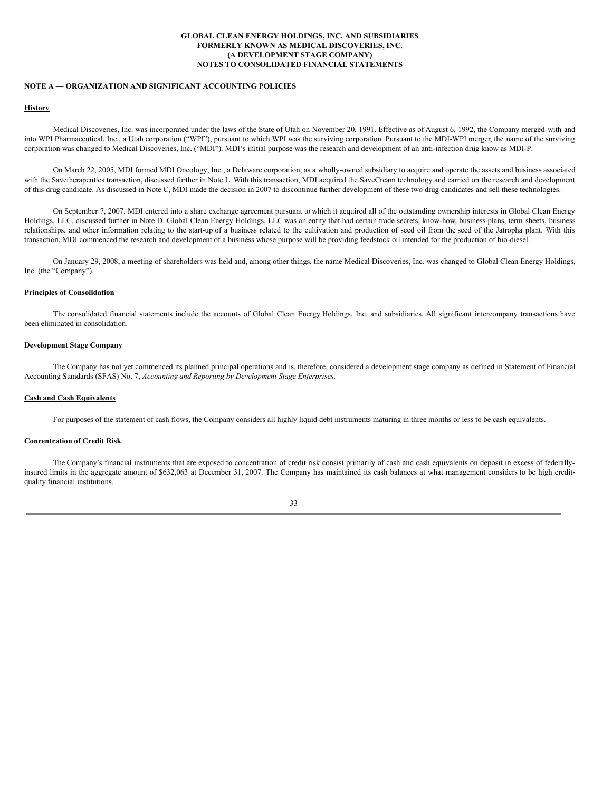## **GLOBAL CLEAN ENERGY HOLDINGS, INC. AND SUBSIDIARIES FORMERLY KNOWN AS MEDICAL DISCOVERIES, INC. (A DEVELOPMENT STAGE COMPANY) NOTES TO CONSOLIDATED FINANCIAL STATEMENTS**

## **NOTE A — ORGANIZATION AND SIGNIFICANT ACCOUNTING POLICIES**

## **History**

Medical Discoveries, Inc. was incorporated under the laws of the State of Utah on November 20, 1991. Effective as of August 6, 1992, the Company merged with and into WPI Pharmaceutical, Inc., a Utah corporation ("WPI"), pursuant to which WPI was the surviving corporation. Pursuant to the MDI-WPI merger, the name of the surviving corporation was changed to Medical Discoveries, Inc. ("MDI"). MDI's initial purpose was the research and development of an anti-infection drug know as MDI-P.

On March 22, 2005, MDI formed MDI Oncology, Inc., a Delaware corporation, as a wholly-owned subsidiary to acquire and operate the assets and business associated with the Savetherapeutics transaction, discussed further in Note L. With this transaction, MDI acquired the SaveCream technology and carried on the research and development of this drug candidate. As discussed in Note C, MDI made the decision in 2007 to discontinue further development of these two drug candidates and sell these technologies.

On September 7, 2007, MDI entered into a share exchange agreement pursuant to which it acquired all of the outstanding ownership interests in Global Clean Energy Holdings, LLC, discussed further in Note D. Global Clean Energy Holdings, LLC was an entity that had certain trade secrets, know-how, business plans, term sheets, business relationships, and other information relating to the start-up of a business related to the cultivation and production of seed oil from the seed of the Jatropha plant. With this transaction, MDI commenced the research and development of a business whose purpose will be providing feedstock oil intended for the production of bio-diesel.

On January 29, 2008, a meeting of shareholders was held and, among other things, the name Medical Discoveries, Inc. was changed to Global Clean Energy Holdings, Inc. (the "Company").

# **Principles of Consolidation**

The consolidated financial statements include the accounts of Global Clean Energy Holdings, Inc. and subsidiaries. All significant intercompany transactions have been eliminated in consolidation.

## **Development Stage Company**

The Company has not yet commenced its planned principal operations and is, therefore, considered a development stage company as defined in Statement of Financial Accounting Standards (SFAS) No. 7, *Accounting and Reporting by Development Stage Enterprises*.

#### **Cash and Cash Equivalents**

For purposes of the statement of cash flows, the Company considers all highly liquid debt instruments maturing in three months or less to be cash equivalents.

#### **Concentration of Credit Risk**

The Company's financial instruments that are exposed to concentration of credit risk consist primarily of cash and cash equivalents on deposit in excess of federallyinsured limits in the aggregate amount of \$632,063 at December 31, 2007. The Company has maintained its cash balances at what management considers to be high creditquality financial institutions.

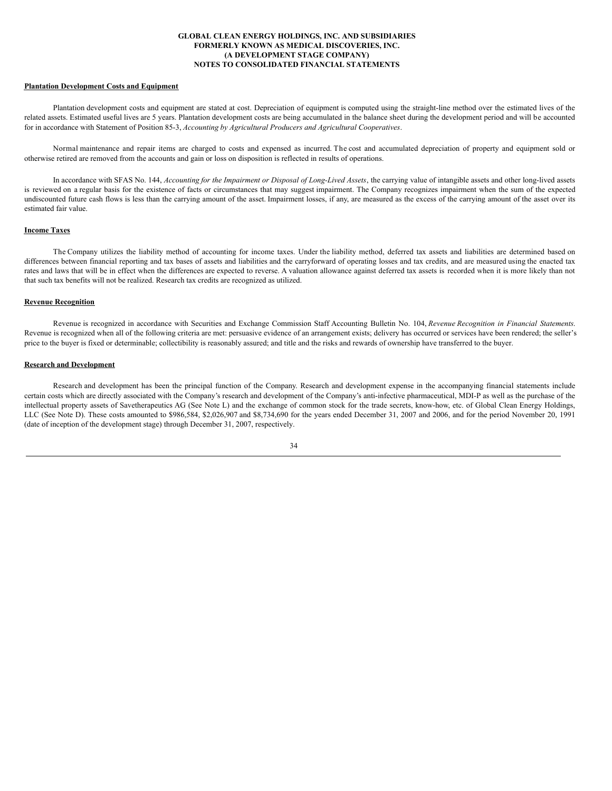## **GLOBAL CLEAN ENERGY HOLDINGS, INC. AND SUBSIDIARIES FORMERLY KNOWN AS MEDICAL DISCOVERIES, INC. (A DEVELOPMENT STAGE COMPANY) NOTES TO CONSOLIDATED FINANCIAL STATEMENTS**

# **Plantation Development Costs and Equipment**

Plantation development costs and equipment are stated at cost. Depreciation of equipment is computed using the straight-line method over the estimated lives of the related assets. Estimated useful lives are 5 years. Plantation development costs are being accumulated in the balance sheet during the development period and will be accounted for in accordance with Statement of Position 85-3, *Accounting by Agricultural Producers and Agricultural Cooperatives*.

Normal maintenance and repair items are charged to costs and expensed as incurred. The cost and accumulated depreciation of property and equipment sold or otherwise retired are removed from the accounts and gain or loss on disposition is reflected in results of operations.

In accordance with SFAS No. 144, Accounting for the Impairment or Disposal of Long-Lived Assets, the carrying value of intangible assets and other long-lived assets is reviewed on a regular basis for the existence of facts or circumstances that may suggest impairment. The Company recognizes impairment when the sum of the expected undiscounted future cash flows is less than the carrying amount of the asset. Impairment losses, if any, are measured as the excess of the carrying amount of the asset over its estimated fair value.

## **Income Taxes**

The Company utilizes the liability method of accounting for income taxes. Under the liability method, deferred tax assets and liabilities are determined based on differences between financial reporting and tax bases of assets and liabilities and the carryforward of operating losses and tax credits, and are measured using the enacted tax rates and laws that will be in effect when the differences are expected to reverse. A valuation allowance against deferred tax assets is recorded when it is more likely than not that such tax benefits will not be realized. Research tax credits are recognized as utilized.

## **Revenue Recognition**

Revenue is recognized in accordance with Securities and Exchange Commission Staff Accounting Bulletin No. 104, *Revenue Recognition in Financial Statements*. Revenue is recognized when all of the following criteria are met: persuasive evidence of an arrangement exists; delivery has occurred or services have been rendered; the seller's price to the buyer is fixed or determinable; collectibility is reasonably assured; and title and the risks and rewards of ownership have transferred to the buyer.

# **Research and Development**

Research and development has been the principal function of the Company. Research and development expense in the accompanying financial statements include certain costs which are directly associated with the Company's research and development of the Company's anti-infective pharmaceutical, MDI-P as well as the purchase of the intellectual property assets of Savetherapeutics AG (See Note L) and the exchange of common stock for the trade secrets, know-how, etc. of Global Clean Energy Holdings, LLC (See Note D). These costs amounted to \$986,584, \$2,026,907 and \$8,734,690 for the years ended December 31, 2007 and 2006, and for the period November 20, 1991 (date of inception of the development stage) through December 31, 2007, respectively.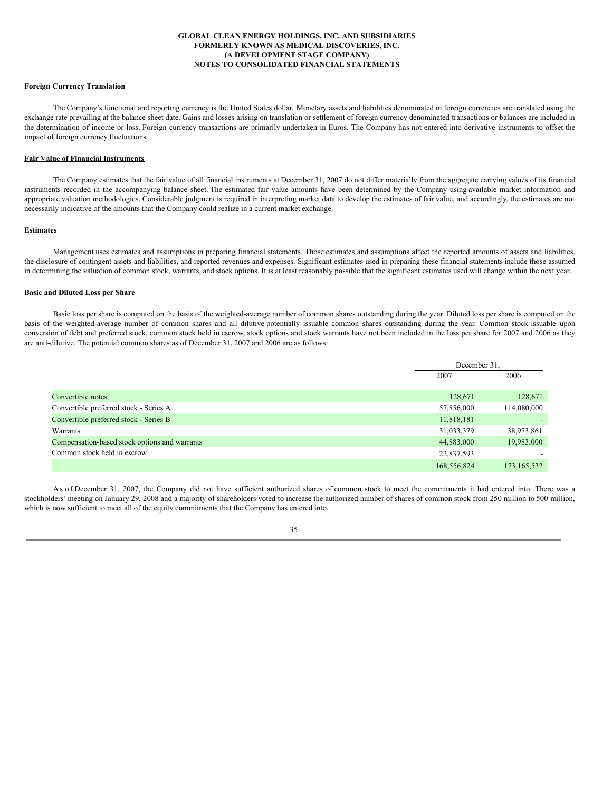## **Foreign Currency Translation**

The Company's functional and reporting currency is the United States dollar. Monetary assets and liabilities denominated in foreign currencies are translated using the exchange rate prevailing at the balance sheet date. Gains and losses arising on translation or settlement of foreign currency denominated transactions or balances are included in the determination of income or loss. Foreign currency transactions are primarily undertaken in Euros. The Company has not entered into derivative instruments to offset the impact of foreign currency fluctuations.

# **Fair Value of Financial Instruments**

The Company estimates that the fair value of all financial instruments at December 31, 2007 do not differ materially from the aggregate carrying values of its financial instruments recorded in the accompanying balance sheet. The estimated fair value amounts have been determined by the Company using available market information and appropriate valuation methodologies. Considerable judgment is required in interpreting market data to develop the estimates of fair value, and accordingly, the estimates are not necessarily indicative of the amounts that the Company could realize in a current market exchange.

# **Estimates**

Management uses estimates and assumptions in preparing financial statements. Those estimates and assumptions affect the reported amounts of assets and liabilities, the disclosure of contingent assets and liabilities, and reported revenues and expenses. Significant estimates used in preparing these financial statements include those assumed in determining the valuation of common stock, warrants, and stock options. It is at least reasonably possible that the significant estimates used will change within the next year.

## **Basic and Diluted Loss per Share**

Basic loss per share is computed on the basis of the weighted-average number of common shares outstanding during the year. Diluted loss per share is computed on the basis of the weighted-average number of common shares and all dilutive potentially issuable common shares outstanding during the year. Common stock issuable upon conversion of debt and preferred stock, common stock held in escrow, stock options and stock warrants have not been included in the loss per share for 2007 and 2006 as they are anti-dilutive. The potential common shares as of December 31, 2007 and 2006 are as follows:

|                                               | December 31, |             |
|-----------------------------------------------|--------------|-------------|
|                                               | 2007         | 2006        |
|                                               |              |             |
| Convertible notes                             | 128,671      | 128,671     |
| Convertible preferred stock - Series A        | 57,856,000   | 114,080,000 |
| Convertible preferred stock - Series B        | 11,818,181   |             |
| Warrants                                      | 31,033,379   | 38,973,861  |
| Compensation-based stock options and warrants | 44,883,000   | 19,983,000  |
| Common stock held in escrow                   | 22,837,593   |             |
|                                               | 168,556,824  | 173,165,532 |

A s o f December 31, 2007, the Company did not have sufficient authorized shares of common stock to meet the commitments it had entered into. There was a stockholders' meeting on January 29, 2008 and a majority of shareholders voted to increase the authorized number of shares of common stock from 250 million to 500 million, which is now sufficient to meet all of the equity commitments that the Company has entered into.

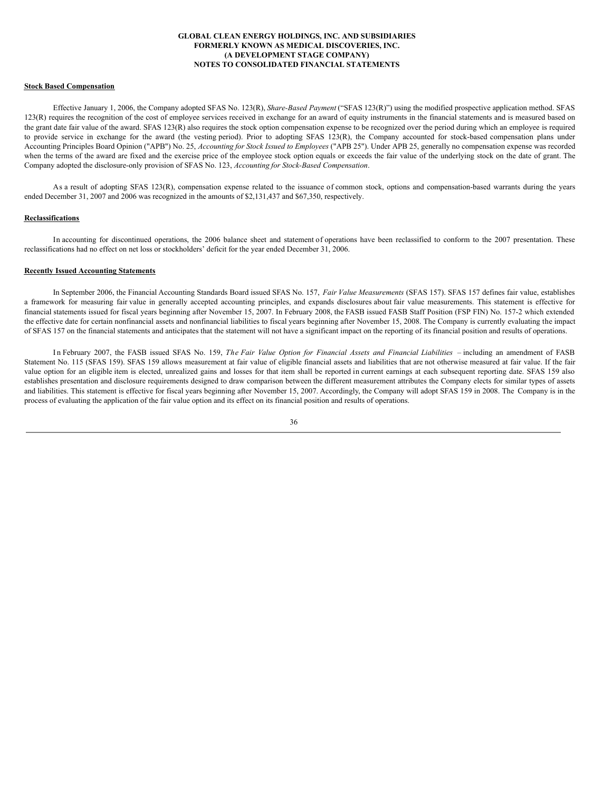## **Stock Based Compensation**

Effective January 1, 2006, the Company adopted SFAS No. 123(R), *Share-Based Payment* ("SFAS 123(R)") using the modified prospective application method. SFAS 123(R) requires the recognition of the cost of employee services received in exchange for an award of equity instruments in the financial statements and is measured based on the grant date fair value of the award. SFAS 123(R) also requires the stock option compensation expense to be recognized over the period during which an employee is required to provide service in exchange for the award (the vesting period). Prior to adopting SFAS 123(R), the Company accounted for stock-based compensation plans under Accounting Principles Board Opinion ("APB") No. 25, *Accounting for Stock Issued to Employees* ("APB 25"). Under APB 25, generally no compensation expense was recorded when the terms of the award are fixed and the exercise price of the employee stock option equals or exceeds the fair value of the underlying stock on the date of grant. The Company adopted the disclosure-only provision of SFAS No. 123, *Accounting for Stock-Based Compensation*.

As a result of adopting SFAS 123(R), compensation expense related to the issuance of common stock, options and compensation-based warrants during the years ended December 31, 2007 and 2006 was recognized in the amounts of \$2,131,437 and \$67,350, respectively.

# **Reclassifications**

In accounting for discontinued operations, the 2006 balance sheet and statement of operations have been reclassified to conform to the 2007 presentation. These reclassifications had no effect on net loss or stockholders' deficit for the year ended December 31, 2006.

#### **Recently Issued Accounting Statements**

In September 2006, the Financial Accounting Standards Board issued SFAS No. 157, *Fair Value Measurements* (SFAS 157). SFAS 157 defines fair value, establishes a framework for measuring fair value in generally accepted accounting principles, and expands disclosures about fair value measurements. This statement is effective for financial statements issued for fiscal years beginning after November 15, 2007. In February 2008, the FASB issued FASB Staff Position (FSP FIN) No. 157-2 which extended the effective date for certain nonfinancial assets and nonfinancial liabilities to fiscal years beginning after November 15, 2008. The Company is currently evaluating the impact of SFAS 157 on the financial statements and anticipates that the statement will not have a significant impact on the reporting of its financial position and results of operations.

I n February 2007, the FASB issued SFAS No. 159, *The Fair Value Option for Financial Assets and Financial Liabilities* – including an amendment of FASB Statement No. 115 (SFAS 159). SFAS 159 allows measurement at fair value of eligible financial assets and liabilities that are not otherwise measured at fair value. If the fair value option for an eligible item is elected, unrealized gains and losses for that item shall be reported in current earnings at each subsequent reporting date. SFAS 159 also establishes presentation and disclosure requirements designed to draw comparison between the different measurement attributes the Company elects for similar types of assets and liabilities. This statement is effective for fiscal years beginning after November 15, 2007. Accordingly, the Company will adopt SFAS 159 in 2008. The Company is in the process of evaluating the application of the fair value option and its effect on its financial position and results of operations.

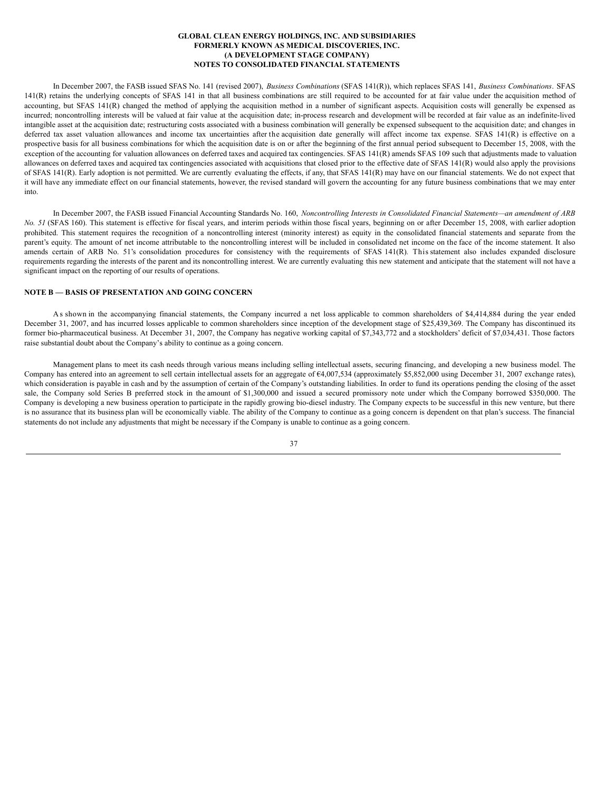In December 2007, the FASB issued SFAS No. 141 (revised 2007), *Business Combinations* (SFAS 141(R)), which replaces SFAS 141, *Business Combinations*. SFAS 141(R) retains the underlying concepts of SFAS 141 in that all business combinations are still required to be accounted for at fair value under the acquisition method of accounting, but SFAS 141(R) changed the method of applying the acquisition method in a number of significant aspects. Acquisition costs will generally be expensed as incurred; noncontrolling interests will be valued at fair value at the acquisition date; in-process research and development will be recorded at fair value as an indefinite-lived intangible asset at the acquisition date; restructuring costs associated with a business combination will generally be expensed subsequent to the acquisition date; and changes in deferred tax asset valuation allowances and income tax uncertainties after the acquisition date generally will affect income tax expense. SFAS 141(R) is effective on a prospective basis for all business combinations for which the acquisition date is on or after the beginning of the first annual period subsequent to December 15, 2008, with the exception of the accounting for valuation allowances on deferred taxes and acquired tax contingencies. SFAS 141(R) amends SFAS 109 such that adjustments made to valuation allowances on deferred taxes and acquired tax contingencies associated with acquisitions that closed prior to the effective date of SFAS 141(R) would also apply the provisions of SFAS 141(R). Early adoption is not permitted. We are currently evaluating the effects, if any, that SFAS 141(R) may have on our financial statements. We do not expect that it will have any immediate effect on our financial statements, however, the revised standard will govern the accounting for any future business combinations that we may enter into.

In December 2007, the FASB issued Financial Accounting Standards No. 160, *Noncontrolling Interests in Consolidated Financial Statements—an amendment of ARB No. 51* (SFAS 160). This statement is effective for fiscal years, and interim periods within those fiscal years, beginning on or after December 15, 2008, with earlier adoption prohibited. This statement requires the recognition of a noncontrolling interest (minority interest) as equity in the consolidated financial statements and separate from the parent's equity. The amount of net income attributable to the noncontrolling interest will be included in consolidated net income on the face of the income statement. It also amends certain of ARB No. 51's consolidation procedures for consistency with the requirements of SFAS 141(R). This statement also includes expanded disclosure requirements regarding the interests of the parent and its noncontrolling interest. We are currently evaluating this new statement and anticipate that the statement will not have a significant impact on the reporting of our results of operations.

## **NOTE B — BASIS OF PRESENTATION AND GOING CONCERN**

A s shown in the accompanying financial statements, the Company incurred a net loss applicable to common shareholders of \$4,414,884 during the year ended December 31, 2007, and has incurred losses applicable to common shareholders since inception of the development stage of \$25,439,369. The Company has discontinued its former bio-pharmaceutical business. At December 31, 2007, the Company has negative working capital of \$7,343,772 and a stockholders' deficit of \$7,034,431. Those factors raise substantial doubt about the Company's ability to continue as a going concern.

Management plans to meet its cash needs through various means including selling intellectual assets, securing financing, and developing a new business model. The Company has entered into an agreement to sell certain intellectual assets for an aggregate of  $\epsilon 4,007,534$  (approximately \$5,852,000 using December 31, 2007 exchange rates), which consideration is payable in cash and by the assumption of certain of the Company's outstanding liabilities. In order to fund its operations pending the closing of the asset sale, the Company sold Series B preferred stock in the amount of \$1,300,000 and issued a secured promissory note under which the Company borrowed \$350,000. The Company is developing a new business operation to participate in the rapidly growing bio-diesel industry. The Company expects to be successful in this new venture, but there is no assurance that its business plan will be economically viable. The ability of the Company to continue as a going concern is dependent on that plan's success. The financial statements do not include any adjustments that might be necessary if the Company is unable to continue as a going concern.

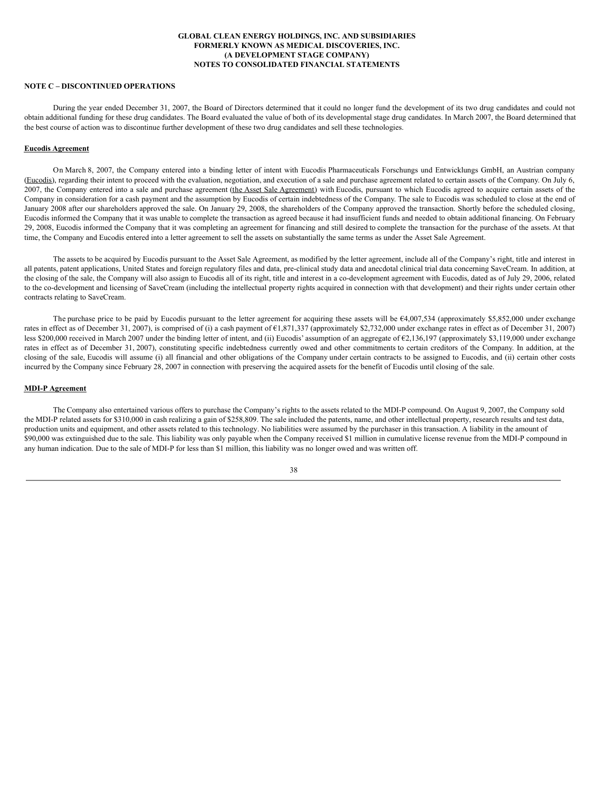### **NOTE C – DISCONTINUED OPERATIONS**

During the year ended December 31, 2007, the Board of Directors determined that it could no longer fund the development of its two drug candidates and could not obtain additional funding for these drug candidates. The Board evaluated the value of both of its developmental stage drug candidates. In March 2007, the Board determined that the best course of action was to discontinue further development of these two drug candidates and sell these technologies.

#### **Eucodis Agreement**

On March 8, 2007, the Company entered into a binding letter of intent with Eucodis Pharmaceuticals Forschungs und Entwicklungs GmbH, an Austrian company (Eucodis), regarding their intent to proceed with the evaluation, negotiation, and execution of a sale and purchase agreement related to certain assets of the Company. On July 6, 2007, the Company entered into a sale and purchase agreement (the Asset Sale Agreement) with Eucodis, pursuant to which Eucodis agreed to acquire certain assets of the Company in consideration for a cash payment and the assumption by Eucodis of certain indebtedness of the Company. The sale to Eucodis was scheduled to close at the end of January 2008 after our shareholders approved the sale. On January 29, 2008, the shareholders of the Company approved the transaction. Shortly before the scheduled closing, Eucodis informed the Company that it was unable to complete the transaction as agreed because it had insufficient funds and needed to obtain additional financing. On February 29, 2008, Eucodis informed the Company that it was completing an agreement for financing and still desired to complete the transaction for the purchase of the assets. At that time, the Company and Eucodis entered into a letter agreement to sell the assets on substantially the same terms as under the Asset Sale Agreement.

The assets to be acquired by Eucodis pursuant to the Asset Sale Agreement, as modified by the letter agreement, include all of the Company's right, title and interest in all patents, patent applications, United States and foreign regulatory files and data, pre-clinical study data and anecdotal clinical trial data concerning SaveCream. In addition, at the closing of the sale, the Company will also assign to Eucodis all of its right, title and interest in a co-development agreement with Eucodis, dated as of July 29, 2006, related to the co-development and licensing of SaveCream (including the intellectual property rights acquired in connection with that development) and their rights under certain other contracts relating to SaveCream.

The purchase price to be paid by Eucodis pursuant to the letter agreement for acquiring these assets will be €4,007,534 (approximately \$5,852,000 under exchange rates in effect as of December 31, 2007), is comprised of (i) a cash payment of  $E1,871,337$  (approximately \$2,732,000 under exchange rates in effect as of December 31, 2007) less \$200,000 received in March 2007 under the binding letter of intent, and (ii) Eucodis' assumption of an aggregate of €2,136,197 (approximately \$3,119,000 under exchange rates in effect as of December 31, 2007), constituting specific indebtedness currently owed and other commitments to certain creditors of the Company. In addition, at the closing of the sale, Eucodis will assume (i) all financial and other obligations of the Company under certain contracts to be assigned to Eucodis, and (ii) certain other costs incurred by the Company since February 28, 2007 in connection with preserving the acquired assets for the benefit of Eucodis until closing of the sale.

## **MDI-P Agreement**

The Company also entertained various offers to purchase the Company's rights to the assets related to the MDI-P compound. On August 9, 2007, the Company sold the MDI-P related assets for \$310,000 in cash realizing a gain of \$258,809. The sale included the patents, name, and other intellectual property, research results and test data, production units and equipment, and other assets related to this technology. No liabilities were assumed by the purchaser in this transaction. A liability in the amount of \$90,000 was extinguished due to the sale. This liability was only payable when the Company received \$1 million in cumulative license revenue from the MDI-P compound in any human indication. Due to the sale of MDI-P for less than \$1 million, this liability was no longer owed and was written off.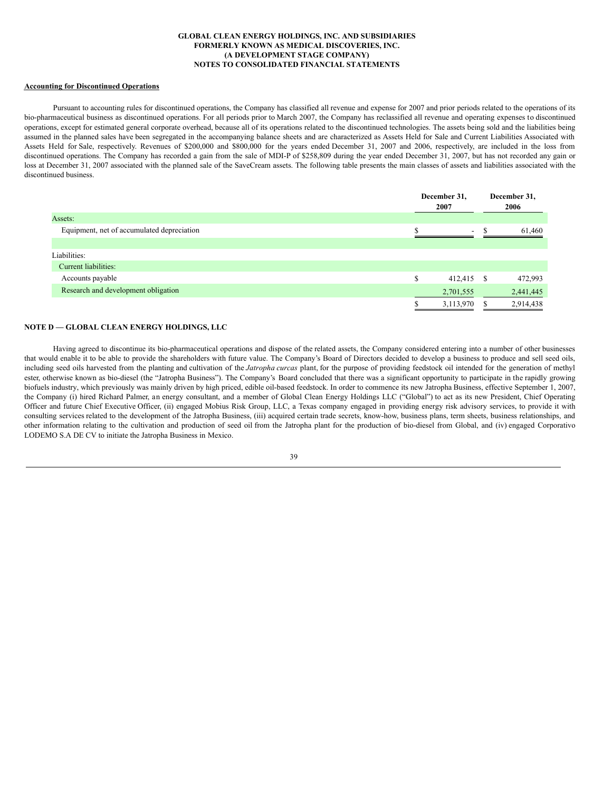# **Accounting for Discontinued Operations**

Pursuant to accounting rules for discontinued operations, the Company has classified all revenue and expense for 2007 and prior periods related to the operations of its bio-pharmaceutical business as discontinued operations. For all periods prior to March 2007, the Company has reclassified all revenue and operating expenses to discontinued operations, except for estimated general corporate overhead, because all of its operations related to the discontinued technologies. The assets being sold and the liabilities being assumed in the planned sales have been segregated in the accompanying balance sheets and are characterized as Assets Held for Sale and Current Liabilities Associated with Assets Held for Sale, respectively. Revenues of \$200,000 and \$800,000 for the years ended December 31, 2007 and 2006, respectively, are included in the loss from discontinued operations. The Company has recorded a gain from the sale of MDI-P of \$258,809 during the year ended December 31, 2007, but has not recorded any gain or loss at December 31, 2007 associated with the planned sale of the SaveCream assets. The following table presents the main classes of assets and liabilities associated with the discontinued business.

|                                            |   | December 31,<br>2007 |      | December 31,<br>2006 |
|--------------------------------------------|---|----------------------|------|----------------------|
| Assets:                                    |   |                      |      |                      |
| Equipment, net of accumulated depreciation |   | -                    |      | 61,460               |
|                                            |   |                      |      |                      |
| Liabilities:                               |   |                      |      |                      |
| Current liabilities:                       |   |                      |      |                      |
| Accounts payable                           | S | 412,415              | - \$ | 472,993              |
| Research and development obligation        |   | 2,701,555            |      | 2,441,445            |
|                                            |   | 3,113,970            | - S  | 2,914,438            |

## **NOTE D — GLOBAL CLEAN ENERGY HOLDINGS, LLC**

Having agreed to discontinue its bio-pharmaceutical operations and dispose of the related assets, the Company considered entering into a number of other businesses that would enable it to be able to provide the shareholders with future value. The Company's Board of Directors decided to develop a business to produce and sell seed oils, including seed oils harvested from the planting and cultivation of the *Jatropha curcas* plant, for the purpose of providing feedstock oil intended for the generation of methyl ester, otherwise known as bio-diesel (the "Jatropha Business"). The Company's Board concluded that there was a significant opportunity to participate in the rapidly growing biofuels industry, which previously was mainly driven by high priced, edible oil-based feedstock. In order to commence its new Jatropha Business, effective September 1, 2007, the Company (i) hired Richard Palmer, an energy consultant, and a member of Global Clean Energy Holdings LLC ("Global") to act as its new President, Chief Operating Officer and future Chief Executive Officer, (ii) engaged Mobius Risk Group, LLC, a Texas company engaged in providing energy risk advisory services, to provide it with consulting services related to the development of the Jatropha Business, (iii) acquired certain trade secrets, know-how, business plans, term sheets, business relationships, and other information relating to the cultivation and production of seed oil from the Jatropha plant for the production of bio-diesel from Global, and (iv) engaged Corporativo LODEMO S.A DE CV to initiate the Jatropha Business in Mexico.

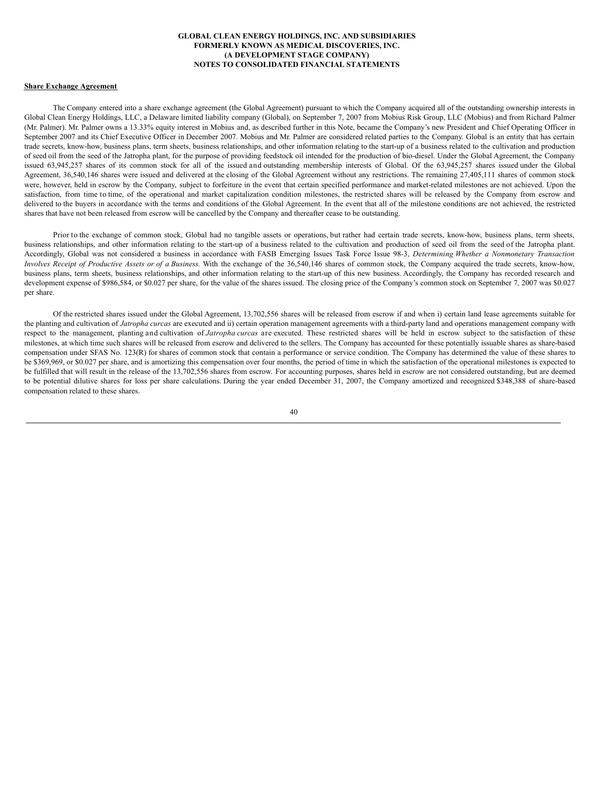## **Share Exchange Agreement**

The Company entered into a share exchange agreement (the Global Agreement) pursuant to which the Company acquired all of the outstanding ownership interests in Global Clean Energy Holdings, LLC, a Delaware limited liability company (Global), on September 7, 2007 from Mobius Risk Group, LLC (Mobius) and from Richard Palmer (Mr. Palmer). Mr. Palmer owns a 13.33% equity interest in Mobius and, as described further in this Note, became the Company's new President and Chief Operating Officer in September 2007 and its Chief Executive Officer in December 2007. Mobius and Mr. Palmer are considered related parties to the Company. Global is an entity that has certain trade secrets, know-how, business plans, term sheets, business relationships, and other information relating to the start-up of a business related to the cultivation and production of seed oil from the seed of the Jatropha plant, for the purpose of providing feedstock oil intended for the production of bio-diesel. Under the Global Agreement, the Company issued 63,945,257 shares of its common stock for all of the issued and outstanding membership interests of Global. Of the 63,945,257 shares issued under the Global Agreement, 36,540,146 shares were issued and delivered at the closing of the Global Agreement without any restrictions. The remaining 27,405,111 shares of common stock were, however, held in escrow by the Company, subject to forfeiture in the event that certain specified performance and market-related milestones are not achieved. Upon the satisfaction, from time to time, of the operational and market capitalization condition milestones, the restricted shares will be released by the Company from escrow and delivered to the buyers in accordance with the terms and conditions of the Global Agreement. In the event that all of the milestone conditions are not achieved, the restricted shares that have not been released from escrow will be cancelled by the Company and thereafter cease to be outstanding.

Prior to the exchange of common stock, Global had no tangible assets or operations, but rather had certain trade secrets, know-how, business plans, term sheets, business relationships, and other information relating to the start-up of a business related to the cultivation and production of seed oil from the seed of the Jatropha plant. Accordingly, Global was not considered a business in accordance with FASB Emerging Issues Task Force Issue 98-3, *Determining Whether a Nonmonetary Transaction* Involves Receipt of Productive Assets or of a Business. With the exchange of the 36,540,146 shares of common stock, the Company acquired the trade secrets, know-how, business plans, term sheets, business relationships, and other information relating to the start-up of this new business. Accordingly, the Company has recorded research and development expense of \$986,584, or \$0.027 per share, for the value of the shares issued. The closing price of the Company's common stock on September 7, 2007 was \$0.027 per share.

Of the restricted shares issued under the Global Agreement, 13,702,556 shares will be released from escrow if and when i) certain land lease agreements suitable for the planting and cultivation of *Jatropha curcas* are executed and ii) certain operation management agreements with a third-party land and operations management company with respect to the management, planting and cultivation of *Jatropha curcas* are executed. These restricted shares will be held in escrow subject to the satisfaction of these milestones, at which time such shares will be released from escrow and delivered to the sellers. The Company has accounted for these potentially issuable shares as share-based compensation under SFAS No. 123(R) for shares of common stock that contain a performance or service condition. The Company has determined the value of these shares to be \$369,969, or \$0.027 per share, and is amortizing this compensation over four months, the period of time in which the satisfaction of the operational milestones is expected to be fulfilled that will result in the release of the 13,702,556 shares from escrow. For accounting purposes, shares held in escrow are not considered outstanding, but are deemed to be potential dilutive shares for loss per share calculations. During the year ended December 31, 2007, the Company amortized and recognized \$348,388 of share-based compensation related to these shares.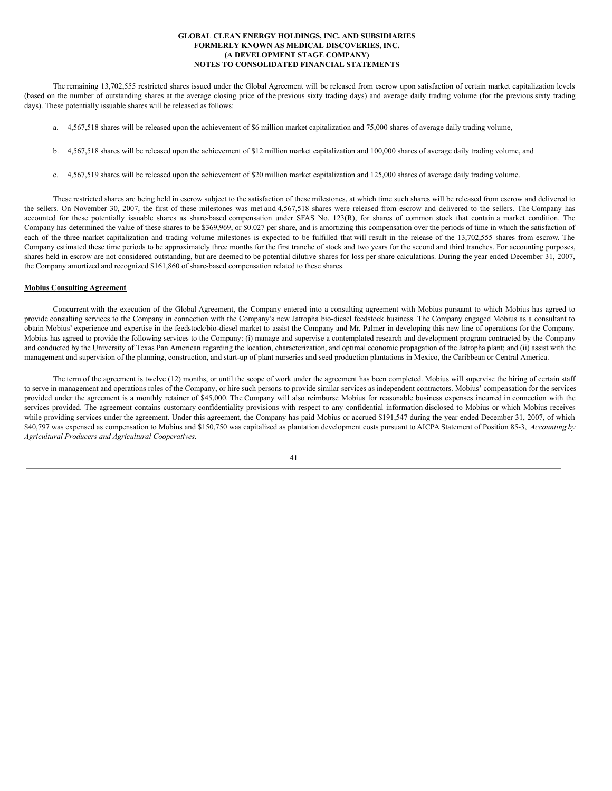The remaining 13,702,555 restricted shares issued under the Global Agreement will be released from escrow upon satisfaction of certain market capitalization levels (based on the number of outstanding shares at the average closing price of the previous sixty trading days) and average daily trading volume (for the previous sixty trading days). These potentially issuable shares will be released as follows:

- a. 4,567,518 shares will be released upon the achievement of \$6 million market capitalization and 75,000 shares of average daily trading volume,
- b. 4,567,518 shares will be released upon the achievement of \$12 million market capitalization and 100,000 shares of average daily trading volume, and
- c. 4,567,519 shares will be released upon the achievement of \$20 million market capitalization and 125,000 shares of average daily trading volume.

These restricted shares are being held in escrow subject to the satisfaction of these milestones, at which time such shares will be released from escrow and delivered to the sellers. On November 30, 2007, the first of these milestones was met and 4,567,518 shares were released from escrow and delivered to the sellers. The Company has accounted for these potentially issuable shares as share-based compensation under SFAS No. 123(R), for shares of common stock that contain a market condition. The Company has determined the value of these shares to be \$369,969, or \$0.027 per share, and is amortizing this compensation over the periods of time in which the satisfaction of each of the three market capitalization and trading volume milestones is expected to be fulfilled that will result in the release of the 13,702,555 shares from escrow. The Company estimated these time periods to be approximately three months for the first tranche of stock and two years for the second and third tranches. For accounting purposes, shares held in escrow are not considered outstanding, but are deemed to be potential dilutive shares for loss per share calculations. During the year ended December 31, 2007, the Company amortized and recognized \$161,860 of share-based compensation related to these shares.

#### **Mobius Consulting Agreement**

Concurrent with the execution of the Global Agreement, the Company entered into a consulting agreement with Mobius pursuant to which Mobius has agreed to provide consulting services to the Company in connection with the Company's new Jatropha bio-diesel feedstock business. The Company engaged Mobius as a consultant to obtain Mobius' experience and expertise in the feedstock/bio-diesel market to assist the Company and Mr. Palmer in developing this new line of operations for the Company. Mobius has agreed to provide the following services to the Company: (i) manage and supervise a contemplated research and development program contracted by the Company and conducted by the University of Texas Pan American regarding the location, characterization, and optimal economic propagation of the Jatropha plant; and (ii) assist with the management and supervision of the planning, construction, and start-up of plant nurseries and seed production plantations in Mexico, the Caribbean or Central America.

The term of the agreement is twelve (12) months, or until the scope of work under the agreement has been completed. Mobius will supervise the hiring of certain staff to serve in management and operations roles of the Company, or hire such persons to provide similar services as independent contractors. Mobius' compensation for the services provided under the agreement is a monthly retainer of \$45,000. The Company will also reimburse Mobius for reasonable business expenses incurred in connection with the services provided. The agreement contains customary confidentiality provisions with respect to any confidential information disclosed to Mobius or which Mobius receives while providing services under the agreement. Under this agreement, the Company has paid Mobius or accrued \$191,547 during the year ended December 31, 2007, of which \$40,797 was expensed as compensation to Mobius and \$150,750 was capitalized as plantation development costs pursuant to AICPA Statement of Position 85-3, *Accounting by Agricultural Producers and Agricultural Cooperatives*.

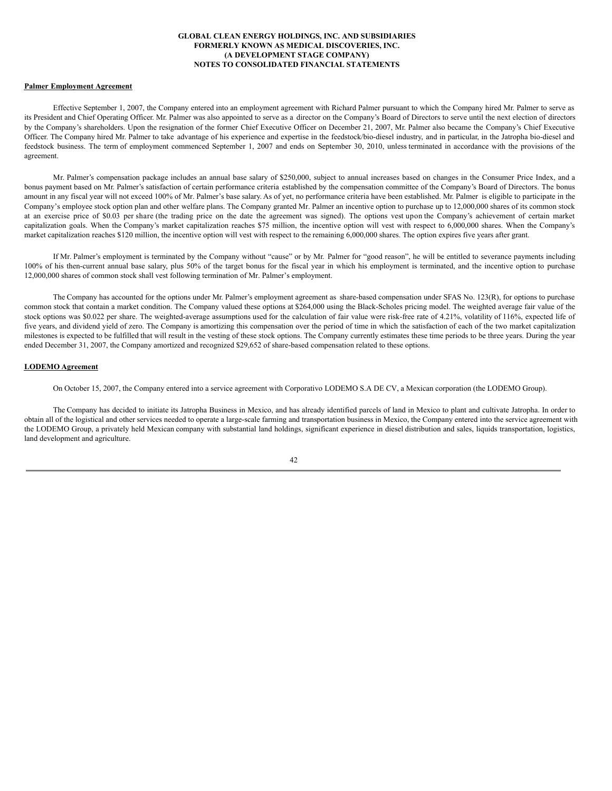## **Palmer Employment Agreement**

Effective September 1, 2007, the Company entered into an employment agreement with Richard Palmer pursuant to which the Company hired Mr. Palmer to serve as its President and Chief Operating Officer. Mr. Palmer was also appointed to serve as a director on the Company's Board of Directors to serve until the next election of directors by the Company's shareholders. Upon the resignation of the former Chief Executive Officer on December 21, 2007, Mr. Palmer also became the Company's Chief Executive Officer. The Company hired Mr. Palmer to take advantage of his experience and expertise in the feedstock/bio-diesel industry, and in particular, in the Jatropha bio-diesel and feedstock business. The term of employment commenced September 1, 2007 and ends on September 30, 2010, unless terminated in accordance with the provisions of the agreement.

Mr. Palmer's compensation package includes an annual base salary of \$250,000, subject to annual increases based on changes in the Consumer Price Index, and a bonus payment based on Mr. Palmer's satisfaction of certain performance criteria established by the compensation committee of the Company's Board of Directors. The bonus amount in any fiscal year will not exceed 100% of Mr. Palmer's base salary. As of yet, no performance criteria have been established. Mr. Palmer is eligible to participate in the Company's employee stock option plan and other welfare plans. The Company granted Mr. Palmer an incentive option to purchase up to 12,000,000 shares of its common stock at an exercise price of \$0.03 per share (the trading price on the date the agreement was signed). The options vest upon the Company's achievement of certain market capitalization goals. When the Company's market capitalization reaches \$75 million, the incentive option will vest with respect to 6,000,000 shares. When the Company's market capitalization reaches \$120 million, the incentive option will vest with respect to the remaining 6,000,000 shares. The option expires five years after grant.

If Mr. Palmer's employment is terminated by the Company without "cause" or by Mr. Palmer for "good reason", he will be entitled to severance payments including 100% of his then-current annual base salary, plus 50% of the target bonus for the fiscal year in which his employment is terminated, and the incentive option to purchase 12,000,000 shares of common stock shall vest following termination of Mr. Palmer's employment.

The Company has accounted for the options under Mr. Palmer's employment agreement as share-based compensation under SFAS No. 123(R), for options to purchase common stock that contain a market condition. The Company valued these options at \$264,000 using the Black-Scholes pricing model. The weighted average fair value of the stock options was \$0.022 per share. The weighted-average assumptions used for the calculation of fair value were risk-free rate of 4.21%, volatility of 116%, expected life of five years, and dividend yield of zero. The Company is amortizing this compensation over the period of time in which the satisfaction of each of the two market capitalization milestones is expected to be fulfilled that will result in the vesting of these stock options. The Company currently estimates these time periods to be three years. During the year ended December 31, 2007, the Company amortized and recognized \$29,652 of share-based compensation related to these options.

## **LODEMO Agreement**

On October 15, 2007, the Company entered into a service agreement with Corporativo LODEMO S.A DE CV, a Mexican corporation (the LODEMO Group).

The Company has decided to initiate its Jatropha Business in Mexico, and has already identified parcels of land in Mexico to plant and cultivate Jatropha. In order to obtain all of the logistical and other services needed to operate a large-scale farming and transportation business in Mexico, the Company entered into the service agreement with the LODEMO Group, a privately held Mexican company with substantial land holdings, significant experience in diesel distribution and sales, liquids transportation, logistics, land development and agriculture.

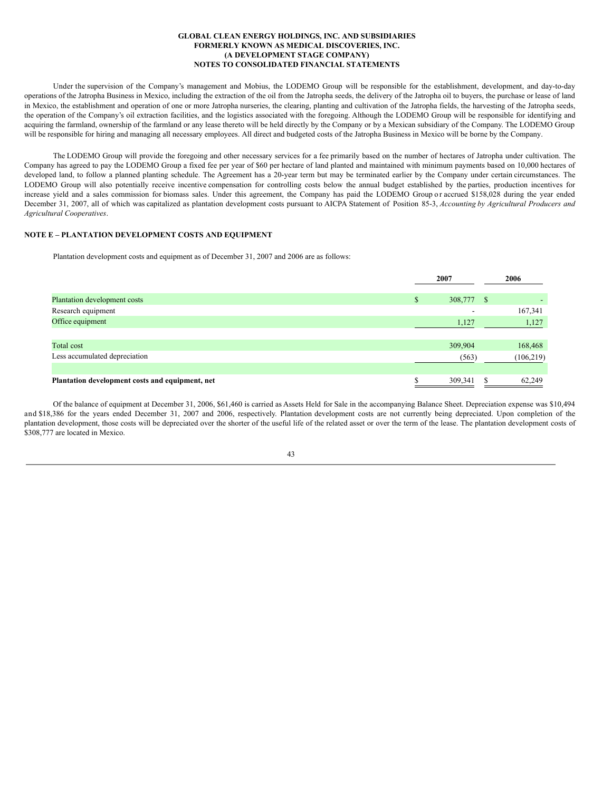Under the supervision of the Company's management and Mobius, the LODEMO Group will be responsible for the establishment, development, and day-to-day operations of the Jatropha Business in Mexico, including the extraction of the oil from the Jatropha seeds, the delivery of the Jatropha oil to buyers, the purchase or lease of land in Mexico, the establishment and operation of one or more Jatropha nurseries, the clearing, planting and cultivation of the Jatropha fields, the harvesting of the Jatropha seeds, the operation of the Company's oil extraction facilities, and the logistics associated with the foregoing. Although the LODEMO Group will be responsible for identifying and acquiring the farmland, ownership of the farmland or any lease thereto will be held directly by the Company or by a Mexican subsidiary of the Company. The LODEMO Group will be responsible for hiring and managing all necessary employees. All direct and budgeted costs of the Jatropha Business in Mexico will be borne by the Company.

The LODEMO Group will provide the foregoing and other necessary services for a fee primarily based on the number of hectares of Jatropha under cultivation. The Company has agreed to pay the LODEMO Group a fixed fee per year of \$60 per hectare of land planted and maintained with minimum payments based on 10,000 hectares of developed land, to follow a planned planting schedule. The Agreement has a 20-year term but may be terminated earlier by the Company under certain circumstances. The LODEMO Group will also potentially receive incentive compensation for controlling costs below the annual budget established by the parties, production incentives for increase yield and a sales commission for biomass sales. Under this agreement, the Company has paid the LODEMO Group o r accrued \$158,028 during the year ended December 31, 2007, all of which was capitalized as plantation development costs pursuant to AICPA Statement of Position 85-3, *Accounting by Agricultural Producers and Agricultural Cooperatives*.

## **NOTE E – PLANTATION DEVELOPMENT COSTS AND EQUIPMENT**

Plantation development costs and equipment as of December 31, 2007 and 2006 are as follows:

|                                                 | 2007          |      | 2006       |
|-------------------------------------------------|---------------|------|------------|
| Plantation development costs                    | \$<br>308,777 | - \$ |            |
| Research equipment                              |               |      | 167,341    |
| Office equipment                                | 1,127         |      | 1,127      |
|                                                 |               |      |            |
| Total cost                                      | 309,904       |      | 168,468    |
| Less accumulated depreciation                   | (563)         |      | (106, 219) |
|                                                 |               |      |            |
| Plantation development costs and equipment, net | 309,341       |      | 62,249     |

Of the balance of equipment at December 31, 2006, \$61,460 is carried as Assets Held for Sale in the accompanying Balance Sheet. Depreciation expense was \$10,494 and \$18,386 for the years ended December 31, 2007 and 2006, respectively. Plantation development costs are not currently being depreciated. Upon completion of the plantation development, those costs will be depreciated over the shorter of the useful life of the related asset or over the term of the lease. The plantation development costs of \$308,777 are located in Mexico.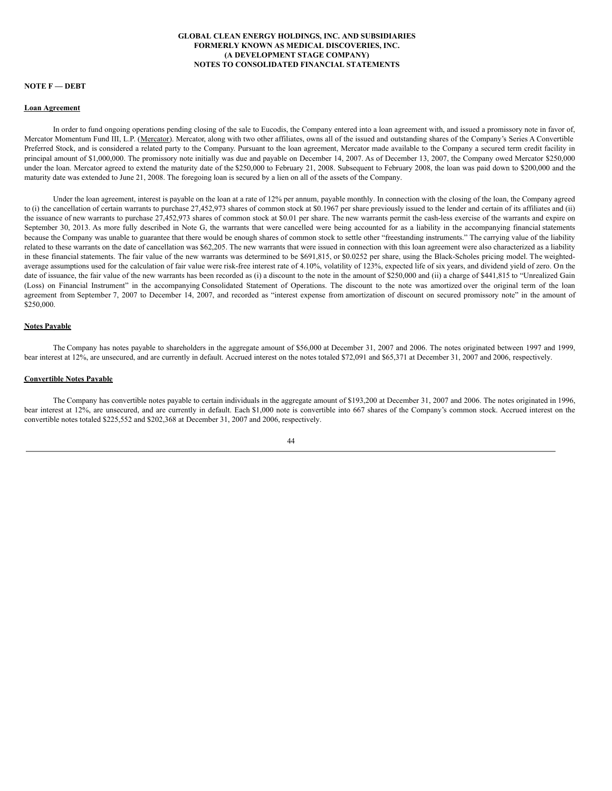### **NOTE F — DEBT**

## **Loan Agreement**

In order to fund ongoing operations pending closing of the sale to Eucodis, the Company entered into a loan agreement with, and issued a promissory note in favor of, Mercator Momentum Fund III, L.P. (Mercator). Mercator, along with two other affiliates, owns all of the issued and outstanding shares of the Company's Series A Convertible Preferred Stock, and is considered a related party to the Company. Pursuant to the loan agreement, Mercator made available to the Company a secured term credit facility in principal amount of \$1,000,000. The promissory note initially was due and payable on December 14, 2007. As of December 13, 2007, the Company owed Mercator \$250,000 under the loan. Mercator agreed to extend the maturity date of the \$250,000 to February 21, 2008. Subsequent to February 2008, the loan was paid down to \$200,000 and the maturity date was extended to June 21, 2008. The foregoing loan is secured by a lien on all of the assets of the Company.

Under the loan agreement, interest is payable on the loan at a rate of 12% per annum, payable monthly. In connection with the closing of the loan, the Company agreed to (i) the cancellation of certain warrants to purchase 27,452,973 shares of common stock at \$0.1967 per share previously issued to the lender and certain of its affiliates and (ii) the issuance of new warrants to purchase 27,452,973 shares of common stock at \$0.01 per share. The new warrants permit the cash-less exercise of the warrants and expire on September 30, 2013. As more fully described in Note G, the warrants that were cancelled were being accounted for as a liability in the accompanying financial statements because the Company was unable to guarantee that there would be enough shares of common stock to settle other "freestanding instruments." The carrying value of the liability related to these warrants on the date of cancellation was \$62,205. The new warrants that were issued in connection with this loan agreement were also characterized as a liability in these financial statements. The fair value of the new warrants was determined to be \$691,815, or \$0.0252 per share, using the Black-Scholes pricing model. The weightedaverage assumptions used for the calculation of fair value were risk-free interest rate of 4.10%, volatility of 123%, expected life of six years, and dividend yield of zero. On the date of issuance, the fair value of the new warrants has been recorded as (i) a discount to the note in the amount of \$250,000 and (ii) a charge of \$441,815 to "Unrealized Gain (Loss) on Financial Instrument" in the accompanying Consolidated Statement of Operations. The discount to the note was amortized over the original term of the loan agreement from September 7, 2007 to December 14, 2007, and recorded as "interest expense from amortization of discount on secured promissory note" in the amount of \$250,000.

#### **Notes Payable**

The Company has notes payable to shareholders in the aggregate amount of \$56,000 at December 31, 2007 and 2006. The notes originated between 1997 and 1999, bear interest at 12%, are unsecured, and are currently in default. Accrued interest on the notes totaled \$72,091 and \$65,371 at December 31, 2007 and 2006, respectively.

#### **Convertible Notes Payable**

The Company has convertible notes payable to certain individuals in the aggregate amount of \$193,200 at December 31, 2007 and 2006. The notes originated in 1996, bear interest at 12%, are unsecured, and are currently in default. Each \$1,000 note is convertible into 667 shares of the Company's common stock. Accrued interest on the convertible notes totaled \$225,552 and \$202,368 at December 31, 2007 and 2006, respectively.

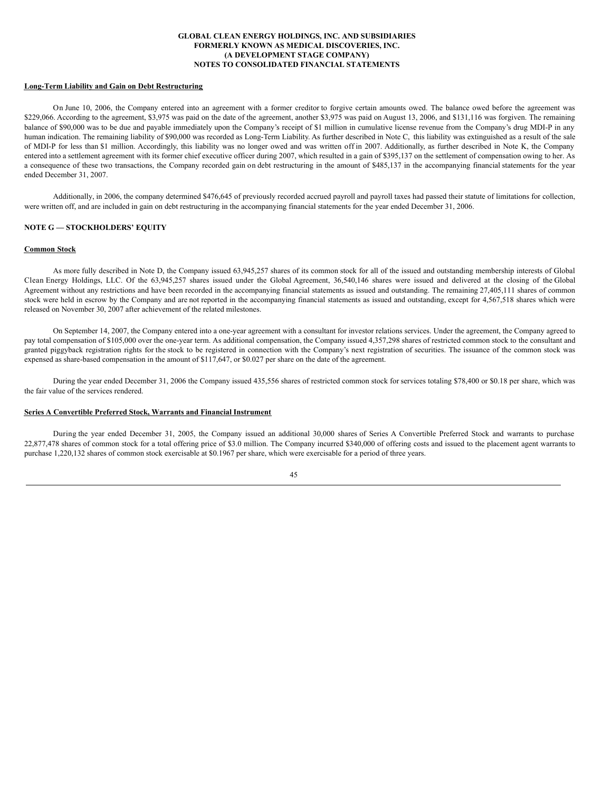## **Long-Term Liability and Gain on Debt Restructuring**

On June 10, 2006, the Company entered into an agreement with a former creditor to forgive certain amounts owed. The balance owed before the agreement was \$229,066. According to the agreement, \$3,975 was paid on the date of the agreement, another \$3,975 was paid on August 13, 2006, and \$131,116 was forgiven. The remaining balance of \$90,000 was to be due and payable immediately upon the Company's receipt of \$1 million in cumulative license revenue from the Company's drug MDI-P in any human indication. The remaining liability of \$90,000 was recorded as Long-Term Liability. As further described in Note C, this liability was extinguished as a result of the sale of MDI-P for less than \$1 million. Accordingly, this liability was no longer owed and was written off in 2007. Additionally, as further described in Note K, the Company entered into a settlement agreement with its former chief executive officer during 2007, which resulted in a gain of \$395,137 on the settlement of compensation owing to her. As a consequence of these two transactions, the Company recorded gain on debt restructuring in the amount of \$485,137 in the accompanying financial statements for the year ended December 31, 2007.

Additionally, in 2006, the company determined \$476,645 of previously recorded accrued payroll and payroll taxes had passed their statute of limitations for collection, were written off, and are included in gain on debt restructuring in the accompanying financial statements for the year ended December 31, 2006.

# **NOTE G — STOCKHOLDERS' EQUITY**

#### **Common Stock**

As more fully described in Note D, the Company issued 63,945,257 shares of its common stock for all of the issued and outstanding membership interests of Global Clean Energy Holdings, LLC. Of the 63,945,257 shares issued under the Global Agreement, 36,540,146 shares were issued and delivered at the closing of the Global Agreement without any restrictions and have been recorded in the accompanying financial statements as issued and outstanding. The remaining 27,405,111 shares of common stock were held in escrow by the Company and are not reported in the accompanying financial statements as issued and outstanding, except for 4,567,518 shares which were released on November 30, 2007 after achievement of the related milestones.

On September 14, 2007, the Company entered into a one-year agreement with a consultant for investor relations services. Under the agreement, the Company agreed to pay total compensation of \$105,000 over the one-year term. As additional compensation, the Company issued 4,357,298 shares of restricted common stock to the consultant and granted piggyback registration rights for the stock to be registered in connection with the Company's next registration of securities. The issuance of the common stock was expensed as share-based compensation in the amount of \$117,647, or \$0.027 per share on the date of the agreement.

During the year ended December 31, 2006 the Company issued 435,556 shares of restricted common stock for services totaling \$78,400 or \$0.18 per share, which was the fair value of the services rendered.

### **Series A Convertible Preferred Stock, Warrants and Financial Instrument**

During the year ended December 31, 2005, the Company issued an additional 30,000 shares of Series A Convertible Preferred Stock and warrants to purchase 22,877,478 shares of common stock for a total offering price of \$3.0 million. The Company incurred \$340,000 of offering costs and issued to the placement agent warrants to purchase 1,220,132 shares of common stock exercisable at \$0.1967 per share, which were exercisable for a period of three years.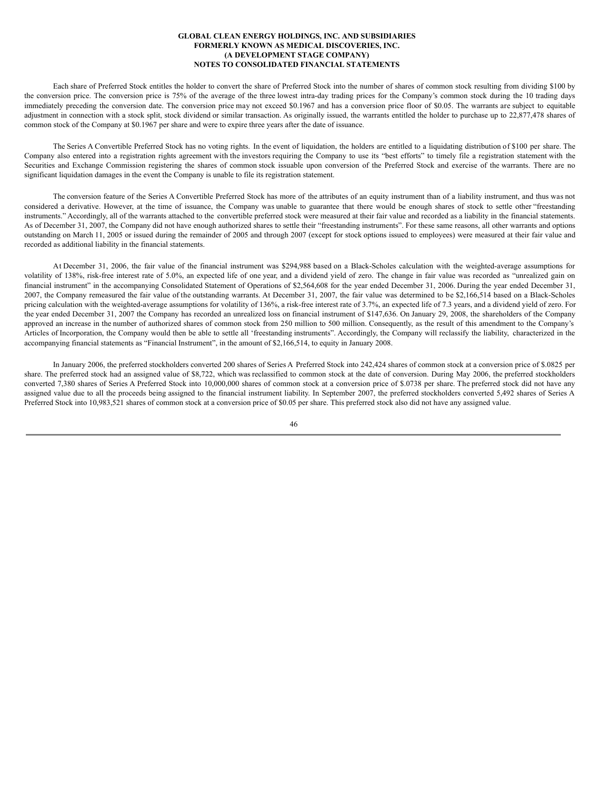Each share of Preferred Stock entitles the holder to convert the share of Preferred Stock into the number of shares of common stock resulting from dividing \$100 by the conversion price. The conversion price is 75% of the average of the three lowest intra-day trading prices for the Company's common stock during the 10 trading days immediately preceding the conversion date. The conversion price may not exceed \$0.1967 and has a conversion price floor of \$0.05. The warrants are subject to equitable adjustment in connection with a stock split, stock dividend or similar transaction. As originally issued, the warrants entitled the holder to purchase up to 22,877,478 shares of common stock of the Company at \$0.1967 per share and were to expire three years after the date of issuance.

The Series A Convertible Preferred Stock has no voting rights. In the event of liquidation, the holders are entitled to a liquidating distribution of \$100 per share. The Company also entered into a registration rights agreement with the investors requiring the Company to use its "best efforts" to timely file a registration statement with the Securities and Exchange Commission registering the shares of common stock issuable upon conversion of the Preferred Stock and exercise of the warrants. There are no significant liquidation damages in the event the Company is unable to file its registration statement.

The conversion feature of the Series A Convertible Preferred Stock has more of the attributes of an equity instrument than of a liability instrument, and thus was not considered a derivative. However, at the time of issuance, the Company was unable to guarantee that there would be enough shares of stock to settle other "freestanding instruments." Accordingly, all of the warrants attached to the convertible preferred stock were measured at their fair value and recorded as a liability in the financial statements. As of December 31, 2007, the Company did not have enough authorized shares to settle their "freestanding instruments". For these same reasons, all other warrants and options outstanding on March 11, 2005 or issued during the remainder of 2005 and through 2007 (except for stock options issued to employees) were measured at their fair value and recorded as additional liability in the financial statements.

At December 31, 2006, the fair value of the financial instrument was \$294,988 based on a Black-Scholes calculation with the weighted-average assumptions for volatility of 138%, risk-free interest rate of 5.0%, an expected life of one year, and a dividend yield of zero. The change in fair value was recorded as "unrealized gain on financial instrument" in the accompanying Consolidated Statement of Operations of \$2,564,608 for the year ended December 31, 2006. During the year ended December 31, 2007, the Company remeasured the fair value of the outstanding warrants. At December 31, 2007, the fair value was determined to be \$2,166,514 based on a Black-Scholes pricing calculation with the weighted-average assumptions for volatility of 136%, a risk-free interest rate of 3.7%, an expected life of 7.3 years, and a dividend yield of zero. For the year ended December 31, 2007 the Company has recorded an unrealized loss on financial instrument of \$147,636. On January 29, 2008, the shareholders of the Company approved an increase in the number of authorized shares of common stock from 250 million to 500 million. Consequently, as the result of this amendment to the Company's Articles of Incorporation, the Company would then be able to settle all 'freestanding instruments". Accordingly, the Company will reclassify the liability, characterized in the accompanying financial statements as "Financial Instrument", in the amount of \$2,166,514, to equity in January 2008.

In January 2006, the preferred stockholders converted 200 shares of Series A Preferred Stock into 242,424 shares of common stock at a conversion price of \$.0825 per share. The preferred stock had an assigned value of \$8,722, which was reclassified to common stock at the date of conversion. During May 2006, the preferred stockholders converted 7,380 shares of Series A Preferred Stock into 10,000,000 shares of common stock at a conversion price of \$.0738 per share. The preferred stock did not have any assigned value due to all the proceeds being assigned to the financial instrument liability. In September 2007, the preferred stockholders converted 5,492 shares of Series A Preferred Stock into 10,983,521 shares of common stock at a conversion price of \$0.05 per share. This preferred stock also did not have any assigned value.

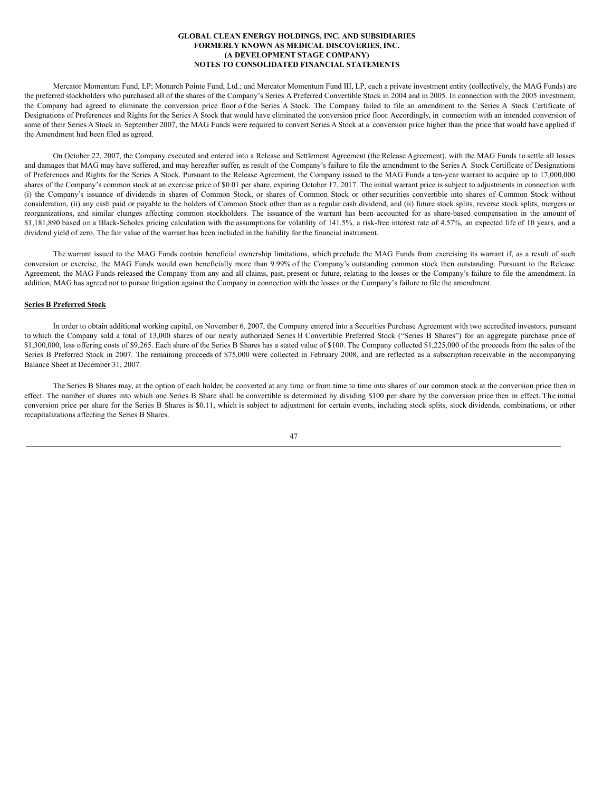Mercator Momentum Fund, LP; Monarch Pointe Fund, Ltd.; and Mercator Momentum Fund III, LP, each a private investment entity (collectively, the MAG Funds) are the preferred stockholders who purchased all of the shares of the Company's Series A Preferred Convertible Stock in 2004 and in 2005. In connection with the 2005 investment, the Company had agreed to eliminate the conversion price floor of the Series A Stock. The Company failed to file an amendment to the Series A Stock Certificate of Designations of Preferences and Rights for the Series A Stock that would have eliminated the conversion price floor. Accordingly, in connection with an intended conversion of some of their Series A Stock in September 2007, the MAG Funds were required to convert Series A Stock at a conversion price higher than the price that would have applied if the Amendment had been filed as agreed.

On October 22, 2007, the Company executed and entered into a Release and Settlement Agreement (the Release Agreement), with the MAG Funds to settle all losses and damages that MAG may have suffered, and may hereafter suffer, as result of the Company's failure to file the amendment to the Series A Stock Certificate of Designations of Preferences and Rights for the Series A Stock. Pursuant to the Release Agreement, the Company issued to the MAG Funds a ten-year warrant to acquire up to 17,000,000 shares of the Company's common stock at an exercise price of \$0.01 per share, expiring October 17, 2017. The initial warrant price is subject to adjustments in connection with (i) the Company's issuance of dividends in shares of Common Stock, or shares of Common Stock or other securities convertible into shares of Common Stock without consideration, (ii) any cash paid or payable to the holders of Common Stock other than as a regular cash dividend, and (ii) future stock splits, reverse stock splits, mergers or reorganizations, and similar changes affecting common stockholders. The issuance of the warrant has been accounted for as share-based compensation in the amount of \$1,181,890 based on a Black-Scholes pricing calculation with the assumptions for volatility of 141.5%, a risk-free interest rate of 4.57%, an expected life of 10 years, and a dividend yield of zero. The fair value of the warrant has been included in the liability for the financial instrument.

The warrant issued to the MAG Funds contain beneficial ownership limitations, which preclude the MAG Funds from exercising its warrant if, as a result of such conversion or exercise, the MAG Funds would own beneficially more than 9.99% of the Company's outstanding common stock then outstanding. Pursuant to the Release Agreement, the MAG Funds released the Company from any and all claims, past, present or future, relating to the losses or the Company's failure to file the amendment. In addition, MAG has agreed not to pursue litigation against the Company in connection with the losses or the Company's failure to file the amendment.

## **Series B Preferred Stock**

In order to obtain additional working capital, on November 6, 2007, the Company entered into a Securities Purchase Agreement with two accredited investors, pursuant to which the Company sold a total of 13,000 shares of our newly authorized Series B Convertible Preferred Stock ("Series B Shares") for an aggregate purchase price of \$1,300,000, less offering costs of \$9,265. Each share of the Series B Shares has a stated value of \$100. The Company collected \$1,225,000 of the proceeds from the sales of the Series B Preferred Stock in 2007. The remaining proceeds of \$75,000 were collected in February 2008, and are reflected as a subscription receivable in the accompanying Balance Sheet at December 31, 2007.

The Series B Shares may, at the option of each holder, be converted at any time or from time to time into shares of our common stock at the conversion price then in effect. The number of shares into which one Series B Share shall be convertible is determined by dividing \$100 per share by the conversion price then in effect. The initial conversion price per share for the Series B Shares is \$0.11, which is subject to adjustment for certain events, including stock splits, stock dividends, combinations, or other recapitalizations affecting the Series B Shares.

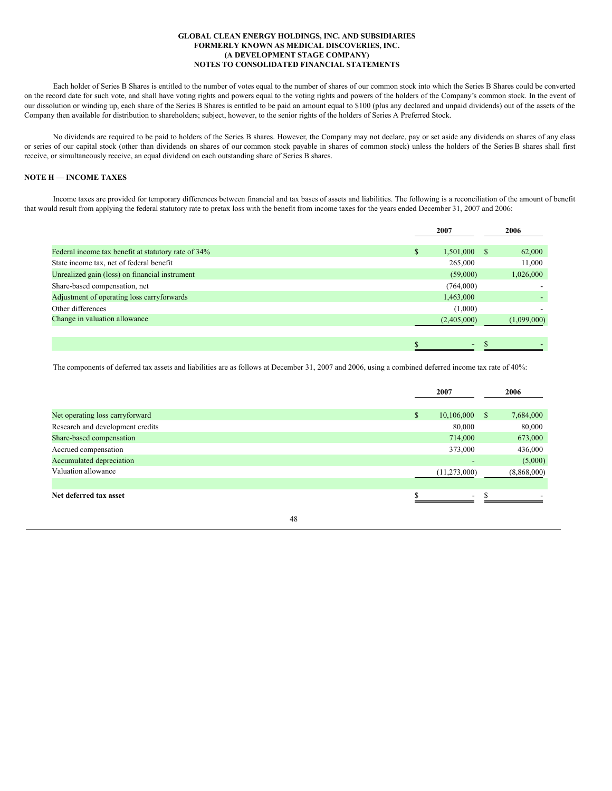Each holder of Series B Shares is entitled to the number of votes equal to the number of shares of our common stock into which the Series B Shares could be converted on the record date for such vote, and shall have voting rights and powers equal to the voting rights and powers of the holders of the Company's common stock. In the event of our dissolution or winding up, each share of the Series B Shares is entitled to be paid an amount equal to \$100 (plus any declared and unpaid dividends) out of the assets of the Company then available for distribution to shareholders; subject, however, to the senior rights of the holders of Series A Preferred Stock.

No dividends are required to be paid to holders of the Series B shares. However, the Company may not declare, pay or set aside any dividends on shares of any class or series of our capital stock (other than dividends on shares of our common stock payable in shares of common stock) unless the holders of the Series B shares shall first receive, or simultaneously receive, an equal dividend on each outstanding share of Series B shares.

# **NOTE H — INCOME TAXES**

Income taxes are provided for temporary differences between financial and tax bases of assets and liabilities. The following is a reconciliation of the amount of benefit that would result from applying the federal statutory rate to pretax loss with the benefit from income taxes for the years ended December 31, 2007 and 2006:

|                                                     | 2007        |      | 2006        |
|-----------------------------------------------------|-------------|------|-------------|
| Federal income tax benefit at statutory rate of 34% | 1,501,000   | - \$ | 62,000      |
| State income tax, net of federal benefit            | 265,000     |      | 11,000      |
| Unrealized gain (loss) on financial instrument      | (59,000)    |      | 1,026,000   |
| Share-based compensation, net                       | (764,000)   |      |             |
| Adjustment of operating loss carryforwards          | 1,463,000   |      |             |
| Other differences                                   | (1,000)     |      |             |
| Change in valuation allowance                       | (2,405,000) |      | (1,099,000) |
|                                                     |             |      |             |
|                                                     | ۰           |      |             |

The components of deferred tax assets and liabilities are as follows at December 31, 2007 and 2006, using a combined deferred income tax rate of 40%:

|                                  | 2006<br>2007                        |
|----------------------------------|-------------------------------------|
| Net operating loss carryforward  | \$<br>10,106,000<br>7,684,000<br>-S |
| Research and development credits | 80,000<br>80,000                    |
| Share-based compensation         | 673,000<br>714,000                  |
| Accrued compensation             | 436,000<br>373,000                  |
| Accumulated depreciation         | (5,000)                             |
| Valuation allowance              | (8,868,000)<br>(11,273,000)         |
|                                  |                                     |
| Net deferred tax asset           | $\overline{\phantom{a}}$            |
|                                  |                                     |
| 48                               |                                     |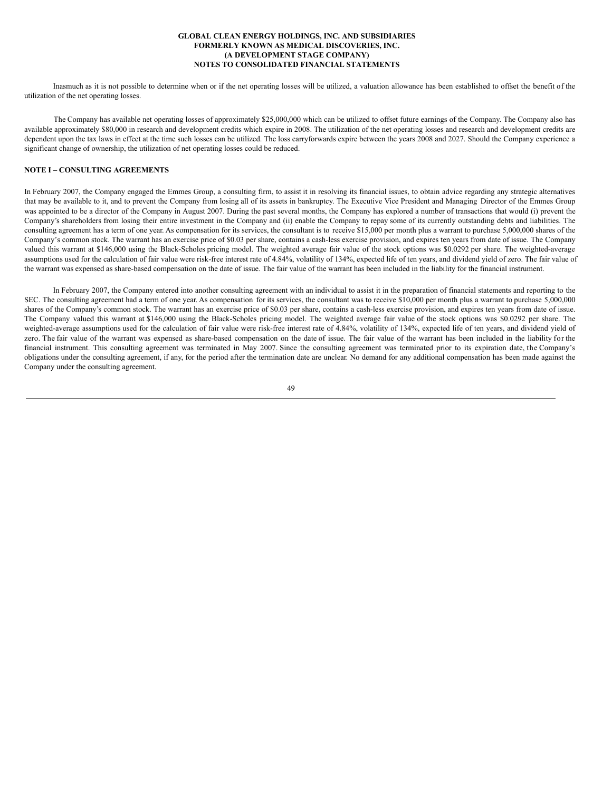Inasmuch as it is not possible to determine when or if the net operating losses will be utilized, a valuation allowance has been established to offset the benefit of the utilization of the net operating losses.

The Company has available net operating losses of approximately \$25,000,000 which can be utilized to offset future earnings of the Company. The Company also has available approximately \$80,000 in research and development credits which expire in 2008. The utilization of the net operating losses and research and development credits are dependent upon the tax laws in effect at the time such losses can be utilized. The loss carryforwards expire between the years 2008 and 2027. Should the Company experience a significant change of ownership, the utilization of net operating losses could be reduced.

# **NOTE I – CONSULTING AGREEMENTS**

In February 2007, the Company engaged the Emmes Group, a consulting firm, to assist it in resolving its financial issues, to obtain advice regarding any strategic alternatives that may be available to it, and to prevent the Company from losing all of its assets in bankruptcy. The Executive Vice President and Managing Director of the Emmes Group was appointed to be a director of the Company in August 2007. During the past several months, the Company has explored a number of transactions that would (i) prevent the Company's shareholders from losing their entire investment in the Company and (ii) enable the Company to repay some of its currently outstanding debts and liabilities. The consulting agreement has a term of one year. As compensation for its services, the consultant is to receive \$15,000 per month plus a warrant to purchase 5,000,000 shares of the Company's common stock. The warrant has an exercise price of \$0.03 per share, contains a cash-less exercise provision, and expires ten years from date of issue. The Company valued this warrant at \$146,000 using the Black-Scholes pricing model. The weighted average fair value of the stock options was \$0.0292 per share. The weighted-average assumptions used for the calculation of fair value were risk-free interest rate of 4.84%, volatility of 134%, expected life of ten years, and dividend yield of zero. The fair value of the warrant was expensed as share-based compensation on the date of issue. The fair value of the warrant has been included in the liability for the financial instrument.

In February 2007, the Company entered into another consulting agreement with an individual to assist it in the preparation of financial statements and reporting to the SEC. The consulting agreement had a term of one year. As compensation for its services, the consultant was to receive \$10,000 per month plus a warrant to purchase 5,000,000 shares of the Company's common stock. The warrant has an exercise price of \$0.03 per share, contains a cash-less exercise provision, and expires ten years from date of issue. The Company valued this warrant at \$146,000 using the Black-Scholes pricing model. The weighted average fair value of the stock options was \$0.0292 per share. The weighted-average assumptions used for the calculation of fair value were risk-free interest rate of 4.84%, volatility of 134%, expected life of ten years, and dividend yield of zero. The fair value of the warrant was expensed as share-based compensation on the date of issue. The fair value of the warrant has been included in the liability for the financial instrument. This consulting agreement was terminated in May 2007. Since the consulting agreement was terminated prior to its expiration date, the Company's obligations under the consulting agreement, if any, for the period after the termination date are unclear. No demand for any additional compensation has been made against the Company under the consulting agreement.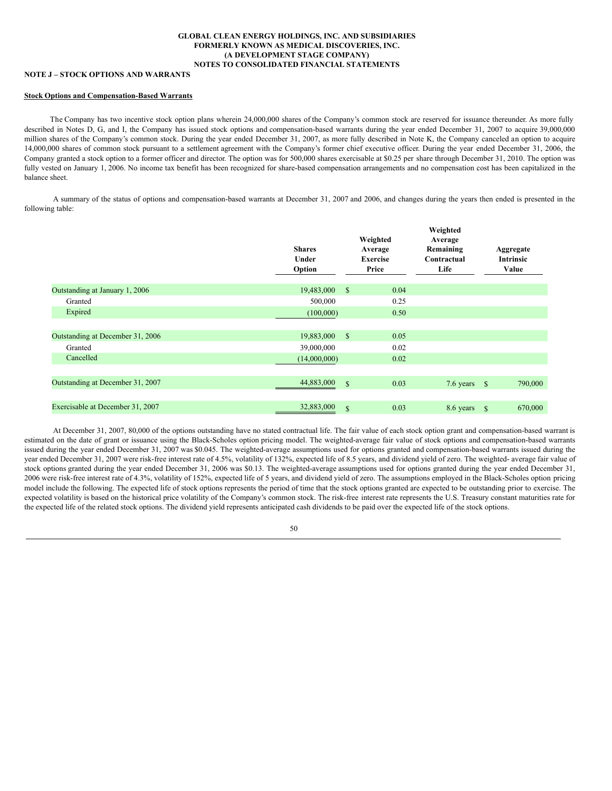# **NOTE J – STOCK OPTIONS AND WARRANTS**

#### **Stock Options and Compensation-Based Warrants**

The Company has two incentive stock option plans wherein 24,000,000 shares of the Company's common stock are reserved for issuance thereunder. As more fully described in Notes D, G, and I, the Company has issued stock options and compensation-based warrants during the year ended December 31, 2007 to acquire 39,000,000 million shares of the Company's common stock. During the year ended December 31, 2007, as more fully described in Note K, the Company canceled an option to acquire 14,000,000 shares of common stock pursuant to a settlement agreement with the Company's former chief executive officer. During the year ended December 31, 2006, the Company granted a stock option to a former officer and director. The option was for 500,000 shares exercisable at \$0.25 per share through December 31, 2010. The option was fully vested on January 1, 2006. No income tax benefit has been recognized for share-based compensation arrangements and no compensation cost has been capitalized in the balance sheet.

A summary of the status of options and compensation-based warrants at December 31, 2007 and 2006, and changes during the years then ended is presented in the following table:

|                                  | <b>Shares</b><br>Under<br>Option | Weighted<br>Average<br><b>Exercise</b><br>Price |      | Weighted<br>Average<br>Remaining<br>Contractual<br>Life | Aggregate<br><b>Intrinsic</b><br>Value |
|----------------------------------|----------------------------------|-------------------------------------------------|------|---------------------------------------------------------|----------------------------------------|
| Outstanding at January 1, 2006   | 19,483,000                       | $\mathbf{\hat{s}}$                              | 0.04 |                                                         |                                        |
| Granted                          | 500,000                          |                                                 | 0.25 |                                                         |                                        |
| Expired                          | (100,000)                        |                                                 | 0.50 |                                                         |                                        |
|                                  |                                  |                                                 |      |                                                         |                                        |
| Outstanding at December 31, 2006 | 19,883,000                       | $\mathbf{s}$                                    | 0.05 |                                                         |                                        |
| Granted                          | 39,000,000                       |                                                 | 0.02 |                                                         |                                        |
| Cancelled                        | (14,000,000)                     |                                                 | 0.02 |                                                         |                                        |
|                                  |                                  |                                                 |      |                                                         |                                        |
| Outstanding at December 31, 2007 | 44,883,000                       | $\mathsf{\$}$                                   | 0.03 | 7.6 years $\$\$                                         | 790,000                                |
|                                  |                                  |                                                 |      |                                                         |                                        |
| Exercisable at December 31, 2007 | 32,883,000                       | <sup>\$</sup>                                   | 0.03 | 8.6 years \$                                            | 670,000                                |

At December 31, 2007, 80,000 of the options outstanding have no stated contractual life. The fair value of each stock option grant and compensation-based warrant is estimated on the date of grant or issuance using the Black-Scholes option pricing model. The weighted-average fair value of stock options and compensation-based warrants issued during the year ended December 31, 2007 was \$0.045. The weighted-average assumptions used for options granted and compensation-based warrants issued during the year ended December 31, 2007 were risk-free interest rate of 4.5%, volatility of 132%, expected life of 8.5 years, and dividend yield of zero. The weighted- average fair value of stock options granted during the year ended December 31, 2006 was \$0.13. The weighted-average assumptions used for options granted during the year ended December 31, 2006 were risk-free interest rate of 4.3%, volatility of 152%, expected life of 5 years, and dividend yield of zero. The assumptions employed in the Black-Scholes option pricing model include the following. The expected life of stock options represents the period of time that the stock options granted are expected to be outstanding prior to exercise. The expected volatility is based on the historical price volatility of the Company's common stock. The risk-free interest rate represents the U.S. Treasury constant maturities rate for the expected life of the related stock options. The dividend yield represents anticipated cash dividends to be paid over the expected life of the stock options.

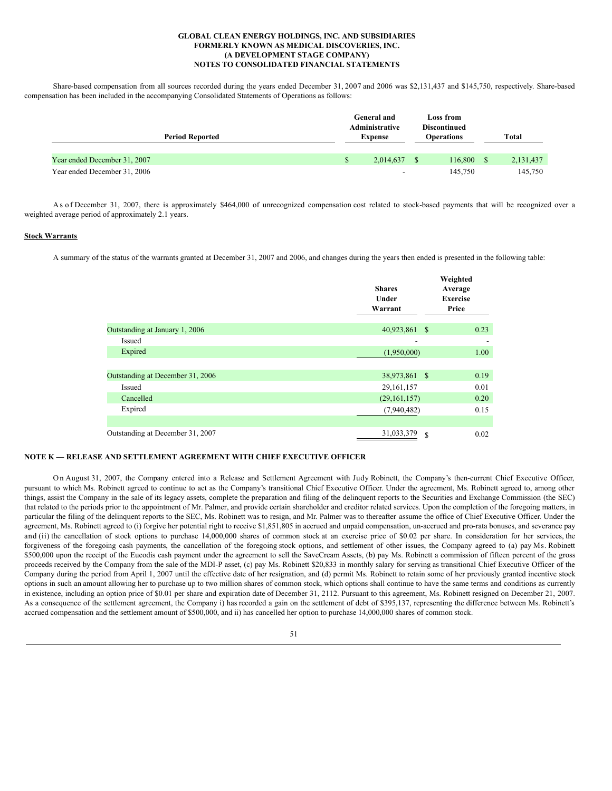Share-based compensation from all sources recorded during the years ended December 31, 2007 and 2006 was \$2,131,437 and \$145,750, respectively. Share-based compensation has been included in the accompanying Consolidated Statements of Operations as follows:

|                              |  | <b>General and</b><br>Administrative | Loss from<br><b>Discontinued</b> |             |
|------------------------------|--|--------------------------------------|----------------------------------|-------------|
| <b>Period Reported</b>       |  | <b>Expense</b>                       | <b>Operations</b>                | Total       |
| Year ended December 31, 2007 |  | 2,014,637                            | 116,800                          | 2, 131, 437 |
| Year ended December 31, 2006 |  | $\overline{\phantom{0}}$             | 145,750                          | 145,750     |

A s o f December 31, 2007, there is approximately \$464,000 of unrecognized compensation cost related to stock-based payments that will be recognized over a weighted average period of approximately 2.1 years.

#### **Stock Warrants**

A summary of the status of the warrants granted at December 31, 2007 and 2006, and changes during the years then ended is presented in the following table:

|                                  | <b>Shares</b><br>Under<br>Warrant | Weighted<br>Average<br><b>Exercise</b><br>Price |
|----------------------------------|-----------------------------------|-------------------------------------------------|
| Outstanding at January 1, 2006   | 40,923,861 \$                     | 0.23                                            |
| Issued                           | ۰                                 | $\overline{\phantom{a}}$                        |
| Expired                          | (1,950,000)                       | 1.00                                            |
|                                  |                                   |                                                 |
| Outstanding at December 31, 2006 | 38,973,861 \$                     | 0.19                                            |
| Issued                           | 29, 161, 157                      | 0.01                                            |
| Cancelled                        | (29, 161, 157)                    | 0.20                                            |
| Expired                          | (7,940,482)                       | 0.15                                            |
|                                  |                                   |                                                 |
| Outstanding at December 31, 2007 | 31,033,379<br><sup>\$</sup>       | 0.02                                            |

# **NOTE K — RELEASE AND SETTLEMENT AGREEMENT WITH CHIEF EXECUTIVE OFFICER**

O n August 31, 2007, the Company entered into a Release and Settlement Agreement with Judy Robinett, the Company's then-current Chief Executive Officer, pursuant to which Ms. Robinett agreed to continue to act as the Company's transitional Chief Executive Officer. Under the agreement, Ms. Robinett agreed to, among other things, assist the Company in the sale of its legacy assets, complete the preparation and filing of the delinquent reports to the Securities and Exchange Commission (the SEC) that related to the periods prior to the appointment of Mr. Palmer, and provide certain shareholder and creditor related services. Upon the completion of the foregoing matters, in particular the filing of the delinquent reports to the SEC, Ms. Robinett was to resign, and Mr. Palmer was to thereafter assume the office of Chief Executive Officer. Under the agreement, Ms. Robinett agreed to (i) forgive her potential right to receive \$1,851,805 in accrued and unpaid compensation, un-accrued and pro-rata bonuses, and severance pay and (ii) the cancellation of stock options to purchase 14,000,000 shares of common stock at an exercise price of \$0.02 per share. In consideration for her services, the forgiveness of the foregoing cash payments, the cancellation of the foregoing stock options, and settlement of other issues, the Company agreed to (a) pay Ms. Robinett \$500,000 upon the receipt of the Eucodis cash payment under the agreement to sell the SaveCream Assets, (b) pay Ms. Robinett a commission of fifteen percent of the gross proceeds received by the Company from the sale of the MDI-P asset, (c) pay Ms. Robinett \$20,833 in monthly salary for serving as transitional Chief Executive Officer of the Company during the period from April 1, 2007 until the effective date of her resignation, and (d) permit Ms. Robinett to retain some of her previously granted incentive stock options in such an amount allowing her to purchase up to two million shares of common stock, which options shall continue to have the same terms and conditions as currently in existence, including an option price of \$0.01 per share and expiration date of December 31, 2112. Pursuant to this agreement, Ms. Robinett resigned on December 21, 2007. As a consequence of the settlement agreement, the Company i) has recorded a gain on the settlement of debt of \$395,137, representing the difference between Ms. Robinett's accrued compensation and the settlement amount of \$500,000, and ii) has cancelled her option to purchase 14,000,000 shares of common stock.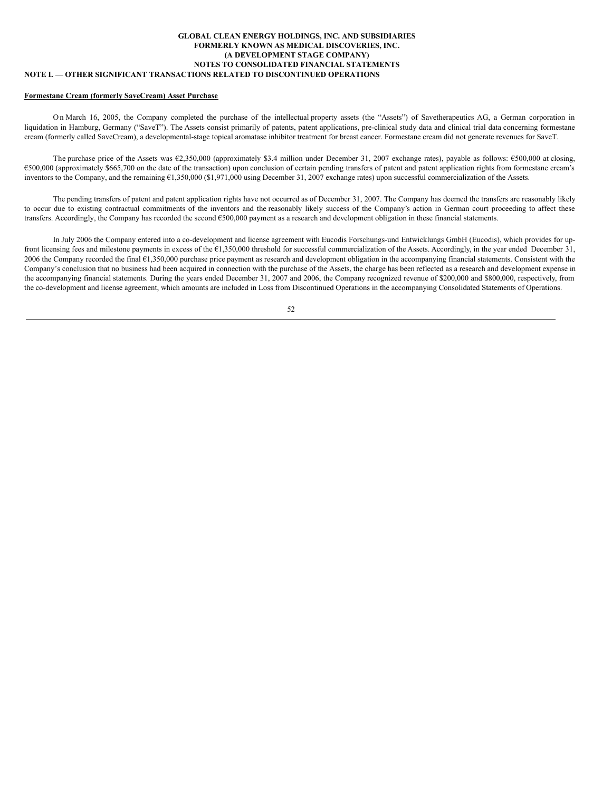## **GLOBAL CLEAN ENERGY HOLDINGS, INC. AND SUBSIDIARIES FORMERLY KNOWN AS MEDICAL DISCOVERIES, INC. (A DEVELOPMENT STAGE COMPANY) NOTES TO CONSOLIDATED FINANCIAL STATEMENTS NOTE L — OTHER SIGNIFICANT TRANSACTIONS RELATED TO DISCONTINUED OPERATIONS**

#### **Formestane Cream (formerly SaveCream) Asset Purchase**

O n March 16, 2005, the Company completed the purchase of the intellectual property assets (the "Assets") of Savetherapeutics AG, a German corporation in liquidation in Hamburg, Germany ("SaveT"). The Assets consist primarily of patents, patent applications, pre-clinical study data and clinical trial data concerning formestane cream (formerly called SaveCream), a developmental-stage topical aromatase inhibitor treatment for breast cancer. Formestane cream did not generate revenues for SaveT.

The purchase price of the Assets was €2,350,000 (approximately \$3.4 million under December 31, 2007 exchange rates), payable as follows: €500,000 at closing, €500,000 (approximately \$665,700 on the date of the transaction) upon conclusion of certain pending transfers of patent and patent application rights from formestane cream's inventors to the Company, and the remaining €1,350,000 (\$1,971,000 using December 31, 2007 exchange rates) upon successful commercialization of the Assets.

The pending transfers of patent and patent application rights have not occurred as of December 31, 2007. The Company has deemed the transfers are reasonably likely to occur due to existing contractual commitments of the inventors and the reasonably likely success of the Company's action in German court proceeding to affect these transfers. Accordingly, the Company has recorded the second €500,000 payment as a research and development obligation in these financial statements.

In July 2006 the Company entered into a co-development and license agreement with Eucodis Forschungs-und Entwicklungs GmbH (Eucodis), which provides for upfront licensing fees and milestone payments in excess of the €1,350,000 threshold for successful commercialization of the Assets. Accordingly, in the year ended December 31, 2006 the Company recorded the final €1,350,000 purchase price payment as research and development obligation in the accompanying financial statements. Consistent with the Company's conclusion that no business had been acquired in connection with the purchase of the Assets, the charge has been reflected as a research and development expense in the accompanying financial statements. During the years ended December 31, 2007 and 2006, the Company recognized revenue of \$200,000 and \$800,000, respectively, from the co-development and license agreement, which amounts are included in Loss from Discontinued Operations in the accompanying Consolidated Statements of Operations.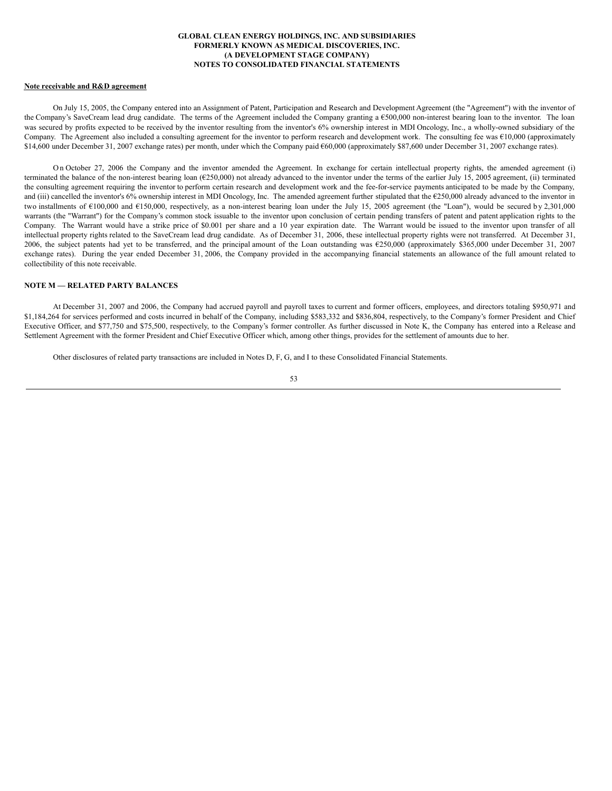## **Note receivable and R&D agreement**

On July 15, 2005, the Company entered into an Assignment of Patent, Participation and Research and Development Agreement (the "Agreement") with the inventor of the Company's SaveCream lead drug candidate. The terms of the Agreement included the Company granting a €500,000 non-interest bearing loan to the inventor. The loan was secured by profits expected to be received by the inventor resulting from the inventor's 6% ownership interest in MDI Oncology, Inc., a wholly-owned subsidiary of the Company. The Agreement also included a consulting agreement for the inventor to perform research and development work. The consulting fee was €10,000 (approximately \$14,600 under December 31, 2007 exchange rates) per month, under which the Company paid €60,000 (approximately \$87,600 under December 31, 2007 exchange rates).

O n October 27, 2006 the Company and the inventor amended the Agreement. In exchange for certain intellectual property rights, the amended agreement (i) terminated the balance of the non-interest bearing loan (€250,000) not already advanced to the inventor under the terms of the earlier July 15, 2005 agreement, (ii) terminated the consulting agreement requiring the inventor to perform certain research and development work and the fee-for-service payments anticipated to be made by the Company, and (iii) cancelled the inventor's 6% ownership interest in MDI Oncology, Inc. The amended agreement further stipulated that the €250,000 already advanced to the inventor in two installments of €100,000 and €150,000, respectively, as a non-interest bearing loan under the July 15, 2005 agreement (the "Loan"), would be secured by 2,301,000 warrants (the "Warrant") for the Company's common stock issuable to the inventor upon conclusion of certain pending transfers of patent and patent application rights to the Company. The Warrant would have a strike price of \$0.001 per share and a 10 year expiration date. The Warrant would be issued to the inventor upon transfer of all intellectual property rights related to the SaveCream lead drug candidate. As of December 31, 2006, these intellectual property rights were not transferred. At December 31, 2006, the subject patents had yet to be transferred, and the principal amount of the Loan outstanding was  $\epsilon$ 250,000 (approximately \$365,000 under December 31, 2007 exchange rates). During the year ended December 31, 2006, the Company provided in the accompanying financial statements an allowance of the full amount related to collectibility of this note receivable.

## **NOTE M — RELATED PARTY BALANCES**

At December 31, 2007 and 2006, the Company had accrued payroll and payroll taxes to current and former officers, employees, and directors totaling \$950,971 and \$1,184,264 for services performed and costs incurred in behalf of the Company, including \$583,332 and \$836,804, respectively, to the Company's former President and Chief Executive Officer, and \$77,750 and \$75,500, respectively, to the Company's former controller. As further discussed in Note K, the Company has entered into a Release and Settlement Agreement with the former President and Chief Executive Officer which, among other things, provides for the settlement of amounts due to her.

Other disclosures of related party transactions are included in Notes D, F, G, and I to these Consolidated Financial Statements.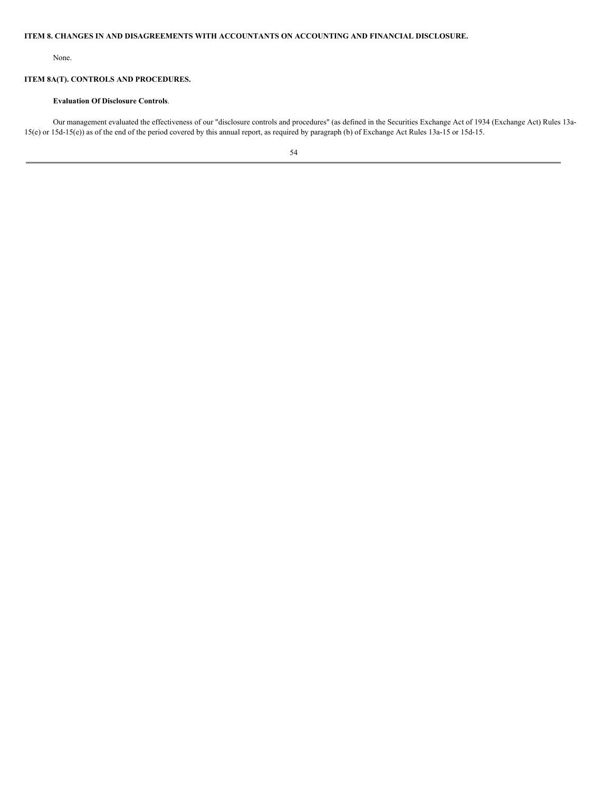## **ITEM 8. CHANGES IN AND DISAGREEMENTS WITH ACCOUNTANTS ON ACCOUNTING AND FINANCIAL DISCLOSURE.**

None.

## **ITEM 8A(T). CONTROLS AND PROCEDURES.**

# **Evaluation Of Disclosure Controls**.

Our management evaluated the effectiveness of our "disclosure controls and procedures" (as defined in the Securities Exchange Act of 1934 (Exchange Act) Rules 13a-15(e) or 15d-15(e)) as of the end of the period covered by this annual report, as required by paragraph (b) of Exchange Act Rules 13a-15 or 15d-15.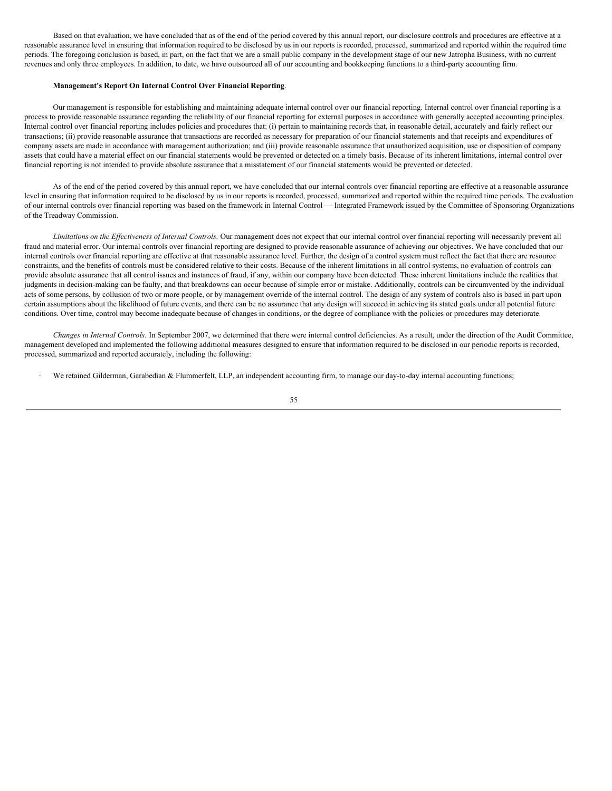Based on that evaluation, we have concluded that as of the end of the period covered by this annual report, our disclosure controls and procedures are effective at a reasonable assurance level in ensuring that information required to be disclosed by us in our reports is recorded, processed, summarized and reported within the required time periods. The foregoing conclusion is based, in part, on the fact that we are a small public company in the development stage of our new Jatropha Business, with no current revenues and only three employees. In addition, to date, we have outsourced all of our accounting and bookkeeping functions to a third-party accounting firm.

#### **Management's Report On Internal Control Over Financial Reporting**.

Our management is responsible for establishing and maintaining adequate internal control over our financial reporting. Internal control over financial reporting is a process to provide reasonable assurance regarding the reliability of our financial reporting for external purposes in accordance with generally accepted accounting principles. Internal control over financial reporting includes policies and procedures that: (i) pertain to maintaining records that, in reasonable detail, accurately and fairly reflect our transactions; (ii) provide reasonable assurance that transactions are recorded as necessary for preparation of our financial statements and that receipts and expenditures of company assets are made in accordance with management authorization; and (iii) provide reasonable assurance that unauthorized acquisition, use or disposition of company assets that could have a material effect on our financial statements would be prevented or detected on a timely basis. Because of its inherent limitations, internal control over financial reporting is not intended to provide absolute assurance that a misstatement of our financial statements would be prevented or detected.

As of the end of the period covered by this annual report, we have concluded that our internal controls over financial reporting are effective at a reasonable assurance level in ensuring that information required to be disclosed by us in our reports is recorded, processed, summarized and reported within the required time periods. The evaluation of our internal controls over financial reporting was based on the framework in Internal Control — Integrated Framework issued by the Committee of Sponsoring Organizations of the Treadway Commission.

*Limitations on the Ef ectiveness of Internal Controls*. Our management does not expect that our internal control over financial reporting will necessarily prevent all fraud and material error. Our internal controls over financial reporting are designed to provide reasonable assurance of achieving our objectives. We have concluded that our internal controls over financial reporting are effective at that reasonable assurance level. Further, the design of a control system must reflect the fact that there are resource constraints, and the benefits of controls must be considered relative to their costs. Because of the inherent limitations in all control systems, no evaluation of controls can provide absolute assurance that all control issues and instances of fraud, if any, within our company have been detected. These inherent limitations include the realities that judgments in decision-making can be faulty, and that breakdowns can occur because of simple error or mistake. Additionally, controls can be circumvented by the individual acts of some persons, by collusion of two or more people, or by management override of the internal control. The design of any system of controls also is based in part upon certain assumptions about the likelihood of future events, and there can be no assurance that any design will succeed in achieving its stated goals under all potential future conditions. Over time, control may become inadequate because of changes in conditions, or the degree of compliance with the policies or procedures may deteriorate.

*Changes in Internal Controls*. In September 2007, we determined that there were internal control deficiencies. As a result, under the direction of the Audit Committee, management developed and implemented the following additional measures designed to ensure that information required to be disclosed in our periodic reports is recorded, processed, summarized and reported accurately, including the following:

We retained Gilderman, Garabedian & Flummerfelt, LLP, an independent accounting firm, to manage our day-to-day internal accounting functions;

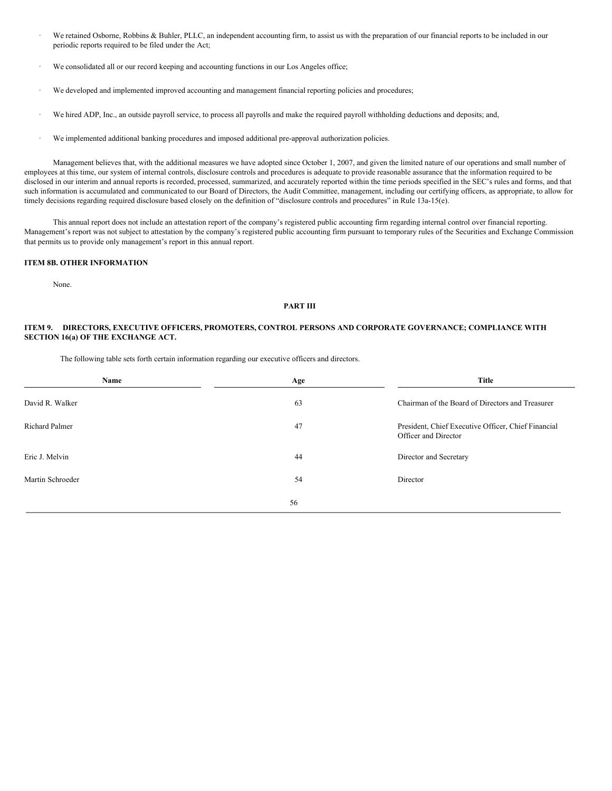- We retained Osborne, Robbins & Buhler, PLLC, an independent accounting firm, to assist us with the preparation of our financial reports to be included in our periodic reports required to be filed under the Act;
- We consolidated all or our record keeping and accounting functions in our Los Angeles office;
- We developed and implemented improved accounting and management financial reporting policies and procedures;
- · We hired ADP, Inc., an outside payroll service, to process all payrolls and make the required payroll withholding deductions and deposits; and,
- · We implemented additional banking procedures and imposed additional pre-approval authorization policies.

Management believes that, with the additional measures we have adopted since October 1, 2007, and given the limited nature of our operations and small number of employees at this time, our system of internal controls, disclosure controls and procedures is adequate to provide reasonable assurance that the information required to be disclosed in our interim and annual reports is recorded, processed, summarized, and accurately reported within the time periods specified in the SEC's rules and forms, and that such information is accumulated and communicated to our Board of Directors, the Audit Committee, management, including our certifying officers, as appropriate, to allow for timely decisions regarding required disclosure based closely on the definition of "disclosure controls and procedures" in Rule 13a-15(e).

This annual report does not include an attestation report of the company's registered public accounting firm regarding internal control over financial reporting. Management's report was not subject to attestation by the company's registered public accounting firm pursuant to temporary rules of the Securities and Exchange Commission that permits us to provide only management's report in this annual report.

## **ITEM 8B. OTHER INFORMATION**

None.

#### **PART III**

# **ITEM 9. DIRECTORS, EXECUTIVE OFFICERS, PROMOTERS, CONTROL PERSONS AND CORPORATE GOVERNANCE; COMPLIANCE WITH SECTION 16(a) OF THE EXCHANGE ACT.**

The following table sets forth certain information regarding our executive officers and directors.

| Name                  | Age | Title                                                                       |
|-----------------------|-----|-----------------------------------------------------------------------------|
| David R. Walker       | 63  | Chairman of the Board of Directors and Treasurer                            |
| <b>Richard Palmer</b> | 47  | President, Chief Executive Officer, Chief Financial<br>Officer and Director |
| Eric J. Melvin        | 44  | Director and Secretary                                                      |
| Martin Schroeder      | 54  | Director                                                                    |
|                       | 56  |                                                                             |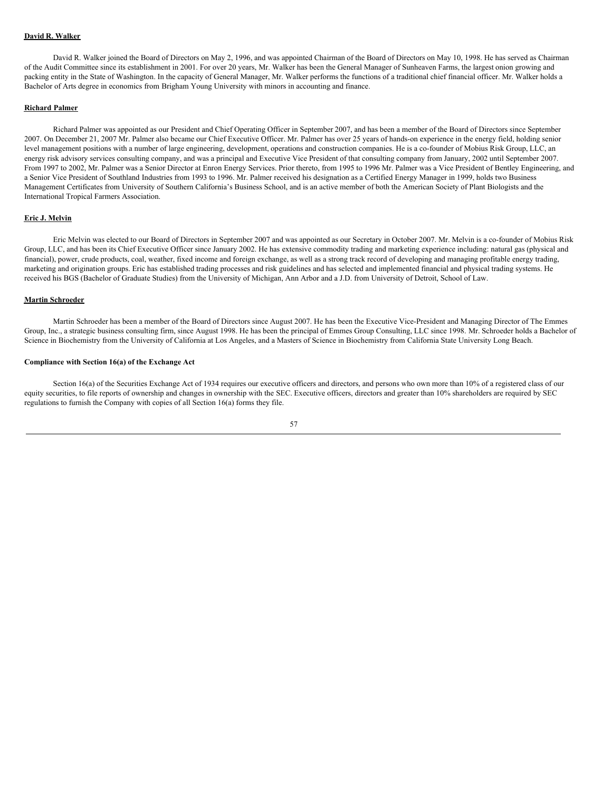### **David R. Walker**

David R. Walker joined the Board of Directors on May 2, 1996, and was appointed Chairman of the Board of Directors on May 10, 1998. He has served as Chairman of the Audit Committee since its establishment in 2001. For over 20 years, Mr. Walker has been the General Manager of Sunheaven Farms, the largest onion growing and packing entity in the State of Washington. In the capacity of General Manager, Mr. Walker performs the functions of a traditional chief financial officer. Mr. Walker holds a Bachelor of Arts degree in economics from Brigham Young University with minors in accounting and finance.

## **Richard Palmer**

Richard Palmer was appointed as our President and Chief Operating Officer in September 2007, and has been a member of the Board of Directors since September 2007. On December 21, 2007 Mr. Palmer also became our Chief Executive Officer. Mr. Palmer has over 25 years of hands-on experience in the energy field, holding senior level management positions with a number of large engineering, development, operations and construction companies. He is a co-founder of Mobius Risk Group, LLC, an energy risk advisory services consulting company, and was a principal and Executive Vice President of that consulting company from January, 2002 until September 2007. From 1997 to 2002, Mr. Palmer was a Senior Director at Enron Energy Services. Prior thereto, from 1995 to 1996 Mr. Palmer was a Vice President of Bentley Engineering, and a Senior Vice President of Southland Industries from 1993 to 1996. Mr. Palmer received his designation as a Certified Energy Manager in 1999, holds two Business Management Certificates from University of Southern California's Business School, and is an active member of both the American Society of Plant Biologists and the International Tropical Farmers Association.

# **Eric J. Melvin**

Eric Melvin was elected to our Board of Directors in September 2007 and was appointed as our Secretary in October 2007. Mr. Melvin is a co-founder of Mobius Risk Group, LLC, and has been its Chief Executive Officer since January 2002. He has extensive commodity trading and marketing experience including: natural gas (physical and financial), power, crude products, coal, weather, fixed income and foreign exchange, as well as a strong track record of developing and managing profitable energy trading, marketing and origination groups. Eric has established trading processes and risk guidelines and has selected and implemented financial and physical trading systems. He received his BGS (Bachelor of Graduate Studies) from the University of Michigan, Ann Arbor and a J.D. from University of Detroit, School of Law.

#### **Martin Schroeder**

Martin Schroeder has been a member of the Board of Directors since August 2007. He has been the Executive Vice-President and Managing Director of The Emmes Group, Inc., a strategic business consulting firm, since August 1998. He has been the principal of Emmes Group Consulting, LLC since 1998. Mr. Schroeder holds a Bachelor of Science in Biochemistry from the University of California at Los Angeles, and a Masters of Science in Biochemistry from California State University Long Beach.

#### **Compliance with Section 16(a) of the Exchange Act**

Section 16(a) of the Securities Exchange Act of 1934 requires our executive officers and directors, and persons who own more than 10% of a registered class of our equity securities, to file reports of ownership and changes in ownership with the SEC. Executive officers, directors and greater than 10% shareholders are required by SEC regulations to furnish the Company with copies of all Section 16(a) forms they file.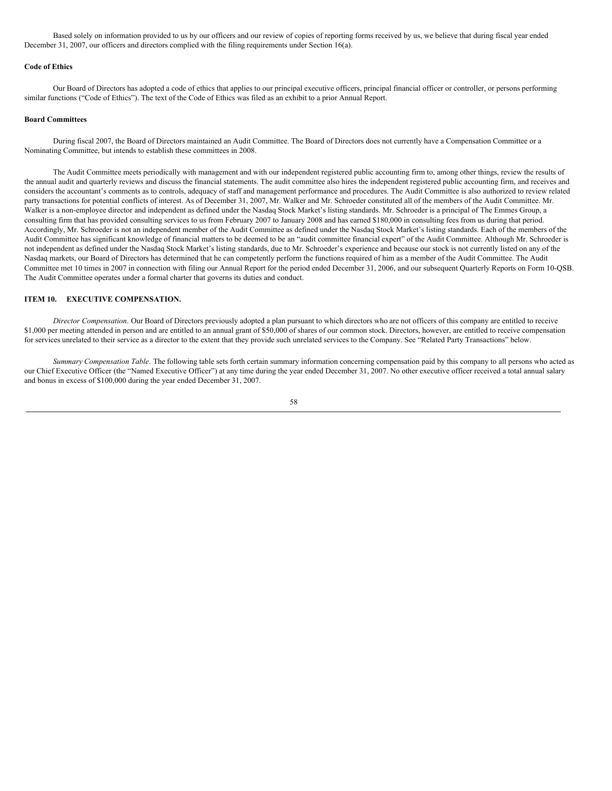Based solely on information provided to us by our officers and our review of copies of reporting forms received by us, we believe that during fiscal year ended December 31, 2007, our officers and directors complied with the filing requirements under Section 16(a).

## **Code of Ethics**

Our Board of Directors has adopted a code of ethics that applies to our principal executive officers, principal financial officer or controller, or persons performing similar functions ("Code of Ethics"). The text of the Code of Ethics was filed as an exhibit to a prior Annual Report.

#### **Board Committees**

During fiscal 2007, the Board of Directors maintained an Audit Committee. The Board of Directors does not currently have a Compensation Committee or a Nominating Committee, but intends to establish these committees in 2008.

The Audit Committee meets periodically with management and with our independent registered public accounting firm to, among other things, review the results of the annual audit and quarterly reviews and discuss the financial statements. The audit committee also hires the independent registered public accounting firm, and receives and considers the accountant's comments as to controls, adequacy of staff and management performance and procedures. The Audit Committee is also authorized to review related party transactions for potential conflicts of interest. As of December 31, 2007, Mr. Walker and Mr. Schroeder constituted all of the members of the Audit Committee. Mr. Walker is a non-employee director and independent as defined under the Nasdaq Stock Market's listing standards. Mr. Schroeder is a principal of The Emmes Group, a consulting firm that has provided consulting services to us from February 2007 to January 2008 and has earned \$180,000 in consulting fees from us during that period. Accordingly, Mr. Schroeder is not an independent member of the Audit Committee as defined under the Nasdaq Stock Market's listing standards. Each of the members of the Audit Committee has significant knowledge of financial matters to be deemed to be an "audit committee financial expert" of the Audit Committee. Although Mr. Schroeder is not independent as defined under the Nasdaq Stock Market's listing standards, due to Mr. Schroeder's experience and because our stock is not currently listed on any of the Nasdaq markets, our Board of Directors has determined that he can competently perform the functions required of him as a member of the Audit Committee. The Audit Committee met 10 times in 2007 in connection with filing our Annual Report for the period ended December 31, 2006, and our subsequent Quarterly Reports on Form 10-QSB. The Audit Committee operates under a formal charter that governs its duties and conduct.

#### **ITEM 10. EXECUTIVE COMPENSATION.**

*Director Compensation*. Our Board of Directors previously adopted a plan pursuant to which directors who are not officers of this company are entitled to receive \$1,000 per meeting attended in person and are entitled to an annual grant of \$50,000 of shares of our common stock. Directors, however, are entitled to receive compensation for services unrelated to their service as a director to the extent that they provide such unrelated services to the Company. See "Related Party Transactions" below.

*Summary Compensation Table*. The following table sets forth certain summary information concerning compensation paid by this company to all persons who acted as our Chief Executive Officer (the "Named Executive Officer") at any time during the year ended December 31, 2007. No other executive officer received a total annual salary and bonus in excess of \$100,000 during the year ended December 31, 2007.

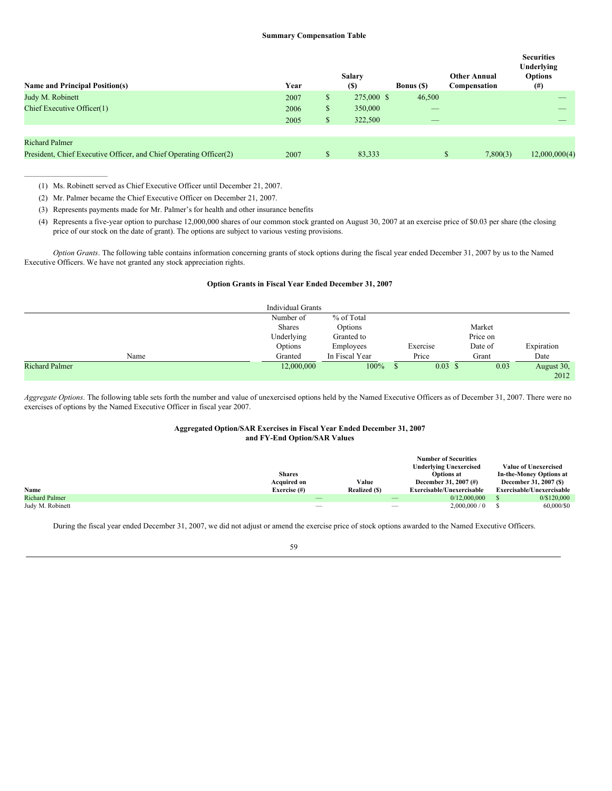#### **Summary Compensation Table**

| <b>Name and Principal Position(s)</b>                              | Year |               | <b>Salary</b><br>(\$) | <b>Bonus</b> (\$) | <b>Other Annual</b><br>Compensation | <b>Securities</b><br>Underlying<br><b>Options</b><br>$^{(#)}$ |
|--------------------------------------------------------------------|------|---------------|-----------------------|-------------------|-------------------------------------|---------------------------------------------------------------|
| Judy M. Robinett                                                   | 2007 | <sup>S</sup>  | 275,000 \$            | 46,500            |                                     |                                                               |
| Chief Executive Officer(1)                                         | 2006 | \$            | 350,000               |                   |                                     |                                                               |
|                                                                    | 2005 | <sup>\$</sup> | 322,500               | $-$               |                                     |                                                               |
|                                                                    |      |               |                       |                   |                                     |                                                               |
| <b>Richard Palmer</b>                                              |      |               |                       |                   |                                     |                                                               |
| President, Chief Executive Officer, and Chief Operating Officer(2) | 2007 |               | 83,333                |                   | $\sigma$<br>7,800(3)                | 12,000,000(4)                                                 |

(1) Ms. Robinett served as Chief Executive Officer until December 21, 2007.

(2) Mr. Palmer became the Chief Executive Officer on December 21, 2007.

(3) Represents payments made for Mr. Palmer's for health and other insurance benefits

(4) Represents a five-year option to purchase 12,000,000 shares of our common stock granted on August 30, 2007 at an exercise price of \$0.03 per share (the closing price of our stock on the date of grant). The options are subject to various vesting provisions.

*Option Grants*. The following table contains information concerning grants of stock options during the fiscal year ended December 31, 2007 by us to the Named Executive Officers. We have not granted any stock appreciation rights.

### **Option Grants in Fiscal Year Ended December 31, 2007**

|                       | <b>Individual Grants</b> |                |                    |          |            |
|-----------------------|--------------------------|----------------|--------------------|----------|------------|
|                       | Number of                | % of Total     |                    |          |            |
|                       | <b>Shares</b>            | Options        |                    | Market   |            |
|                       | Underlying               | Granted to     |                    | Price on |            |
|                       | Options                  | Employees      | Exercise           | Date of  | Expiration |
| Name                  | Granted                  | In Fiscal Year | Price              | Grant    | Date       |
| <b>Richard Palmer</b> | 12,000,000               | 100%           | $0.03 \text{ }$ \$ | 0.03     | August 30, |
|                       |                          |                |                    |          | 2012       |

*Aggregate Options*. The following table sets forth the number and value of unexercised options held by the Named Executive Officers as of December 31, 2007. There were no exercises of options by the Named Executive Officer in fiscal year 2007.

## **Aggregated Option/SAR Exercises in Fiscal Year Ended December 31, 2007 and FY-End Option/SAR Values**

|                       |                    |                          | <b>Number of Securities</b>   |                             |
|-----------------------|--------------------|--------------------------|-------------------------------|-----------------------------|
|                       |                    |                          | <b>Underlying Unexercised</b> | <b>Value of Unexercised</b> |
|                       | <b>Shares</b>      |                          | <b>Options at</b>             | In-the-Money Options at     |
|                       | <b>Acquired on</b> | Value                    | December 31, 2007 $(\#)$      | December 31, 2007 (\$)      |
| Name                  | Exercise $(\#)$    | <b>Realized (\$)</b>     | Exercisable/Unexercisable     | Exercisable/Unexercisable   |
| <b>Richard Palmer</b> | $-$                |                          | 0/12,000,000                  | $0/\$120,000$               |
| Judy M. Robinett      | –                  | $\overline{\phantom{a}}$ | 2,000,000/0                   | 60,000/\$0                  |

During the fiscal year ended December 31, 2007, we did not adjust or amend the exercise price of stock options awarded to the Named Executive Officers.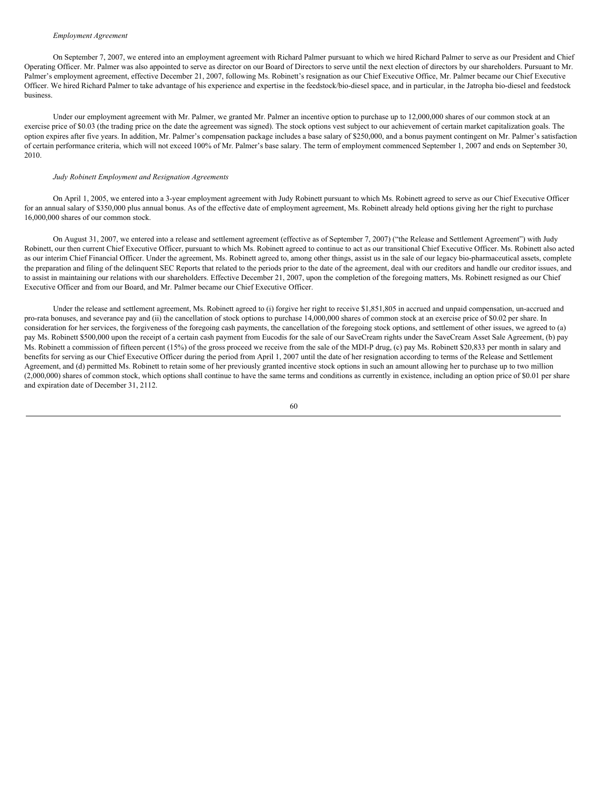#### *Employment Agreement*

On September 7, 2007, we entered into an employment agreement with Richard Palmer pursuant to which we hired Richard Palmer to serve as our President and Chief Operating Officer. Mr. Palmer was also appointed to serve as director on our Board of Directors to serve until the next election of directors by our shareholders. Pursuant to Mr. Palmer's employment agreement, effective December 21, 2007, following Ms. Robinett's resignation as our Chief Executive Office, Mr. Palmer became our Chief Executive Officer. We hired Richard Palmer to take advantage of his experience and expertise in the feedstock/bio-diesel space, and in particular, in the Jatropha bio-diesel and feedstock business.

Under our employment agreement with Mr. Palmer, we granted Mr. Palmer an incentive option to purchase up to 12,000,000 shares of our common stock at an exercise price of \$0.03 (the trading price on the date the agreement was signed). The stock options vest subject to our achievement of certain market capitalization goals. The option expires after five years. In addition, Mr. Palmer's compensation package includes a base salary of \$250,000, and a bonus payment contingent on Mr. Palmer's satisfaction of certain performance criteria, which will not exceed 100% of Mr. Palmer's base salary. The term of employment commenced September 1, 2007 and ends on September 30, 2010.

## *Judy Robinett Employment and Resignation Agreements*

On April 1, 2005, we entered into a 3-year employment agreement with Judy Robinett pursuant to which Ms. Robinett agreed to serve as our Chief Executive Officer for an annual salary of \$350,000 plus annual bonus. As of the effective date of employment agreement, Ms. Robinett already held options giving her the right to purchase 16,000,000 shares of our common stock.

On August 31, 2007, we entered into a release and settlement agreement (effective as of September 7, 2007) ("the Release and Settlement Agreement") with Judy Robinett, our then current Chief Executive Officer, pursuant to which Ms. Robinett agreed to continue to act as our transitional Chief Executive Officer. Ms. Robinett also acted as our interim Chief Financial Officer. Under the agreement, Ms. Robinett agreed to, among other things, assist us in the sale of our legacy bio-pharmaceutical assets, complete the preparation and filing of the delinquent SEC Reports that related to the periods prior to the date of the agreement, deal with our creditors and handle our creditor issues, and to assist in maintaining our relations with our shareholders. Effective December 21, 2007, upon the completion of the foregoing matters, Ms. Robinett resigned as our Chief Executive Officer and from our Board, and Mr. Palmer became our Chief Executive Officer.

Under the release and settlement agreement, Ms. Robinett agreed to (i) forgive her right to receive \$1,851,805 in accrued and unpaid compensation, un-accrued and pro-rata bonuses, and severance pay and (ii) the cancellation of stock options to purchase 14,000,000 shares of common stock at an exercise price of \$0.02 per share. In consideration for her services, the forgiveness of the foregoing cash payments, the cancellation of the foregoing stock options, and settlement of other issues, we agreed to (a) pay Ms. Robinett \$500,000 upon the receipt of a certain cash payment from Eucodis for the sale of our SaveCream rights under the SaveCream Asset Sale Agreement, (b) pay Ms. Robinett a commission of fifteen percent (15%) of the gross proceed we receive from the sale of the MDI-P drug, (c) pay Ms. Robinett \$20,833 per month in salary and benefits for serving as our Chief Executive Officer during the period from April 1, 2007 until the date of her resignation according to terms of the Release and Settlement Agreement, and (d) permitted Ms. Robinett to retain some of her previously granted incentive stock options in such an amount allowing her to purchase up to two million (2,000,000) shares of common stock, which options shall continue to have the same terms and conditions as currently in existence, including an option price of \$0.01 per share and expiration date of December 31, 2112.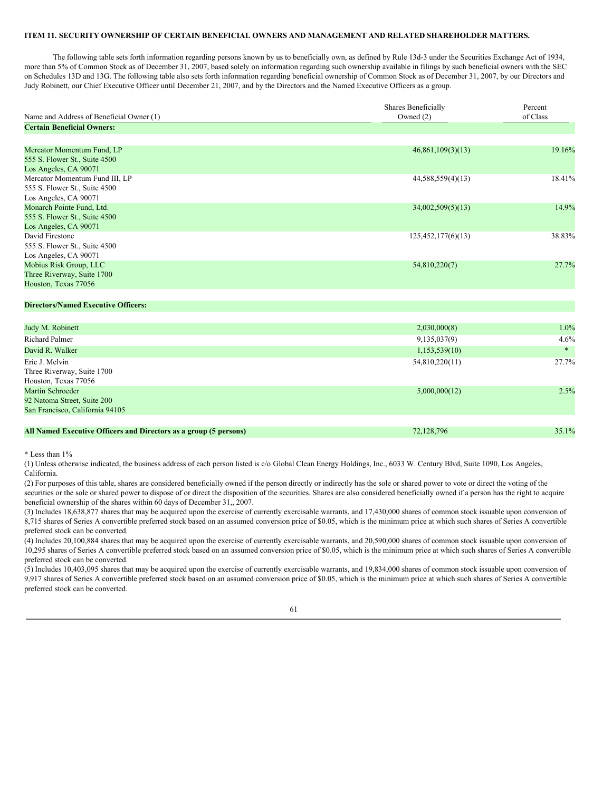### **ITEM 11. SECURITY OWNERSHIP OF CERTAIN BENEFICIAL OWNERS AND MANAGEMENT AND RELATED SHAREHOLDER MATTERS.**

The following table sets forth information regarding persons known by us to beneficially own, as defined by Rule 13d-3 under the Securities Exchange Act of 1934, more than 5% of Common Stock as of December 31, 2007, based solely on information regarding such ownership available in filings by such beneficial owners with the SEC on Schedules 13D and 13G. The following table also sets forth information regarding beneficial ownership of Common Stock as of December 31, 2007, by our Directors and Judy Robinett, our Chief Executive Officer until December 21, 2007, and by the Directors and the Named Executive Officers as a group.

|                                          | Shares Beneficially   | Percent  |
|------------------------------------------|-----------------------|----------|
| Name and Address of Beneficial Owner (1) | Owned $(2)$           | of Class |
| <b>Certain Beneficial Owners:</b>        |                       |          |
|                                          |                       |          |
| Mercator Momentum Fund, LP               | 46,861,109(3)(13)     | 19.16%   |
| 555 S. Flower St., Suite 4500            |                       |          |
| Los Angeles, CA 90071                    |                       |          |
| Mercator Momentum Fund III, LP           | 44,588,559(4)(13)     | 18.41%   |
| 555 S. Flower St., Suite 4500            |                       |          |
| Los Angeles, CA 90071                    |                       |          |
| Monarch Pointe Fund, Ltd.                | 34,002,509(5)(13)     | 14.9%    |
| 555 S. Flower St., Suite 4500            |                       |          |
| Los Angeles, CA 90071                    |                       |          |
| David Firestone                          | 125, 452, 177(6) (13) | 38.83%   |
| 555 S. Flower St., Suite 4500            |                       |          |
| Los Angeles, CA 90071                    |                       |          |
| Mobius Risk Group, LLC                   | 54,810,220(7)         | 27.7%    |
| Three Riverway, Suite 1700               |                       |          |
| Houston, Texas 77056                     |                       |          |
|                                          |                       |          |

#### **Directors/Named Executive Officers:**

| Judy M. Robinett                 | 2,030,000(8)   | 1.0%  |
|----------------------------------|----------------|-------|
| <b>Richard Palmer</b>            | 9,135,037(9)   | 4.6%  |
| David R. Walker<br>1,153,539(10) |                | $*$   |
| Eric J. Melvin                   | 54,810,220(11) | 27.7% |
| Three Riverway, Suite 1700       |                |       |
| Houston, Texas 77056             |                |       |
| Martin Schroeder                 | 5,000,000(12)  | 2.5%  |
| 92 Natoma Street, Suite 200      |                |       |
| San Francisco, California 94105  |                |       |
|                                  |                |       |

| All Named Executive Officers and Directors as a group (5 persons) | 72.128.796 | $35.1\%$ |
|-------------------------------------------------------------------|------------|----------|
|                                                                   |            |          |

\* Less than 1%

(1) Unless otherwise indicated, the business address of each person listed is c/o Global Clean Energy Holdings, Inc., 6033 W. Century Blvd, Suite 1090, Los Angeles, California.

(2) For purposes of this table, shares are considered beneficially owned if the person directly or indirectly has the sole or shared power to vote or direct the voting of the securities or the sole or shared power to dispose of or direct the disposition of the securities. Shares are also considered beneficially owned if a person has the right to acquire beneficial ownership of the shares within 60 days of December 31,, 2007.

(3) Includes 18,638,877 shares that may be acquired upon the exercise of currently exercisable warrants, and 17,430,000 shares of common stock issuable upon conversion of 8,715 shares of Series A convertible preferred stock based on an assumed conversion price of \$0.05, which is the minimum price at which such shares of Series A convertible preferred stock can be converted.

(4) Includes 20,100,884 shares that may be acquired upon the exercise of currently exercisable warrants, and 20,590,000 shares of common stock issuable upon conversion of 10,295 shares of Series A convertible preferred stock based on an assumed conversion price of \$0.05, which is the minimum price at which such shares of Series A convertible preferred stock can be converted.

(5) Includes 10,403,095 shares that may be acquired upon the exercise of currently exercisable warrants, and 19,834,000 shares of common stock issuable upon conversion of 9,917 shares of Series A convertible preferred stock based on an assumed conversion price of \$0.05, which is the minimum price at which such shares of Series A convertible preferred stock can be converted.

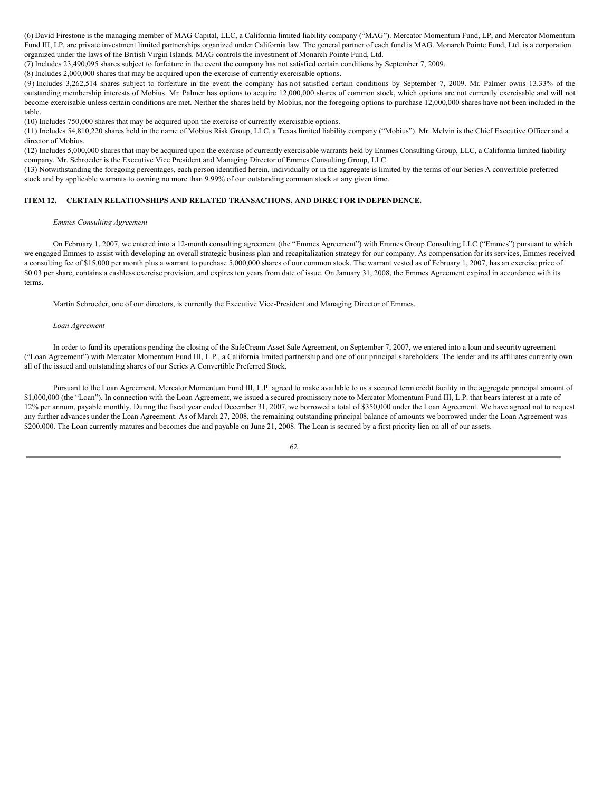(6) David Firestone is the managing member of MAG Capital, LLC, a California limited liability company ("MAG"). Mercator Momentum Fund, LP, and Mercator Momentum Fund III, LP, are private investment limited partnerships organized under California law. The general partner of each fund is MAG. Monarch Pointe Fund, Ltd. is a corporation organized under the laws of the British Virgin Islands. MAG controls the investment of Monarch Pointe Fund, Ltd.

(7) Includes 23,490,095 shares subject to forfeiture in the event the company has not satisfied certain conditions by September 7, 2009.

(8) Includes 2,000,000 shares that may be acquired upon the exercise of currently exercisable options.

(9) Includes 3,262,514 shares subject to forfeiture in the event the company has not satisfied certain conditions by September 7, 2009. Mr. Palmer owns 13.33% of the outstanding membership interests of Mobius. Mr. Palmer has options to acquire 12,000,000 shares of common stock, which options are not currently exercisable and will not become exercisable unless certain conditions are met. Neither the shares held by Mobius, nor the foregoing options to purchase 12,000,000 shares have not been included in the table.

(10) Includes 750,000 shares that may be acquired upon the exercise of currently exercisable options.

(11) Includes 54,810,220 shares held in the name of Mobius Risk Group, LLC, a Texas limited liability company ("Mobius"). Mr. Melvin is the Chief Executive Officer and a director of Mobius.

(12) Includes 5,000,000 shares that may be acquired upon the exercise of currently exercisable warrants held by Emmes Consulting Group, LLC, a California limited liability company. Mr. Schroeder is the Executive Vice President and Managing Director of Emmes Consulting Group, LLC.

(13) Notwithstanding the foregoing percentages, each person identified herein, individually or in the aggregate is limited by the terms of our Series A convertible preferred stock and by applicable warrants to owning no more than 9.99% of our outstanding common stock at any given time.

#### **ITEM 12. CERTAIN RELATIONSHIPS AND RELATED TRANSACTIONS, AND DIRECTOR INDEPENDENCE.**

#### *Emmes Consulting Agreement*

On February 1, 2007, we entered into a 12-month consulting agreement (the "Emmes Agreement") with Emmes Group Consulting LLC ("Emmes") pursuant to which we engaged Emmes to assist with developing an overall strategic business plan and recapitalization strategy for our company. As compensation for its services, Emmes received a consulting fee of \$15,000 per month plus a warrant to purchase 5,000,000 shares of our common stock. The warrant vested as of February 1, 2007, has an exercise price of \$0.03 per share, contains a cashless exercise provision, and expires ten years from date of issue. On January 31, 2008, the Emmes Agreement expired in accordance with its terms.

Martin Schroeder, one of our directors, is currently the Executive Vice-President and Managing Director of Emmes.

#### *Loan Agreement*

In order to fund its operations pending the closing of the SafeCream Asset Sale Agreement, on September 7, 2007, we entered into a loan and security agreement ("Loan Agreement") with Mercator Momentum Fund III, L.P., a California limited partnership and one of our principal shareholders. The lender and its affiliates currently own all of the issued and outstanding shares of our Series A Convertible Preferred Stock.

Pursuant to the Loan Agreement, Mercator Momentum Fund III, L.P. agreed to make available to us a secured term credit facility in the aggregate principal amount of \$1,000,000 (the "Loan"). In connection with the Loan Agreement, we issued a secured promissory note to Mercator Momentum Fund III, L.P. that bears interest at a rate of 12% per annum, payable monthly. During the fiscal year ended December 31, 2007, we borrowed a total of \$350,000 under the Loan Agreement. We have agreed not to request any further advances under the Loan Agreement. As of March 27, 2008, the remaining outstanding principal balance of amounts we borrowed under the Loan Agreement was \$200,000. The Loan currently matures and becomes due and payable on June 21, 2008. The Loan is secured by a first priority lien on all of our assets.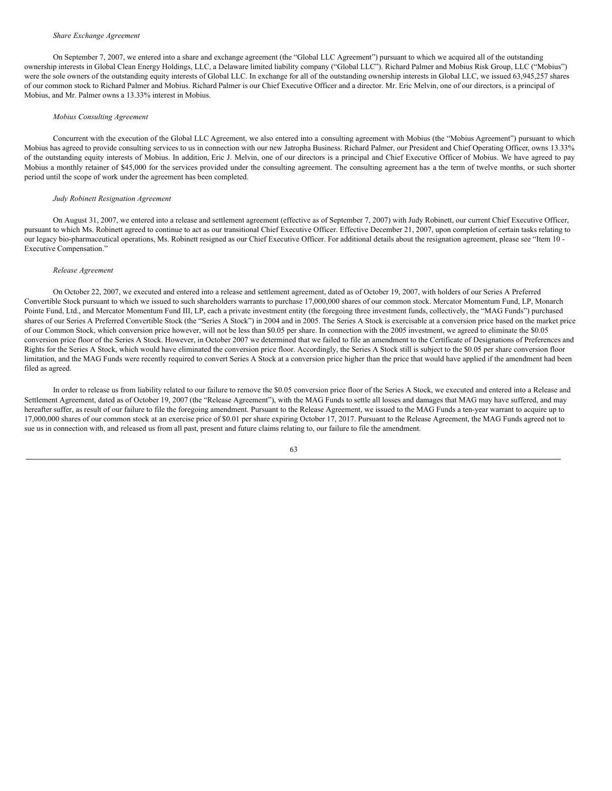#### *Share Exchange Agreement*

On September 7, 2007, we entered into a share and exchange agreement (the "Global LLC Agreement") pursuant to which we acquired all of the outstanding ownership interests in Global Clean Energy Holdings, LLC, a Delaware limited liability company ("Global LLC"). Richard Palmer and Mobius Risk Group, LLC ("Mobius") were the sole owners of the outstanding equity interests of Global LLC. In exchange for all of the outstanding ownership interests in Global LLC, we issued 63,945,257 shares of our common stock to Richard Palmer and Mobius. Richard Palmer is our Chief Executive Officer and a director. Mr. Eric Melvin, one of our directors, is a principal of Mobius, and Mr. Palmer owns a 13.33% interest in Mobius.

#### *Mobius Consulting Agreement*

Concurrent with the execution of the Global LLC Agreement, we also entered into a consulting agreement with Mobius (the "Mobius Agreement") pursuant to which Mobius has agreed to provide consulting services to us in connection with our new Jatropha Business. Richard Palmer, our President and Chief Operating Officer, owns 13.33% of the outstanding equity interests of Mobius. In addition, Eric J. Melvin, one of our directors is a principal and Chief Executive Officer of Mobius. We have agreed to pay Mobius a monthly retainer of \$45,000 for the services provided under the consulting agreement. The consulting agreement has a the term of twelve months, or such shorter period until the scope of work under the agreement has been completed.

#### *Judy Robinett Resignation Agreement*

On August 31, 2007, we entered into a release and settlement agreement (effective as of September 7, 2007) with Judy Robinett, our current Chief Executive Officer, pursuant to which Ms. Robinett agreed to continue to act as our transitional Chief Executive Officer. Effective December 21, 2007, upon completion of certain tasks relating to our legacy bio-pharmaceutical operations, Ms. Robinett resigned as our Chief Executive Officer. For additional details about the resignation agreement, please see "Item 10 - Executive Compensation."

#### *Release Agreement*

On October 22, 2007, we executed and entered into a release and settlement agreement, dated as of October 19, 2007, with holders of our Series A Preferred Convertible Stock pursuant to which we issued to such shareholders warrants to purchase 17,000,000 shares of our common stock. Mercator Momentum Fund, LP, Monarch Pointe Fund, Ltd., and Mercator Momentum Fund III, LP, each a private investment entity (the foregoing three investment funds, collectively, the "MAG Funds") purchased shares of our Series A Preferred Convertible Stock (the "Series A Stock") in 2004 and in 2005. The Series A Stock is exercisable at a conversion price based on the market price of our Common Stock, which conversion price however, will not be less than \$0.05 per share. In connection with the 2005 investment, we agreed to eliminate the \$0.05 conversion price floor of the Series A Stock. However, in October 2007 we determined that we failed to file an amendment to the Certificate of Designations of Preferences and Rights for the Series A Stock, which would have eliminated the conversion price floor. Accordingly, the Series A Stock still is subject to the \$0.05 per share conversion floor limitation, and the MAG Funds were recently required to convert Series A Stock at a conversion price higher than the price that would have applied if the amendment had been filed as agreed.

In order to release us from liability related to our failure to remove the \$0.05 conversion price floor of the Series A Stock, we executed and entered into a Release and Settlement Agreement, dated as of October 19, 2007 (the "Release Agreement"), with the MAG Funds to settle all losses and damages that MAG may have suffered, and may hereafter suffer, as result of our failure to file the foregoing amendment. Pursuant to the Release Agreement, we issued to the MAG Funds a ten-year warrant to acquire up to 17,000,000 shares of our common stock at an exercise price of \$0.01 per share expiring October 17, 2017. Pursuant to the Release Agreement, the MAG Funds agreed not to sue us in connection with, and released us from all past, present and future claims relating to, our failure to file the amendment.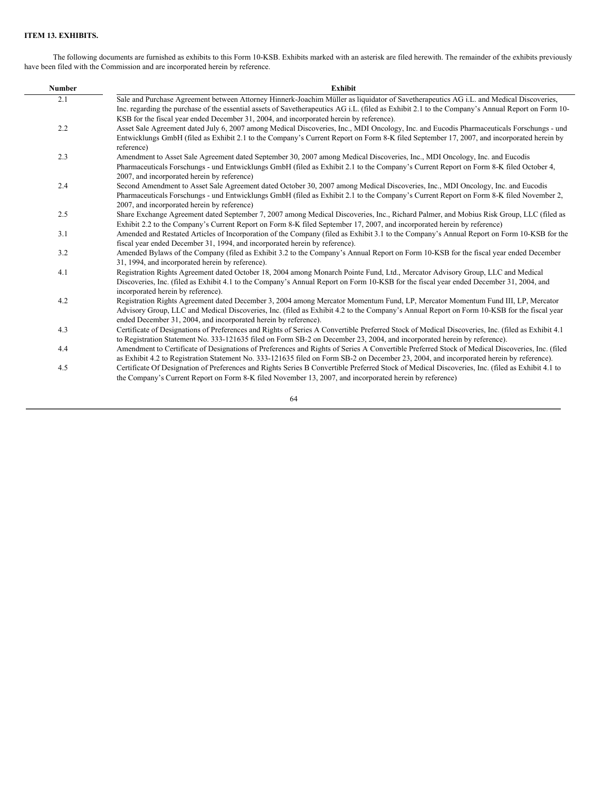# **ITEM 13. EXHIBITS.**

The following documents are furnished as exhibits to this Form 10-KSB. Exhibits marked with an asterisk are filed herewith. The remainder of the exhibits previously have been filed with the Commission and are incorporated herein by reference.

| <b>Number</b> | Exhibit                                                                                                                                                                                                                                                                                                                                                                               |
|---------------|---------------------------------------------------------------------------------------------------------------------------------------------------------------------------------------------------------------------------------------------------------------------------------------------------------------------------------------------------------------------------------------|
| 2.1           | Sale and Purchase Agreement between Attorney Hinnerk-Joachim Müller as liquidator of Savetherapeutics AG i.L. and Medical Discoveries,<br>Inc. regarding the purchase of the essential assets of Savetherapeutics AG i.L. (filed as Exhibit 2.1 to the Company's Annual Report on Form 10-<br>KSB for the fiscal year ended December 31, 2004, and incorporated herein by reference). |
| 2.2           | Asset Sale Agreement dated July 6, 2007 among Medical Discoveries, Inc., MDI Oncology, Inc. and Eucodis Pharmaceuticals Forschungs - und<br>Entwicklungs GmbH (filed as Exhibit 2.1 to the Company's Current Report on Form 8-K filed September 17, 2007, and incorporated herein by<br>reference)                                                                                    |
| 2.3           | Amendment to Asset Sale Agreement dated September 30, 2007 among Medical Discoveries, Inc., MDI Oncology, Inc. and Eucodis<br>Pharmaceuticals Forschungs - und Entwicklungs GmbH (filed as Exhibit 2.1 to the Company's Current Report on Form 8-K filed October 4,<br>2007, and incorporated herein by reference)                                                                    |
| 2.4           | Second Amendment to Asset Sale Agreement dated October 30, 2007 among Medical Discoveries, Inc., MDI Oncology, Inc. and Eucodis<br>Pharmaceuticals Forschungs - und Entwicklungs GmbH (filed as Exhibit 2.1 to the Company's Current Report on Form 8-K filed November 2,<br>2007, and incorporated herein by reference)                                                              |
| 2.5           | Share Exchange Agreement dated September 7, 2007 among Medical Discoveries, Inc., Richard Palmer, and Mobius Risk Group, LLC (filed as<br>Exhibit 2.2 to the Company's Current Report on Form 8-K filed September 17, 2007, and incorporated herein by reference)                                                                                                                     |
| 3.1           | Amended and Restated Articles of Incorporation of the Company (filed as Exhibit 3.1 to the Company's Annual Report on Form 10-KSB for the<br>fiscal year ended December 31, 1994, and incorporated herein by reference).                                                                                                                                                              |
| 3.2           | Amended Bylaws of the Company (filed as Exhibit 3.2 to the Company's Annual Report on Form 10-KSB for the fiscal year ended December<br>31, 1994, and incorporated herein by reference).                                                                                                                                                                                              |
| 4.1           | Registration Rights Agreement dated October 18, 2004 among Monarch Pointe Fund, Ltd., Mercator Advisory Group, LLC and Medical<br>Discoveries, Inc. (filed as Exhibit 4.1 to the Company's Annual Report on Form 10-KSB for the fiscal year ended December 31, 2004, and<br>incorporated herein by reference).                                                                        |
| 4.2           | Registration Rights Agreement dated December 3, 2004 among Mercator Momentum Fund, LP, Mercator Momentum Fund III, LP, Mercator<br>Advisory Group, LLC and Medical Discoveries, Inc. (filed as Exhibit 4.2 to the Company's Annual Report on Form 10-KSB for the fiscal year<br>ended December 31, 2004, and incorporated herein by reference).                                       |
| 4.3           | Certificate of Designations of Preferences and Rights of Series A Convertible Preferred Stock of Medical Discoveries, Inc. (filed as Exhibit 4.1)<br>to Registration Statement No. 333-121635 filed on Form SB-2 on December 23, 2004, and incorporated herein by reference).                                                                                                         |
| 4.4           | Amendment to Certificate of Designations of Preferences and Rights of Series A Convertible Preferred Stock of Medical Discoveries, Inc. (filed<br>as Exhibit 4.2 to Registration Statement No. 333-121635 filed on Form SB-2 on December 23, 2004, and incorporated herein by reference).                                                                                             |
| 4.5           | Certificate Of Designation of Preferences and Rights Series B Convertible Preferred Stock of Medical Discoveries, Inc. (filed as Exhibit 4.1 to<br>the Company's Current Report on Form 8-K filed November 13, 2007, and incorporated herein by reference)                                                                                                                            |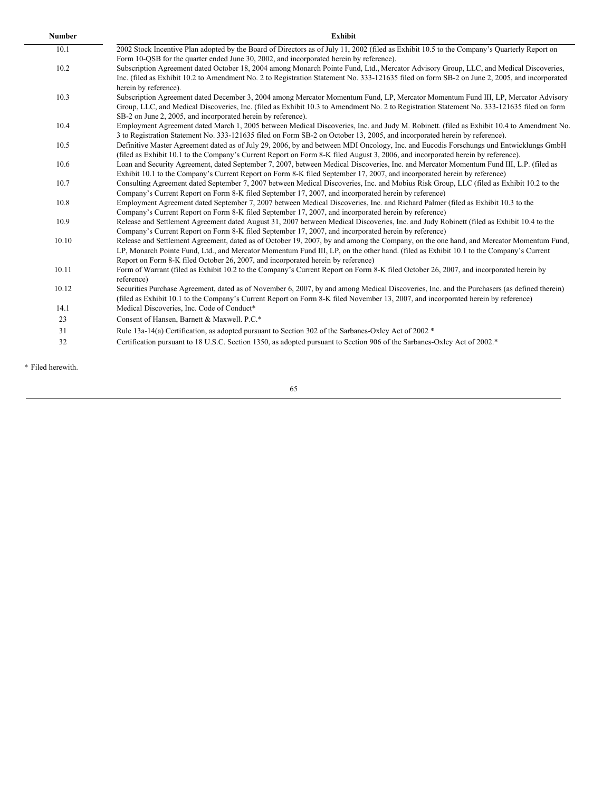| <b>Number</b> | <b>Exhibit</b>                                                                                                                                                                                                                                                     |  |
|---------------|--------------------------------------------------------------------------------------------------------------------------------------------------------------------------------------------------------------------------------------------------------------------|--|
| 10.1          | 2002 Stock Incentive Plan adopted by the Board of Directors as of July 11, 2002 (filed as Exhibit 10.5 to the Company's Quarterly Report on                                                                                                                        |  |
|               | Form 10-OSB for the quarter ended June 30, 2002, and incorporated herein by reference).                                                                                                                                                                            |  |
| 10.2          | Subscription Agreement dated October 18, 2004 among Monarch Pointe Fund, Ltd., Mercator Advisory Group, LLC, and Medical Discoveries,                                                                                                                              |  |
|               | Inc. (filed as Exhibit 10.2 to Amendment No. 2 to Registration Statement No. 333-121635 filed on form SB-2 on June 2, 2005, and incorporated                                                                                                                       |  |
|               | herein by reference).                                                                                                                                                                                                                                              |  |
| 10.3          | Subscription Agreement dated December 3, 2004 among Mercator Momentum Fund, LP, Mercator Momentum Fund III, LP, Mercator Advisory                                                                                                                                  |  |
|               | Group, LLC, and Medical Discoveries, Inc. (filed as Exhibit 10.3 to Amendment No. 2 to Registration Statement No. 333-121635 filed on form                                                                                                                         |  |
|               | SB-2 on June 2, 2005, and incorporated herein by reference).                                                                                                                                                                                                       |  |
| 10.4          | Employment Agreement dated March 1, 2005 between Medical Discoveries, Inc. and Judy M. Robinett. (filed as Exhibit 10.4 to Amendment No.                                                                                                                           |  |
|               | 3 to Registration Statement No. 333-121635 filed on Form SB-2 on October 13, 2005, and incorporated herein by reference).                                                                                                                                          |  |
| 10.5          | Definitive Master Agreement dated as of July 29, 2006, by and between MDI Oncology, Inc. and Eucodis Forschungs und Entwicklungs GmbH                                                                                                                              |  |
|               | (filed as Exhibit 10.1 to the Company's Current Report on Form 8-K filed August 3, 2006, and incorporated herein by reference).                                                                                                                                    |  |
| 10.6          | Loan and Security Agreement, dated September 7, 2007, between Medical Discoveries, Inc. and Mercator Momentum Fund III, L.P. (filed as<br>Exhibit 10.1 to the Company's Current Report on Form 8-K filed September 17, 2007, and incorporated herein by reference) |  |
| 10.7          | Consulting Agreement dated September 7, 2007 between Medical Discoveries, Inc. and Mobius Risk Group, LLC (filed as Exhibit 10.2 to the                                                                                                                            |  |
|               | Company's Current Report on Form 8-K filed September 17, 2007, and incorporated herein by reference)                                                                                                                                                               |  |
| 10.8          | Employment Agreement dated September 7, 2007 between Medical Discoveries, Inc. and Richard Palmer (filed as Exhibit 10.3 to the                                                                                                                                    |  |
|               | Company's Current Report on Form 8-K filed September 17, 2007, and incorporated herein by reference)                                                                                                                                                               |  |
| 10.9          | Release and Settlement Agreement dated August 31, 2007 between Medical Discoveries, Inc. and Judy Robinett (filed as Exhibit 10.4 to the                                                                                                                           |  |
|               | Company's Current Report on Form 8-K filed September 17, 2007, and incorporated herein by reference)                                                                                                                                                               |  |
| 10.10         | Release and Settlement Agreement, dated as of October 19, 2007, by and among the Company, on the one hand, and Mercator Momentum Fund,                                                                                                                             |  |
|               | LP, Monarch Pointe Fund, Ltd., and Mercator Momentum Fund III, LP, on the other hand. (filed as Exhibit 10.1 to the Company's Current                                                                                                                              |  |
|               | Report on Form 8-K filed October 26, 2007, and incorporated herein by reference)                                                                                                                                                                                   |  |
| 10.11         | Form of Warrant (filed as Exhibit 10.2 to the Company's Current Report on Form 8-K filed October 26, 2007, and incorporated herein by                                                                                                                              |  |
|               | reference)                                                                                                                                                                                                                                                         |  |
| 10.12         | Securities Purchase Agreement, dated as of November 6, 2007, by and among Medical Discoveries, Inc. and the Purchasers (as defined therein)                                                                                                                        |  |
|               | (filed as Exhibit 10.1 to the Company's Current Report on Form 8-K filed November 13, 2007, and incorporated herein by reference)                                                                                                                                  |  |
| 14.1          | Medical Discoveries, Inc. Code of Conduct*                                                                                                                                                                                                                         |  |
| 23            | Consent of Hansen, Barnett & Maxwell. P.C.*                                                                                                                                                                                                                        |  |
| 31            | Rule 13a-14(a) Certification, as adopted pursuant to Section 302 of the Sarbanes-Oxley Act of 2002 *                                                                                                                                                               |  |
| 32            | Certification pursuant to 18 U.S.C. Section 1350, as adopted pursuant to Section 906 of the Sarbanes-Oxley Act of 2002.*                                                                                                                                           |  |
|               |                                                                                                                                                                                                                                                                    |  |

\* Filed herewith.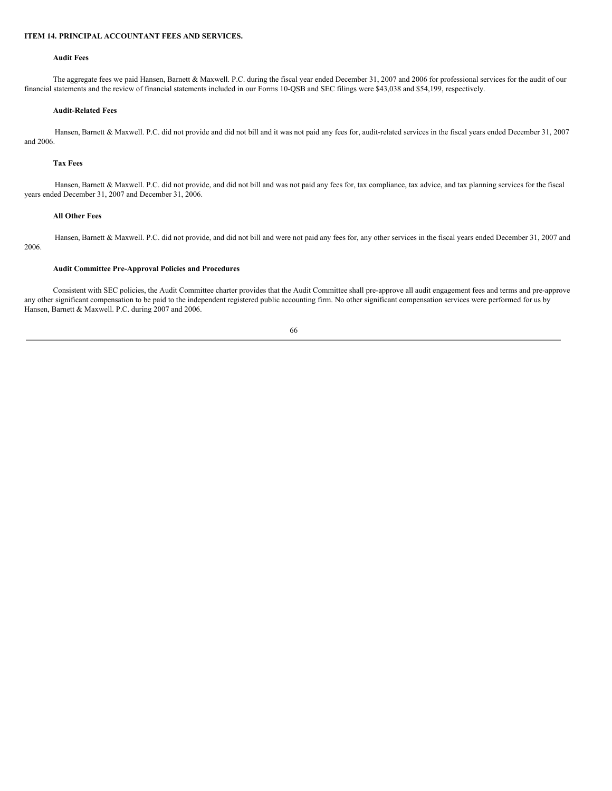### **ITEM 14. PRINCIPAL ACCOUNTANT FEES AND SERVICES.**

#### **Audit Fees**

The aggregate fees we paid Hansen, Barnett & Maxwell. P.C. during the fiscal year ended December 31, 2007 and 2006 for professional services for the audit of our financial statements and the review of financial statements included in our Forms 10-QSB and SEC filings were \$43,038 and \$54,199, respectively.

## **Audit-Related Fees**

Hansen, Barnett & Maxwell. P.C. did not provide and did not bill and it was not paid any fees for, audit-related services in the fiscal years ended December 31, 2007 and 2006.

## **Tax Fees**

Hansen, Barnett & Maxwell. P.C. did not provide, and did not bill and was not paid any fees for, tax compliance, tax advice, and tax planning services for the fiscal years ended December 31, 2007 and December 31, 2006.

#### **All Other Fees**

Hansen, Barnett & Maxwell. P.C. did not provide, and did not bill and were not paid any fees for, any other services in the fiscal years ended December 31, 2007 and 2006.

## **Audit Committee Pre-Approval Policies and Procedures**

Consistent with SEC policies, the Audit Committee charter provides that the Audit Committee shall pre-approve all audit engagement fees and terms and pre-approve any other significant compensation to be paid to the independent registered public accounting firm. No other significant compensation services were performed for us by Hansen, Barnett & Maxwell. P.C. during 2007 and 2006.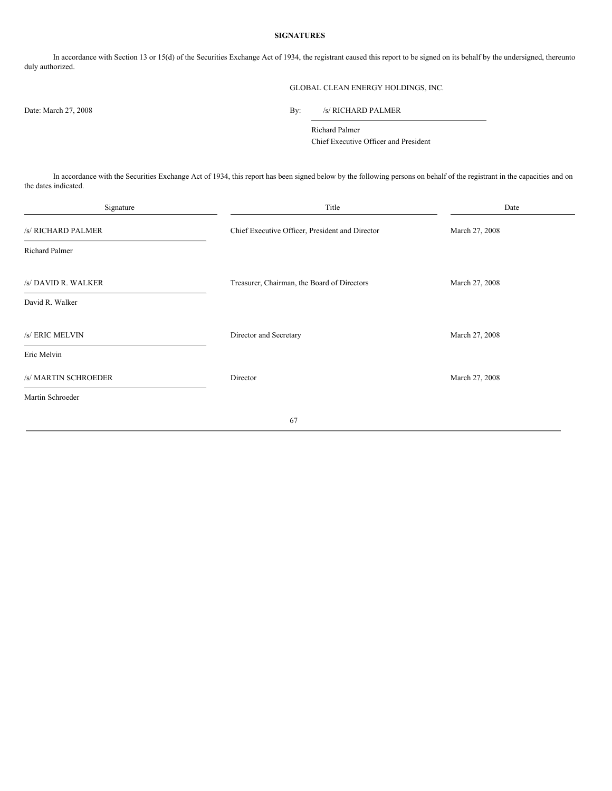# **SIGNATURES**

In accordance with Section 13 or 15(d) of the Securities Exchange Act of 1934, the registrant caused this report to be signed on its behalf by the undersigned, thereunto duly authorized.

GLOBAL CLEAN ENERGY HOLDINGS, INC.

Date: March 27, 2008 By: /s/ RICHARD PALMER

Richard Palmer Chief Executive Officer and President

In accordance with the Securities Exchange Act of 1934, this report has been signed below by the following persons on behalf of the registrant in the capacities and on the dates indicated.

| Signature            | Title                                           | Date           |
|----------------------|-------------------------------------------------|----------------|
| /s/ RICHARD PALMER   | Chief Executive Officer, President and Director | March 27, 2008 |
| Richard Palmer       |                                                 |                |
| /s/ DAVID R. WALKER  | Treasurer, Chairman, the Board of Directors     | March 27, 2008 |
| David R. Walker      |                                                 |                |
| /s/ ERIC MELVIN      | Director and Secretary                          | March 27, 2008 |
| Eric Melvin          |                                                 |                |
| /s/ MARTIN SCHROEDER | Director                                        | March 27, 2008 |
| Martin Schroeder     |                                                 |                |
|                      | 67                                              |                |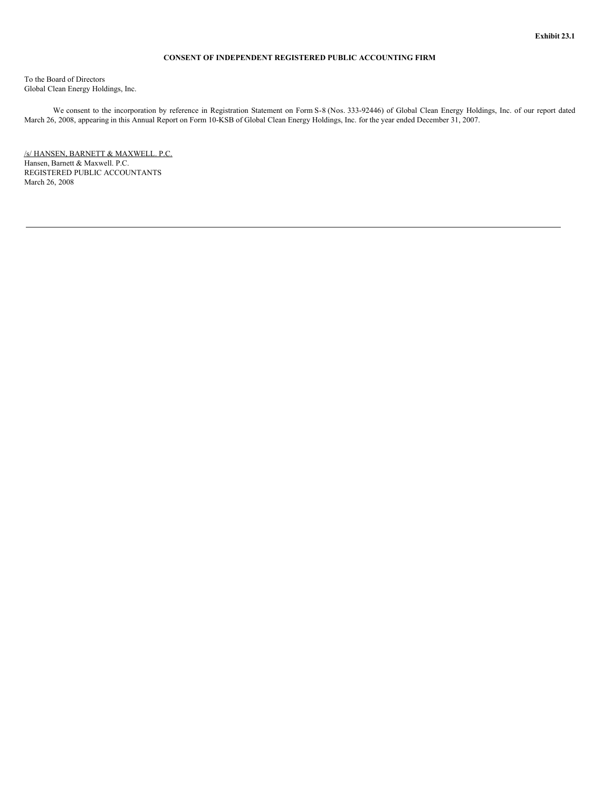## **CONSENT OF INDEPENDENT REGISTERED PUBLIC ACCOUNTING FIRM**

To the Board of Directors Global Clean Energy Holdings, Inc.

We consent to the incorporation by reference in Registration Statement on Form S-8 (Nos. 333-92446) of Global Clean Energy Holdings, Inc. of our report dated March 26, 2008, appearing in this Annual Report on Form 10-KSB of Global Clean Energy Holdings, Inc. for the year ended December 31, 2007.

/s/ HANSEN, BARNETT & MAXWELL. P.C. Hansen, Barnett & Maxwell. P.C. REGISTERED PUBLIC ACCOUNTANTS March 26, 2008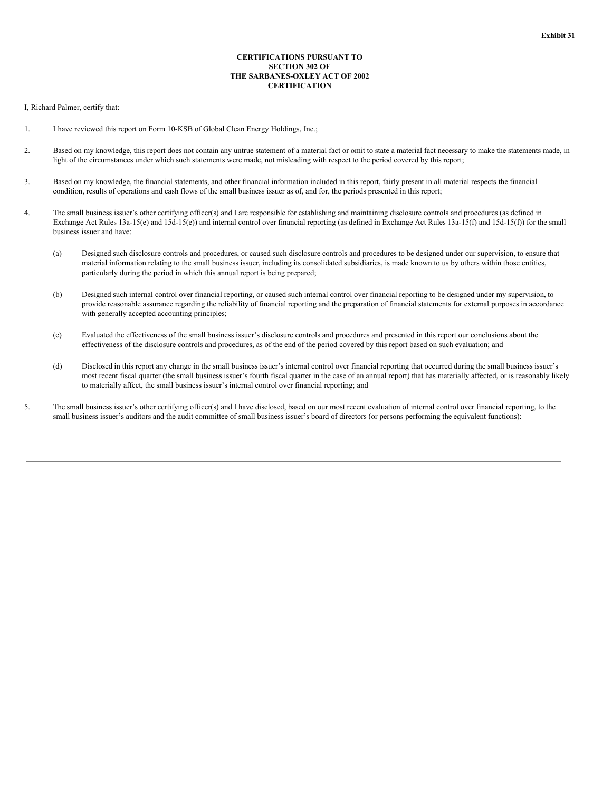## **CERTIFICATIONS PURSUANT TO SECTION 302 OF THE SARBANES-OXLEY ACT OF 2002 CERTIFICATION**

I, Richard Palmer, certify that:

- 1. I have reviewed this report on Form 10-KSB of Global Clean Energy Holdings, Inc.;
- 2. Based on my knowledge, this report does not contain any untrue statement of a material fact or omit to state a material fact necessary to make the statements made, in light of the circumstances under which such statements were made, not misleading with respect to the period covered by this report;
- 3. Based on my knowledge, the financial statements, and other financial information included in this report, fairly present in all material respects the financial condition, results of operations and cash flows of the small business issuer as of, and for, the periods presented in this report;
- 4. The small business issuer's other certifying officer(s) and I are responsible for establishing and maintaining disclosure controls and procedures (as defined in Exchange Act Rules 13a-15(e) and 15d-15(e)) and internal control over financial reporting (as defined in Exchange Act Rules 13a-15(f) and 15d-15(f)) for the small business issuer and have:
	- (a) Designed such disclosure controls and procedures, or caused such disclosure controls and procedures to be designed under our supervision, to ensure that material information relating to the small business issuer, including its consolidated subsidiaries, is made known to us by others within those entities, particularly during the period in which this annual report is being prepared;
	- (b) Designed such internal control over financial reporting, or caused such internal control over financial reporting to be designed under my supervision, to provide reasonable assurance regarding the reliability of financial reporting and the preparation of financial statements for external purposes in accordance with generally accepted accounting principles;
	- (c) Evaluated the effectiveness of the small business issuer's disclosure controls and procedures and presented in this report our conclusions about the effectiveness of the disclosure controls and procedures, as of the end of the period covered by this report based on such evaluation; and
	- (d) Disclosed in this report any change in the small business issuer's internal control over financial reporting that occurred during the small business issuer's most recent fiscal quarter (the small business issuer's fourth fiscal quarter in the case of an annual report) that has materially affected, or is reasonably likely to materially affect, the small business issuer's internal control over financial reporting; and
- 5. The small business issuer's other certifying officer(s) and I have disclosed, based on our most recent evaluation of internal control over financial reporting, to the small business issuer's auditors and the audit committee of small business issuer's board of directors (or persons performing the equivalent functions):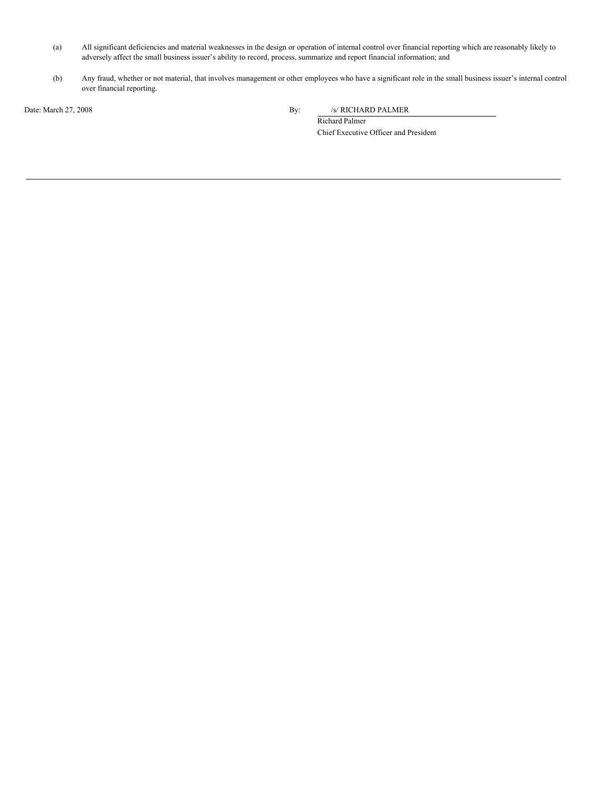- (a) All significant deficiencies and material weaknesses in the design or operation of internal control over financial reporting which are reasonably likely to adversely affect the small business issuer's ability to record, process, summarize and report financial information; and
- (b) Any fraud, whether or not material, that involves management or other employees who have a significant role in the small business issuer's internal control over financial reporting.

Date: March 27, 2008 By: /s/ RICHARD PALMER Richard Palmer

Chief Executive Officer and President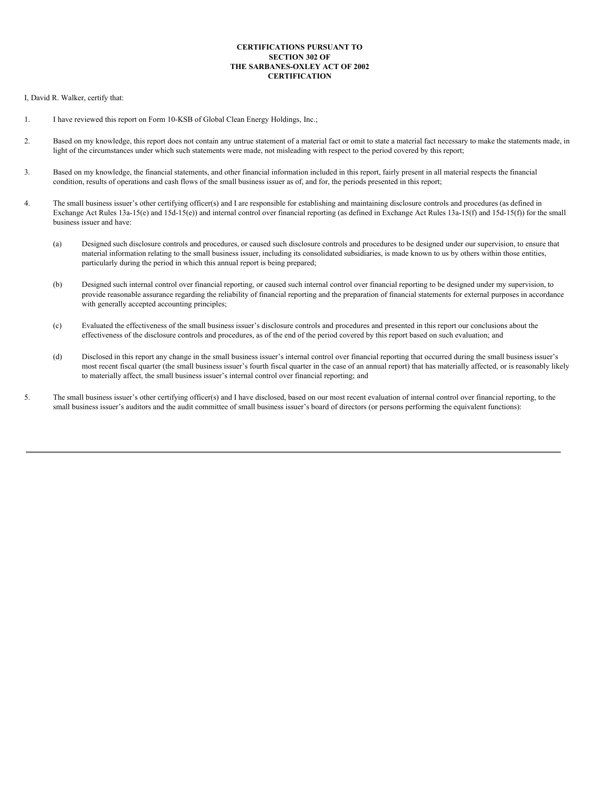## **CERTIFICATIONS PURSUANT TO SECTION 302 OF THE SARBANES-OXLEY ACT OF 2002 CERTIFICATION**

I, David R. Walker, certify that:

- 1. I have reviewed this report on Form 10-KSB of Global Clean Energy Holdings, Inc.;
- 2. Based on my knowledge, this report does not contain any untrue statement of a material fact or omit to state a material fact necessary to make the statements made, in light of the circumstances under which such statements were made, not misleading with respect to the period covered by this report;
- 3. Based on my knowledge, the financial statements, and other financial information included in this report, fairly present in all material respects the financial condition, results of operations and cash flows of the small business issuer as of, and for, the periods presented in this report;
- 4. The small business issuer's other certifying officer(s) and I are responsible for establishing and maintaining disclosure controls and procedures (as defined in Exchange Act Rules 13a-15(e) and 15d-15(e)) and internal control over financial reporting (as defined in Exchange Act Rules 13a-15(f) and 15d-15(f)) for the small business issuer and have:
	- (a) Designed such disclosure controls and procedures, or caused such disclosure controls and procedures to be designed under our supervision, to ensure that material information relating to the small business issuer, including its consolidated subsidiaries, is made known to us by others within those entities, particularly during the period in which this annual report is being prepared;
	- (b) Designed such internal control over financial reporting, or caused such internal control over financial reporting to be designed under my supervision, to provide reasonable assurance regarding the reliability of financial reporting and the preparation of financial statements for external purposes in accordance with generally accepted accounting principles;
	- (c) Evaluated the effectiveness of the small business issuer's disclosure controls and procedures and presented in this report our conclusions about the effectiveness of the disclosure controls and procedures, as of the end of the period covered by this report based on such evaluation; and
	- (d) Disclosed in this report any change in the small business issuer's internal control over financial reporting that occurred during the small business issuer's most recent fiscal quarter (the small business issuer's fourth fiscal quarter in the case of an annual report) that has materially affected, or is reasonably likely to materially affect, the small business issuer's internal control over financial reporting; and
- 5. The small business issuer's other certifying officer(s) and I have disclosed, based on our most recent evaluation of internal control over financial reporting, to the small business issuer's auditors and the audit committee of small business issuer's board of directors (or persons performing the equivalent functions):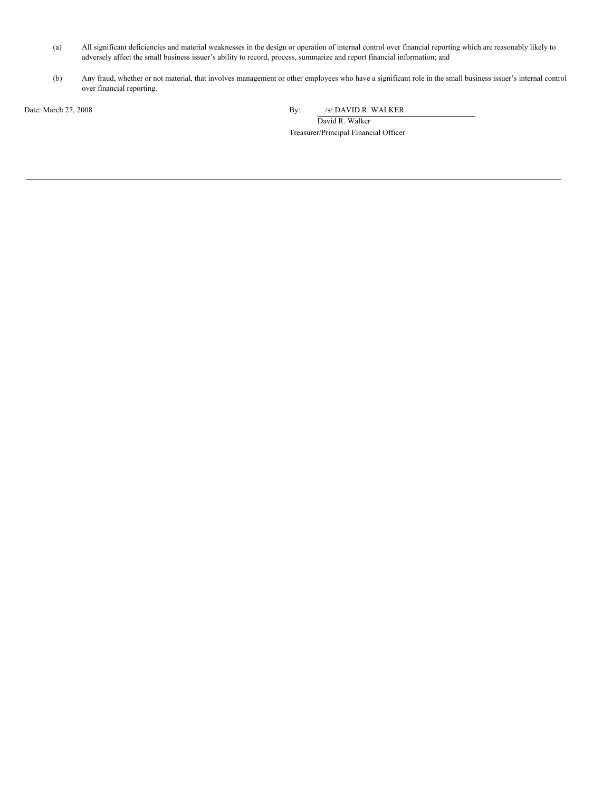- (a) All significant deficiencies and material weaknesses in the design or operation of internal control over financial reporting which are reasonably likely to adversely affect the small business issuer's ability to record, process, summarize and report financial information; and
- (b) Any fraud, whether or not material, that involves management or other employees who have a significant role in the small business issuer's internal control over financial reporting.

Date: March 27, 2008 By: /s/ DAVID R. WALKER

David R. Walker Treasurer/Principal Financial Officer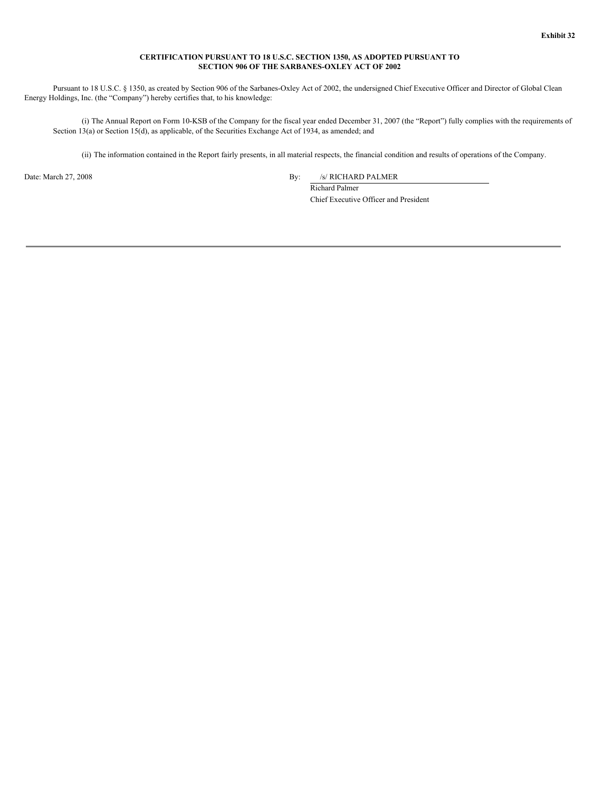## **CERTIFICATION PURSUANT TO 18 U.S.C. SECTION 1350, AS ADOPTED PURSUANT TO SECTION 906 OF THE SARBANES-OXLEY ACT OF 2002**

Pursuant to 18 U.S.C. § 1350, as created by Section 906 of the Sarbanes-Oxley Act of 2002, the undersigned Chief Executive Officer and Director of Global Clean Energy Holdings, Inc. (the "Company") hereby certifies that, to his knowledge:

(i) The Annual Report on Form 10-KSB of the Company for the fiscal year ended December 31, 2007 (the "Report") fully complies with the requirements of Section 13(a) or Section 15(d), as applicable, of the Securities Exchange Act of 1934, as amended; and

(ii) The information contained in the Report fairly presents, in all material respects, the financial condition and results of operations of the Company.

Date: March 27, 2008 By: /s/ RICHARD PALMER

Richard Palmer Chief Executive Officer and President